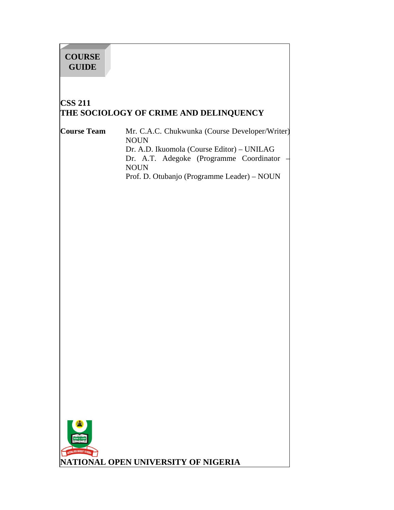# **COURSE GUIDE**

# **CSS 211 THE SOCIOLOGY OF CRIME AND DELINQUENCY**

**Course Team** Mr. C.A.C. Chukwunka (Course Developer/Writer) NOUN Dr. A.D. Ikuomola (Course Editor) – UNILAG Dr. A.T. Adegoke (Programme Coordinator NOUN Prof. D. Otubanjo (Programme Leader) – NOUN



**NATIONAL OPEN UNIVERSITY OF NIGERIA**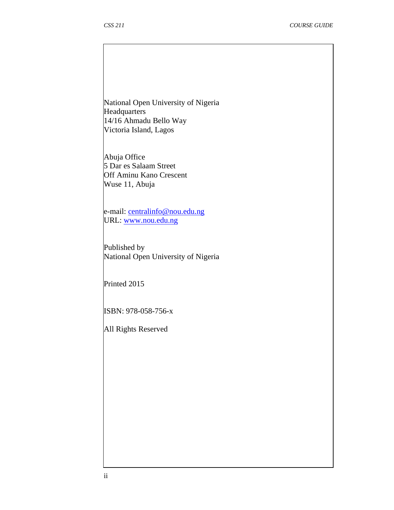National Open University of Nigeria **Headquarters** 14/16 Ahmadu Bello Way Victoria Island, Lagos

Abuja Office 5 Dar es Salaam Street Off Aminu Kano Crescent Wuse 11, Abuja

e-mail: centralinfo@nou.edu.ng URL: www.nou.edu.ng

Published by National Open University of Nigeria

Printed 2015

ISBN: 978-058-756-x

All Rights Reserved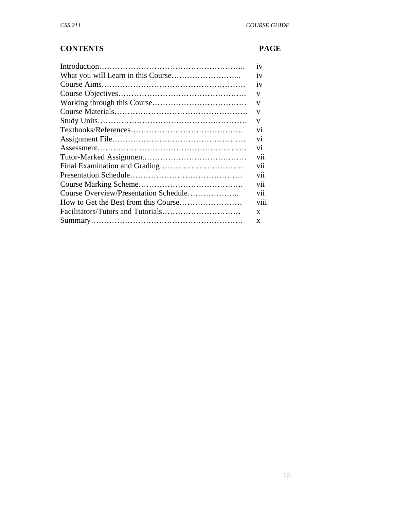### **CONTENTS PAGE**

|                                       | 1V             |
|---------------------------------------|----------------|
|                                       | 1V             |
|                                       | 1V             |
|                                       | V              |
|                                       | V              |
|                                       | V              |
|                                       | V              |
|                                       | V <sub>1</sub> |
|                                       | V <sub>1</sub> |
|                                       | V1             |
|                                       | vii            |
|                                       | vii            |
|                                       | vii            |
|                                       | vii            |
| Course Overview/Presentation Schedule | vii            |
|                                       | viii           |
|                                       | X              |
|                                       | X              |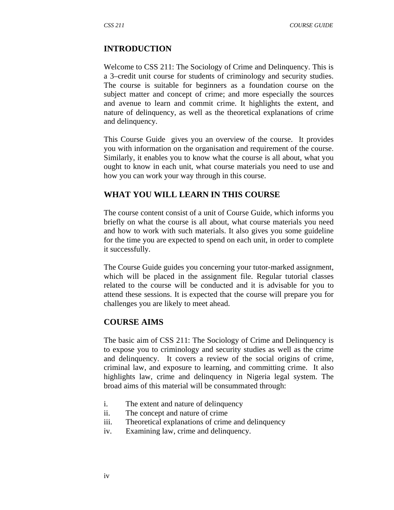### **INTRODUCTION**

Welcome to CSS 211: The Sociology of Crime and Delinquency. This is a 3–credit unit course for students of criminology and security studies. The course is suitable for beginners as a foundation course on the subject matter and concept of crime; and more especially the sources and avenue to learn and commit crime. It highlights the extent, and nature of delinquency, as well as the theoretical explanations of crime and delinquency.

This Course Guide gives you an overview of the course. It provides you with information on the organisation and requirement of the course. Similarly, it enables you to know what the course is all about, what you ought to know in each unit, what course materials you need to use and how you can work your way through in this course.

### **WHAT YOU WILL LEARN IN THIS COURSE**

The course content consist of a unit of Course Guide, which informs you briefly on what the course is all about, what course materials you need and how to work with such materials. It also gives you some guideline for the time you are expected to spend on each unit, in order to complete it successfully.

The Course Guide guides you concerning your tutor-marked assignment, which will be placed in the assignment file. Regular tutorial classes related to the course will be conducted and it is advisable for you to attend these sessions. It is expected that the course will prepare you for challenges you are likely to meet ahead.

### **COURSE AIMS**

The basic aim of CSS 211: The Sociology of Crime and Delinquency is to expose you to criminology and security studies as well as the crime and delinquency. It covers a review of the social origins of crime, criminal law, and exposure to learning, and committing crime. It also highlights law, crime and delinquency in Nigeria legal system. The broad aims of this material will be consummated through:

- i. The extent and nature of delinquency
- ii. The concept and nature of crime
- iii. Theoretical explanations of crime and delinquency
- iv. Examining law, crime and delinquency.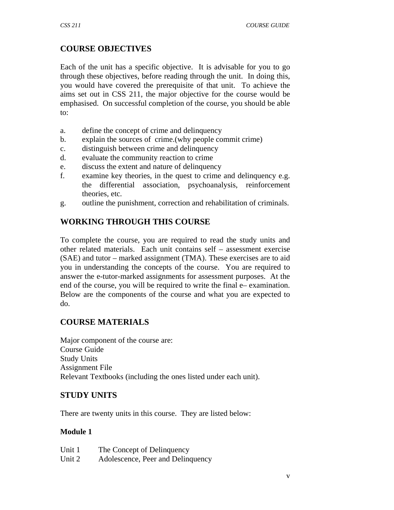# **COURSE OBJECTIVES**

Each of the unit has a specific objective. It is advisable for you to go through these objectives, before reading through the unit. In doing this, you would have covered the prerequisite of that unit. To achieve the aims set out in CSS 211, the major objective for the course would be emphasised. On successful completion of the course, you should be able to:

- a. define the concept of crime and delinquency
- b. explain the sources of crime.(why people commit crime)
- c. distinguish between crime and delinquency
- d. evaluate the community reaction to crime
- e. discuss the extent and nature of delinquency
- f. examine key theories, in the quest to crime and delinquency e.g. the differential association, psychoanalysis, reinforcement theories, etc.
- g. outline the punishment, correction and rehabilitation of criminals.

### **WORKING THROUGH THIS COURSE**

To complete the course, you are required to read the study units and other related materials. Each unit contains self – assessment exercise (SAE) and tutor – marked assignment (TMA). These exercises are to aid you in understanding the concepts of the course. You are required to answer the e-tutor-marked assignments for assessment purposes. At the end of the course, you will be required to write the final e– examination. Below are the components of the course and what you are expected to do.

### **COURSE MATERIALS**

Major component of the course are: Course Guide Study Units Assignment File Relevant Textbooks (including the ones listed under each unit).

### **STUDY UNITS**

There are twenty units in this course. They are listed below:

### **Module 1**

| Unit 1 | The Concept of Delinquency        |
|--------|-----------------------------------|
| Unit 2 | Adolescence, Peer and Delinquency |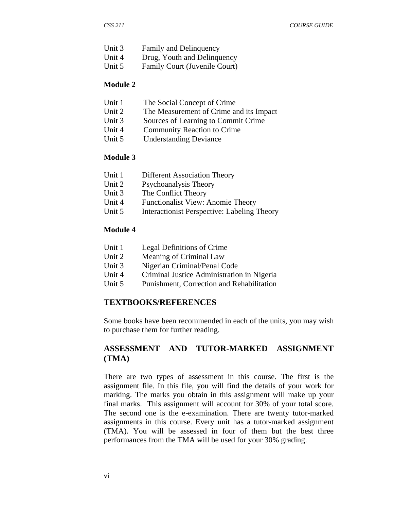| Unit 3 | <b>Family and Delinquency</b> |
|--------|-------------------------------|
|--------|-------------------------------|

- Unit 4 Drug, Youth and Delinquency
- Unit 5 Family Court (Juvenile Court)

#### **Module 2**

- Unit 1 The Social Concept of Crime
- Unit 2 The Measurement of Crime and its Impact
- Unit 3 Sources of Learning to Commit Crime
- Unit 4 Community Reaction to Crime
- Unit 5 Understanding Deviance

### **Module 3**

| Unit 1                                 | <b>Different Association Theory</b> |
|----------------------------------------|-------------------------------------|
| $\mathbf{r}$ $\mathbf{r}$ $\mathbf{r}$ |                                     |

- Unit 2 Psychoanalysis Theory
- Unit 3 The Conflict Theory
- Unit 4 Functionalist View: Anomie Theory
- Unit 5 Interactionist Perspective: Labeling Theory

#### **Module 4**

| Unit 1 | Legal Definitions of Crime |
|--------|----------------------------|
|--------|----------------------------|

- Unit 2 Meaning of Criminal Law
- Unit 3 Nigerian Criminal/Penal Code
- Unit 4 Criminal Justice Administration in Nigeria
- Unit 5 Punishment, Correction and Rehabilitation

### **TEXTBOOKS/REFERENCES**

Some books have been recommended in each of the units, you may wish to purchase them for further reading.

### **ASSESSMENT AND TUTOR-MARKED ASSIGNMENT (TMA)**

There are two types of assessment in this course. The first is the assignment file. In this file, you will find the details of your work for marking. The marks you obtain in this assignment will make up your final marks. This assignment will account for 30% of your total score. The second one is the e-examination. There are twenty tutor-marked assignments in this course. Every unit has a tutor-marked assignment (TMA). You will be assessed in four of them but the best three performances from the TMA will be used for your 30% grading.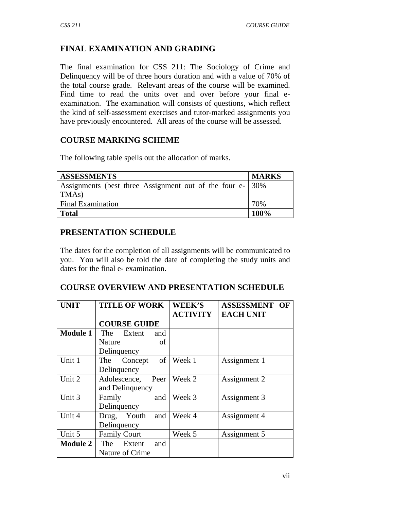# **FINAL EXAMINATION AND GRADING**

The final examination for CSS 211: The Sociology of Crime and Delinquency will be of three hours duration and with a value of 70% of the total course grade. Relevant areas of the course will be examined. Find time to read the units over and over before your final eexamination. The examination will consists of questions, which reflect the kind of self-assessment exercises and tutor-marked assignments you have previously encountered. All areas of the course will be assessed.

### **COURSE MARKING SCHEME**

The following table spells out the allocation of marks.

| <b>ASSESSMENTS</b>                                        | <b>MARKS</b> |
|-----------------------------------------------------------|--------------|
| Assignments (best three Assignment out of the four e- 30% |              |
| TMA <sub>s</sub> )                                        |              |
| <b>Final Examination</b>                                  | 70%          |
| <b>Total</b>                                              | 100%         |

### **PRESENTATION SCHEDULE**

The dates for the completion of all assignments will be communicated to you. You will also be told the date of completing the study units and dates for the final e- examination.

### **COURSE OVERVIEW AND PRESENTATION SCHEDULE**

| UNIT            | <b>TITLE OF WORK</b> | <b>WEEK'S</b>   | <b>ASSESSMENT</b><br>OF |
|-----------------|----------------------|-----------------|-------------------------|
|                 |                      | <b>ACTIVITY</b> | <b>EACH UNIT</b>        |
|                 | <b>COURSE GUIDE</b>  |                 |                         |
| <b>Module 1</b> | The Extent<br>and    |                 |                         |
|                 | Nature<br>of         |                 |                         |
|                 | Delinquency          |                 |                         |
| Unit 1          | of<br>The Concept    | Week 1          | Assignment 1            |
|                 | Delinquency          |                 |                         |
| Unit 2          | Peer<br>Adolescence, | Week 2          | Assignment 2            |
|                 | and Delinquency      |                 |                         |
| Unit 3          | and<br>Family        | Week 3          | Assignment 3            |
|                 | Delinquency          |                 |                         |
| Unit 4          | Drug, Youth<br>and   | Week 4          | Assignment 4            |
|                 | Delinquency          |                 |                         |
| Unit 5          | <b>Family Court</b>  | Week 5          | Assignment 5            |
| <b>Module 2</b> | The Extent<br>and    |                 |                         |
|                 | Nature of Crime      |                 |                         |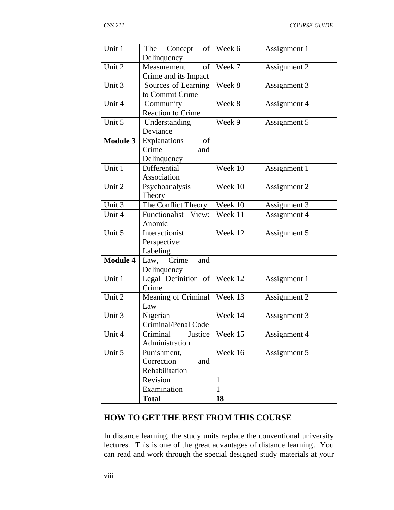| Unit 1          | The<br>Concept<br>of<br>Delinquency                      | Week 6       | Assignment 1 |
|-----------------|----------------------------------------------------------|--------------|--------------|
| Unit 2          | of<br>Measurement<br>Crime and its Impact                | Week 7       | Assignment 2 |
| Unit 3          | Sources of Learning<br>to Commit Crime                   | Week 8       | Assignment 3 |
| Unit 4          | Community<br><b>Reaction to Crime</b>                    | Week 8       | Assignment 4 |
| Unit 5          | Understanding<br>Deviance                                | Week 9       | Assignment 5 |
| <b>Module 3</b> | of<br><b>Explanations</b><br>Crime<br>and<br>Delinquency |              |              |
| Unit 1          | Differential<br>Association                              | Week 10      | Assignment 1 |
| Unit 2          | Psychoanalysis<br>Theory                                 | Week 10      | Assignment 2 |
| Unit 3          | The Conflict Theory                                      | Week 10      | Assignment 3 |
| Unit 4          | Functionalist View:<br>Anomic                            | Week 11      | Assignment 4 |
| Unit 5          | Interactionist<br>Perspective:<br>Labeling               | Week 12      | Assignment 5 |
| <b>Module 4</b> | Law, Crime<br>and<br>Delinquency                         |              |              |
| Unit 1          | Legal Definition of<br>Crime                             | Week 12      | Assignment 1 |
| Unit 2          | Meaning of Criminal<br>Law                               | Week 13      | Assignment 2 |
| Unit 3          | Nigerian<br>Criminal/Penal Code                          | Week 14      | Assignment 3 |
| Unit 4          | Criminal<br>Justice<br>Administration                    | Week 15      | Assignment 4 |
| Unit 5          | Punishment,<br>Correction<br>and<br>Rehabilitation       | Week 16      | Assignment 5 |
|                 | Revision                                                 | $\mathbf{1}$ |              |
|                 | Examination                                              | $\mathbf{1}$ |              |
|                 | <b>Total</b>                                             | 18           |              |

# **HOW TO GET THE BEST FROM THIS COURSE**

In distance learning, the study units replace the conventional university lectures. This is one of the great advantages of distance learning. You can read and work through the special designed study materials at your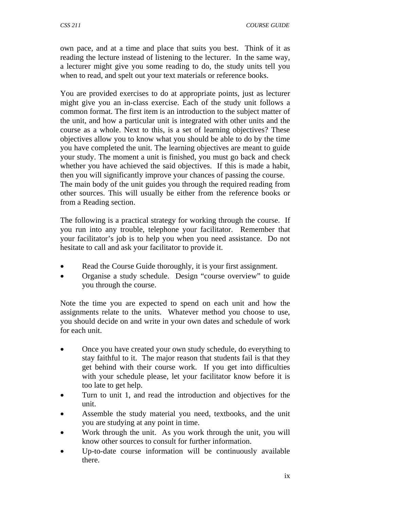own pace, and at a time and place that suits you best. Think of it as reading the lecture instead of listening to the lecturer. In the same way, a lecturer might give you some reading to do, the study units tell you when to read, and spelt out your text materials or reference books.

You are provided exercises to do at appropriate points, just as lecturer might give you an in-class exercise. Each of the study unit follows a common format. The first item is an introduction to the subject matter of the unit, and how a particular unit is integrated with other units and the course as a whole. Next to this, is a set of learning objectives? These objectives allow you to know what you should be able to do by the time you have completed the unit. The learning objectives are meant to guide your study. The moment a unit is finished, you must go back and check whether you have achieved the said objectives. If this is made a habit, then you will significantly improve your chances of passing the course. The main body of the unit guides you through the required reading from other sources. This will usually be either from the reference books or from a Reading section.

The following is a practical strategy for working through the course. If you run into any trouble, telephone your facilitator. Remember that your facilitator's job is to help you when you need assistance. Do not hesitate to call and ask your facilitator to provide it.

- Read the Course Guide thoroughly, it is your first assignment.
- Organise a study schedule. Design "course overview" to guide you through the course.

Note the time you are expected to spend on each unit and how the assignments relate to the units. Whatever method you choose to use, you should decide on and write in your own dates and schedule of work for each unit.

- Once you have created your own study schedule, do everything to stay faithful to it. The major reason that students fail is that they get behind with their course work. If you get into difficulties with your schedule please, let your facilitator know before it is too late to get help.
- Turn to unit 1, and read the introduction and objectives for the unit.
- Assemble the study material you need, textbooks, and the unit you are studying at any point in time.
- Work through the unit. As you work through the unit, you will know other sources to consult for further information.
- Up-to-date course information will be continuously available there.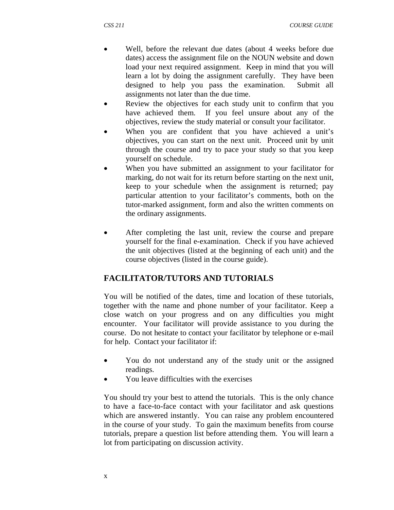- Well, before the relevant due dates (about 4 weeks before due dates) access the assignment file on the NOUN website and down load your next required assignment. Keep in mind that you will learn a lot by doing the assignment carefully. They have been designed to help you pass the examination. Submit all assignments not later than the due time.
- Review the objectives for each study unit to confirm that you have achieved them. If you feel unsure about any of the objectives, review the study material or consult your facilitator.
- When you are confident that you have achieved a unit's objectives, you can start on the next unit. Proceed unit by unit through the course and try to pace your study so that you keep yourself on schedule.
- When you have submitted an assignment to your facilitator for marking, do not wait for its return before starting on the next unit, keep to your schedule when the assignment is returned; pay particular attention to your facilitator's comments, both on the tutor-marked assignment, form and also the written comments on the ordinary assignments.
- After completing the last unit, review the course and prepare yourself for the final e-examination. Check if you have achieved the unit objectives (listed at the beginning of each unit) and the course objectives (listed in the course guide).

### **FACILITATOR/TUTORS AND TUTORIALS**

You will be notified of the dates, time and location of these tutorials, together with the name and phone number of your facilitator. Keep a close watch on your progress and on any difficulties you might encounter. Your facilitator will provide assistance to you during the course. Do not hesitate to contact your facilitator by telephone or e-mail for help. Contact your facilitator if:

- You do not understand any of the study unit or the assigned readings.
- You leave difficulties with the exercises

You should try your best to attend the tutorials. This is the only chance to have a face-to-face contact with your facilitator and ask questions which are answered instantly. You can raise any problem encountered in the course of your study. To gain the maximum benefits from course tutorials, prepare a question list before attending them. You will learn a lot from participating on discussion activity.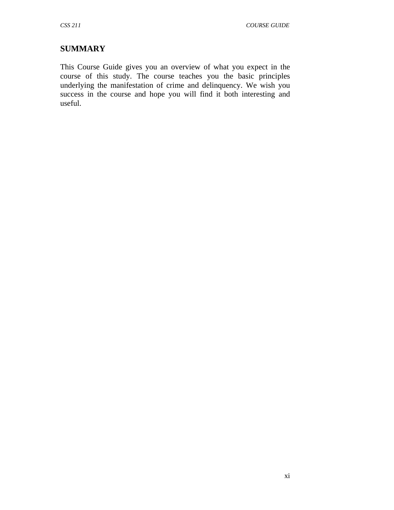# **SUMMARY**

This Course Guide gives you an overview of what you expect in the course of this study. The course teaches you the basic principles underlying the manifestation of crime and delinquency. We wish you success in the course and hope you will find it both interesting and useful.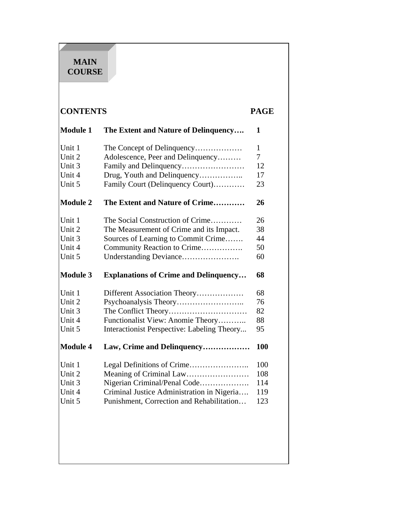# **MAIN COURSE**

# **CONTENTS PAGE**

| <b>Module 1</b> | The Extent and Nature of Delinquency         | 1   |
|-----------------|----------------------------------------------|-----|
| Unit 1          | The Concept of Delinquency                   | 1   |
| Unit 2          | Adolescence, Peer and Delinquency            | 7   |
| Unit 3          | Family and Delinquency                       | 12  |
| Unit 4          | Drug, Youth and Delinquency                  | 17  |
| Unit 5          | Family Court (Delinquency Court)             | 23  |
| <b>Module 2</b> | The Extent and Nature of Crime               | 26  |
| Unit 1          | The Social Construction of Crime             | 26  |
| Unit 2          | The Measurement of Crime and its Impact.     | 38  |
| Unit 3          | Sources of Learning to Commit Crime          | 44  |
| Unit 4          | Community Reaction to Crime                  | 50  |
| Unit 5          | Understanding Deviance                       | 60  |
| <b>Module 3</b> | <b>Explanations of Crime and Delinquency</b> | 68  |
| Unit 1          | Different Association Theory                 | 68  |
| Unit 2          |                                              | 76  |
| Unit 3          |                                              | 82  |
| Unit 4          | Functionalist View: Anomie Theory            | 88  |
| Unit 5          | Interactionist Perspective: Labeling Theory  | 95  |
| <b>Module 4</b> | Law, Crime and Delinquency                   | 100 |
| Unit 1          |                                              | 100 |
| Unit 2          | Meaning of Criminal Law                      | 108 |
| Unit 3          | Nigerian Criminal/Penal Code                 | 114 |
| Unit 4          | Criminal Justice Administration in Nigeria   | 119 |
| Unit 5          | Punishment, Correction and Rehabilitation    | 123 |
|                 |                                              |     |
|                 |                                              |     |
|                 |                                              |     |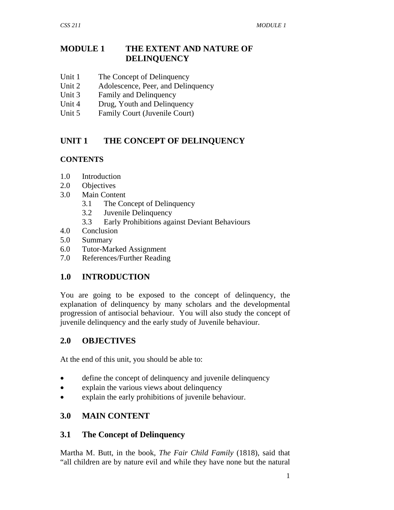### **MODULE 1 THE EXTENT AND NATURE OF DELINQUENCY**

- Unit 1 The Concept of Delinquency
- Unit 2 Adolescence, Peer, and Delinquency
- Unit 3 Family and Delinquency
- Unit 4 Drug, Youth and Delinquency
- Unit 5 Family Court (Juvenile Court)

# **UNIT 1 THE CONCEPT OF DELINQUENCY**

### **CONTENTS**

- 1.0 Introduction
- 2.0 Objectives
- 3.0 Main Content
	- 3.1 The Concept of Delinquency
	- 3.2 Juvenile Delinquency
	- 3.3 Early Prohibitions against Deviant Behaviours
- 4.0 Conclusion
- 5.0 Summary
- 6.0 Tutor-Marked Assignment
- 7.0 References/Further Reading

# **1.0 INTRODUCTION**

You are going to be exposed to the concept of delinquency, the explanation of delinquency by many scholars and the developmental progression of antisocial behaviour. You will also study the concept of juvenile delinquency and the early study of Juvenile behaviour.

# **2.0 OBJECTIVES**

At the end of this unit, you should be able to:

- define the concept of delinquency and juvenile delinquency
- explain the various views about delinquency
- explain the early prohibitions of juvenile behaviour.

# **3.0 MAIN CONTENT**

### **3.1 The Concept of Delinquency**

Martha M. Butt, in the book, *The Fair Child Family* (1818), said that "all children are by nature evil and while they have none but the natural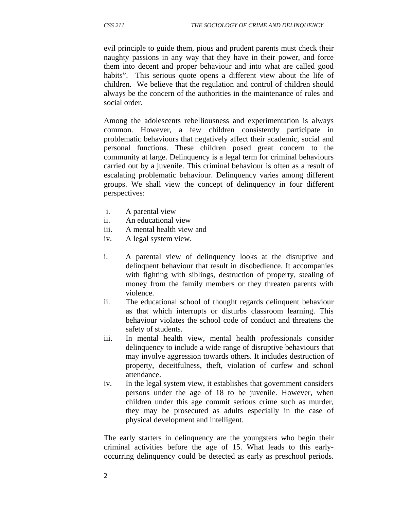evil principle to guide them, pious and prudent parents must check their naughty passions in any way that they have in their power, and force them into decent and proper behaviour and into what are called good habits". This serious quote opens a different view about the life of children. We believe that the regulation and control of children should always be the concern of the authorities in the maintenance of rules and social order.

Among the adolescents rebelliousness and experimentation is always common. However, a few children consistently participate in problematic behaviours that negatively affect their academic, social and personal functions. These children posed great concern to the community at large. Delinquency is a legal term for criminal behaviours carried out by a juvenile. This criminal behaviour is often as a result of escalating problematic behaviour. Delinquency varies among different groups. We shall view the concept of delinquency in four different perspectives:

- i. A parental view
- ii. An educational view
- iii. A mental health view and
- iv. A legal system view.
- i. A parental view of delinquency looks at the disruptive and delinquent behaviour that result in disobedience. It accompanies with fighting with siblings, destruction of property, stealing of money from the family members or they threaten parents with violence.
- ii. The educational school of thought regards delinquent behaviour as that which interrupts or disturbs classroom learning. This behaviour violates the school code of conduct and threatens the safety of students.
- iii. In mental health view, mental health professionals consider delinquency to include a wide range of disruptive behaviours that may involve aggression towards others. It includes destruction of property, deceitfulness, theft, violation of curfew and school attendance.
- iv. In the legal system view, it establishes that government considers persons under the age of 18 to be juvenile. However, when children under this age commit serious crime such as murder, they may be prosecuted as adults especially in the case of physical development and intelligent.

The early starters in delinquency are the youngsters who begin their criminal activities before the age of 15. What leads to this earlyoccurring delinquency could be detected as early as preschool periods.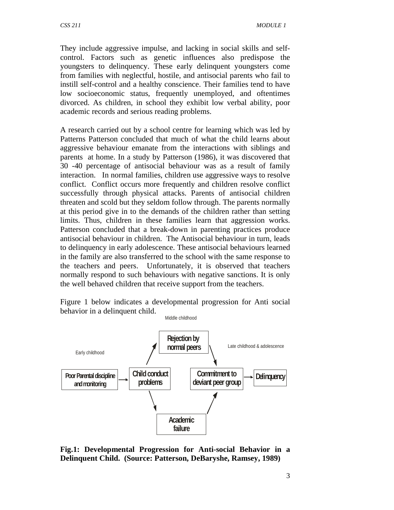They include aggressive impulse, and lacking in social skills and selfcontrol. Factors such as genetic influences also predispose the youngsters to delinquency. These early delinquent youngsters come from families with neglectful, hostile, and antisocial parents who fail to instill self-control and a healthy conscience. Their families tend to have low socioeconomic status, frequently unemployed, and oftentimes divorced. As children, in school they exhibit low verbal ability, poor academic records and serious reading problems.

A research carried out by a school centre for learning which was led by Patterns Patterson concluded that much of what the child learns about aggressive behaviour emanate from the interactions with siblings and parents at home. In a study by Patterson (1986), it was discovered that 30 -40 percentage of antisocial behaviour was as a result of family interaction. In normal families, children use aggressive ways to resolve conflict. Conflict occurs more frequently and children resolve conflict successfully through physical attacks. Parents of antisocial children threaten and scold but they seldom follow through. The parents normally at this period give in to the demands of the children rather than setting limits. Thus, children in these families learn that aggression works. Patterson concluded that a break-down in parenting practices produce antisocial behaviour in children. The Antisocial behaviour in turn, leads to delinquency in early adolescence. These antisocial behaviours learned in the family are also transferred to the school with the same response to the teachers and peers. Unfortunately, it is observed that teachers normally respond to such behaviours with negative sanctions. It is only the well behaved children that receive support from the teachers.

Figure 1 below indicates a developmental progression for Anti social behavior in a delinquent child. Middle childhood



**Fig.1: Developmental Progression for Anti-social Behavior in a Delinquent Child. (Source: Patterson, DeBaryshe, Ramsey, 1989)**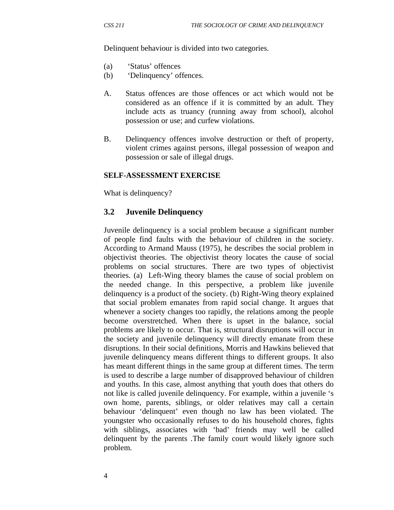Delinquent behaviour is divided into two categories.

- (a) 'Status' offences
- (b) 'Delinquency' offences.
- A. Status offences are those offences or act which would not be considered as an offence if it is committed by an adult. They include acts as truancy (running away from school), alcohol possession or use; and curfew violations.
- B. Delinquency offences involve destruction or theft of property, violent crimes against persons, illegal possession of weapon and possession or sale of illegal drugs.

#### **SELF-ASSESSMENT EXERCISE**

What is delinquency?

#### **3.2 Juvenile Delinquency**

Juvenile delinquency is a social problem because a significant number of people find faults with the behaviour of children in the society. According to Armand Mauss (1975), he describes the social problem in objectivist theories. The objectivist theory locates the cause of social problems on social structures. There are two types of objectivist theories. (a) Left-Wing theory blames the cause of social problem on the needed change. In this perspective, a problem like juvenile delinquency is a product of the society. (b) Right-Wing theory explained that social problem emanates from rapid social change. It argues that whenever a society changes too rapidly, the relations among the people become overstretched. When there is upset in the balance, social problems are likely to occur. That is, structural disruptions will occur in the society and juvenile delinquency will directly emanate from these disruptions. In their social definitions, Morris and Hawkins believed that juvenile delinquency means different things to different groups. It also has meant different things in the same group at different times. The term is used to describe a large number of disapproved behaviour of children and youths. In this case, almost anything that youth does that others do not like is called juvenile delinquency. For example, within a juvenile 's own home, parents, siblings, or older relatives may call a certain behaviour 'delinquent' even though no law has been violated. The youngster who occasionally refuses to do his household chores, fights with siblings, associates with 'bad' friends may well be called delinquent by the parents .The family court would likely ignore such problem.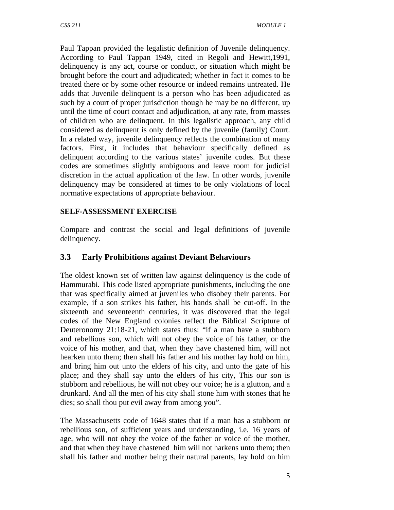Paul Tappan provided the legalistic definition of Juvenile delinquency. According to Paul Tappan 1949, cited in Regoli and Hewitt,1991, delinquency is any act, course or conduct, or situation which might be brought before the court and adjudicated; whether in fact it comes to be treated there or by some other resource or indeed remains untreated. He adds that Juvenile delinquent is a person who has been adjudicated as such by a court of proper jurisdiction though he may be no different, up until the time of court contact and adjudication, at any rate, from masses of children who are delinquent. In this legalistic approach, any child considered as delinquent is only defined by the juvenile (family) Court. In a related way, juvenile delinquency reflects the combination of many factors. First, it includes that behaviour specifically defined as delinquent according to the various states' juvenile codes. But these codes are sometimes slightly ambiguous and leave room for judicial discretion in the actual application of the law. In other words, juvenile delinquency may be considered at times to be only violations of local normative expectations of appropriate behaviour.

### **SELF-ASSESSMENT EXERCISE**

Compare and contrast the social and legal definitions of juvenile delinquency.

# **3.3 Early Prohibitions against Deviant Behaviours**

The oldest known set of written law against delinquency is the code of Hammurabi. This code listed appropriate punishments, including the one that was specifically aimed at juveniles who disobey their parents. For example, if a son strikes his father, his hands shall be cut-off. In the sixteenth and seventeenth centuries, it was discovered that the legal codes of the New England colonies reflect the Biblical Scripture of Deuteronomy 21:18-21, which states thus: "if a man have a stubborn and rebellious son, which will not obey the voice of his father, or the voice of his mother, and that, when they have chastened him, will not hearken unto them; then shall his father and his mother lay hold on him, and bring him out unto the elders of his city, and unto the gate of his place; and they shall say unto the elders of his city, This our son is stubborn and rebellious, he will not obey our voice; he is a glutton, and a drunkard. And all the men of his city shall stone him with stones that he dies; so shall thou put evil away from among you".

The Massachusetts code of 1648 states that if a man has a stubborn or rebellious son, of sufficient years and understanding, i.e. 16 years of age, who will not obey the voice of the father or voice of the mother, and that when they have chastened him will not harkens unto them; then shall his father and mother being their natural parents, lay hold on him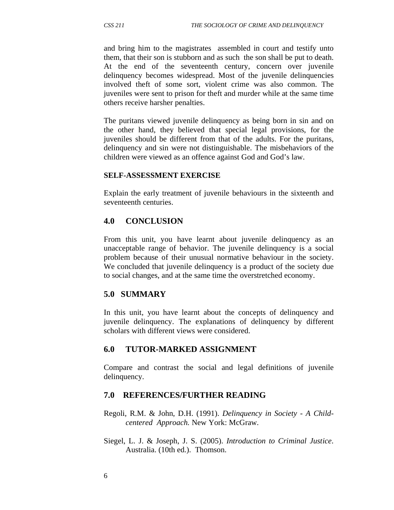and bring him to the magistrates assembled in court and testify unto them, that their son is stubborn and as such the son shall be put to death. At the end of the seventeenth century, concern over juvenile delinquency becomes widespread. Most of the juvenile delinquencies involved theft of some sort, violent crime was also common. The juveniles were sent to prison for theft and murder while at the same time others receive harsher penalties.

The puritans viewed juvenile delinquency as being born in sin and on the other hand, they believed that special legal provisions, for the juveniles should be different from that of the adults. For the puritans, delinquency and sin were not distinguishable. The misbehaviors of the children were viewed as an offence against God and God's law.

#### **SELF-ASSESSMENT EXERCISE**

Explain the early treatment of juvenile behaviours in the sixteenth and seventeenth centuries.

### **4.0 CONCLUSION**

From this unit, you have learnt about juvenile delinquency as an unacceptable range of behavior. The juvenile delinquency is a social problem because of their unusual normative behaviour in the society. We concluded that juvenile delinquency is a product of the society due to social changes, and at the same time the overstretched economy.

### **5.0 SUMMARY**

In this unit, you have learnt about the concepts of delinquency and juvenile delinquency. The explanations of delinquency by different scholars with different views were considered.

### **6.0 TUTOR-MARKED ASSIGNMENT**

Compare and contrast the social and legal definitions of juvenile delinquency.

#### **7.0 REFERENCES/FURTHER READING**

Regoli, R.M. & John, D.H. (1991). *Delinquency in Society - A Childcentered Approach.* New York: McGraw.

Siegel, L. J. & Joseph, J. S. (2005). *Introduction to Criminal Justice*. Australia. (10th ed.). Thomson.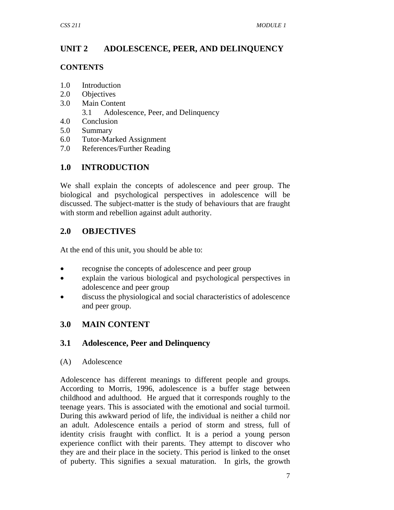# **UNIT 2 ADOLESCENCE, PEER, AND DELINQUENCY**

### **CONTENTS**

- 1.0 Introduction
- 2.0 Objectives
- 3.0 Main Content
	- 3.1 Adolescence, Peer, and Delinquency
- 4.0 Conclusion
- 5.0 Summary
- 6.0 Tutor-Marked Assignment
- 7.0 References/Further Reading

# **1.0 INTRODUCTION**

We shall explain the concepts of adolescence and peer group. The biological and psychological perspectives in adolescence will be discussed. The subject-matter is the study of behaviours that are fraught with storm and rebellion against adult authority.

# **2.0 OBJECTIVES**

At the end of this unit, you should be able to:

- recognise the concepts of adolescence and peer group
- explain the various biological and psychological perspectives in adolescence and peer group
- discuss the physiological and social characteristics of adolescence and peer group.

# **3.0 MAIN CONTENT**

# **3.1 Adolescence, Peer and Delinquency**

(A) Adolescence

Adolescence has different meanings to different people and groups. According to Morris, 1996, adolescence is a buffer stage between childhood and adulthood. He argued that it corresponds roughly to the teenage years. This is associated with the emotional and social turmoil. During this awkward period of life, the individual is neither a child nor an adult. Adolescence entails a period of storm and stress, full of identity crisis fraught with conflict. It is a period a young person experience conflict with their parents. They attempt to discover who they are and their place in the society. This period is linked to the onset of puberty. This signifies a sexual maturation. In girls, the growth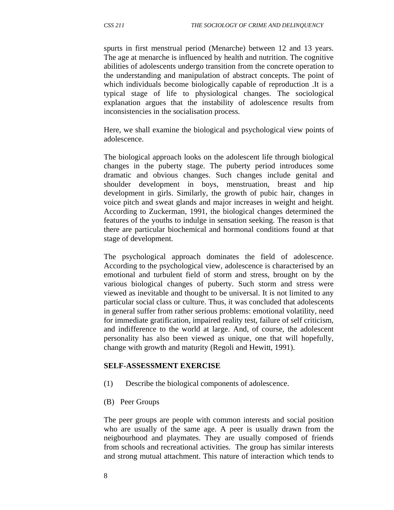spurts in first menstrual period (Menarche) between 12 and 13 years. The age at menarche is influenced by health and nutrition. The cognitive abilities of adolescents undergo transition from the concrete operation to the understanding and manipulation of abstract concepts. The point of which individuals become biologically capable of reproduction .It is a typical stage of life to physiological changes. The sociological explanation argues that the instability of adolescence results from inconsistencies in the socialisation process.

Here, we shall examine the biological and psychological view points of adolescence.

The biological approach looks on the adolescent life through biological changes in the puberty stage. The puberty period introduces some dramatic and obvious changes. Such changes include genital and shoulder development in boys, menstruation, breast and hip development in girls. Similarly, the growth of pubic hair, changes in voice pitch and sweat glands and major increases in weight and height. According to Zuckerman, 1991, the biological changes determined the features of the youths to indulge in sensation seeking. The reason is that there are particular biochemical and hormonal conditions found at that stage of development.

The psychological approach dominates the field of adolescence. According to the psychological view, adolescence is characterised by an emotional and turbulent field of storm and stress, brought on by the various biological changes of puberty. Such storm and stress were viewed as inevitable and thought to be universal. It is not limited to any particular social class or culture. Thus, it was concluded that adolescents in general suffer from rather serious problems: emotional volatility, need for immediate gratification, impaired reality test, failure of self criticism, and indifference to the world at large. And, of course, the adolescent personality has also been viewed as unique, one that will hopefully, change with growth and maturity (Regoli and Hewitt, 1991).

#### **SELF-ASSESSMENT EXERCISE**

- (1) Describe the biological components of adolescence.
- (B) Peer Groups

The peer groups are people with common interests and social position who are usually of the same age. A peer is usually drawn from the neigbourhood and playmates. They are usually composed of friends from schools and recreational activities. The group has similar interests and strong mutual attachment. This nature of interaction which tends to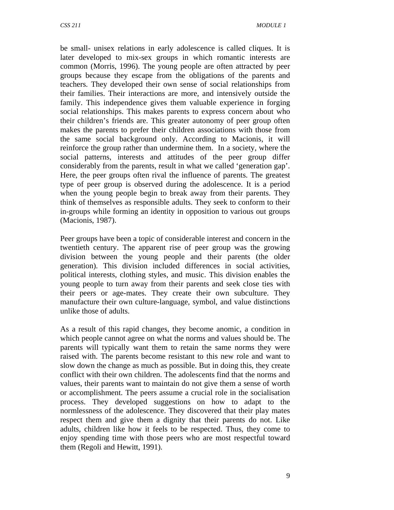be small- unisex relations in early adolescence is called cliques. It is later developed to mix-sex groups in which romantic interests are common (Morris, 1996). The young people are often attracted by peer groups because they escape from the obligations of the parents and teachers. They developed their own sense of social relationships from their families. Their interactions are more, and intensively outside the family. This independence gives them valuable experience in forging social relationships. This makes parents to express concern about who their children's friends are. This greater autonomy of peer group often makes the parents to prefer their children associations with those from the same social background only. According to Macionis, it will reinforce the group rather than undermine them. In a society, where the social patterns, interests and attitudes of the peer group differ considerably from the parents, result in what we called 'generation gap'. Here, the peer groups often rival the influence of parents. The greatest type of peer group is observed during the adolescence. It is a period when the young people begin to break away from their parents. They think of themselves as responsible adults. They seek to conform to their in-groups while forming an identity in opposition to various out groups (Macionis, 1987).

Peer groups have been a topic of considerable interest and concern in the twentieth century. The apparent rise of peer group was the growing division between the young people and their parents (the older generation). This division included differences in social activities, political interests, clothing styles, and music. This division enables the young people to turn away from their parents and seek close ties with their peers or age-mates. They create their own subculture. They manufacture their own culture-language, symbol, and value distinctions unlike those of adults.

As a result of this rapid changes, they become anomic, a condition in which people cannot agree on what the norms and values should be. The parents will typically want them to retain the same norms they were raised with. The parents become resistant to this new role and want to slow down the change as much as possible. But in doing this, they create conflict with their own children. The adolescents find that the norms and values, their parents want to maintain do not give them a sense of worth or accomplishment. The peers assume a crucial role in the socialisation process. They developed suggestions on how to adapt to the normlessness of the adolescence. They discovered that their play mates respect them and give them a dignity that their parents do not. Like adults, children like how it feels to be respected. Thus, they come to enjoy spending time with those peers who are most respectful toward them (Regoli and Hewitt, 1991).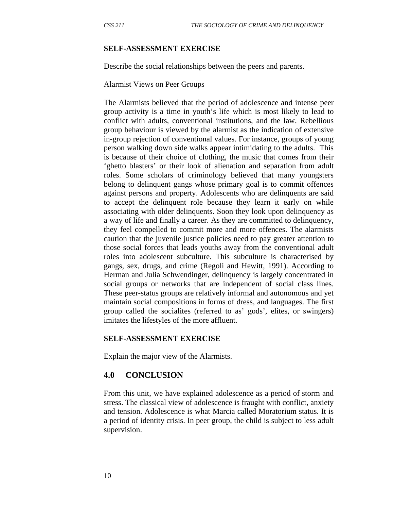#### **SELF-ASSESSMENT EXERCISE**

Describe the social relationships between the peers and parents.

Alarmist Views on Peer Groups

The Alarmists believed that the period of adolescence and intense peer group activity is a time in youth's life which is most likely to lead to conflict with adults, conventional institutions, and the law. Rebellious group behaviour is viewed by the alarmist as the indication of extensive in-group rejection of conventional values. For instance, groups of young person walking down side walks appear intimidating to the adults. This is because of their choice of clothing, the music that comes from their 'ghetto blasters' or their look of alienation and separation from adult roles. Some scholars of criminology believed that many youngsters belong to delinquent gangs whose primary goal is to commit offences against persons and property. Adolescents who are delinquents are said to accept the delinquent role because they learn it early on while associating with older delinquents. Soon they look upon delinquency as a way of life and finally a career. As they are committed to delinquency, they feel compelled to commit more and more offences. The alarmists caution that the juvenile justice policies need to pay greater attention to those social forces that leads youths away from the conventional adult roles into adolescent subculture. This subculture is characterised by gangs, sex, drugs, and crime (Regoli and Hewitt, 1991). According to Herman and Julia Schwendinger, delinquency is largely concentrated in social groups or networks that are independent of social class lines. These peer-status groups are relatively informal and autonomous and yet maintain social compositions in forms of dress, and languages. The first group called the socialites (referred to as' gods', elites, or swingers) imitates the lifestyles of the more affluent.

#### **SELF-ASSESSMENT EXERCISE**

Explain the major view of the Alarmists.

#### **4.0 CONCLUSION**

From this unit, we have explained adolescence as a period of storm and stress. The classical view of adolescence is fraught with conflict, anxiety and tension. Adolescence is what Marcia called Moratorium status. It is a period of identity crisis. In peer group, the child is subject to less adult supervision.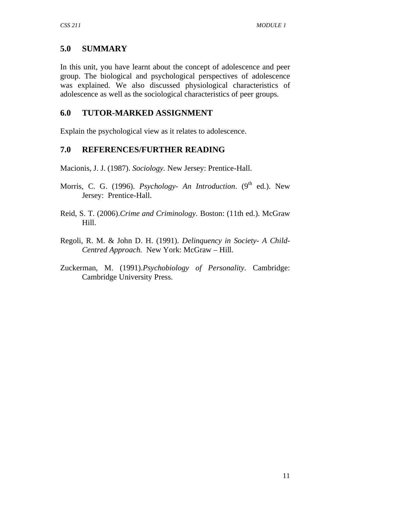# **5.0 SUMMARY**

In this unit, you have learnt about the concept of adolescence and peer group. The biological and psychological perspectives of adolescence was explained. We also discussed physiological characteristics of adolescence as well as the sociological characteristics of peer groups.

### **6.0 TUTOR-MARKED ASSIGNMENT**

Explain the psychological view as it relates to adolescence.

### **7.0 REFERENCES/FURTHER READING**

Macionis, J. J. (1987). *Sociology.* New Jersey: Prentice-Hall.

- Morris, C. G. (1996). *Psychology- An Introduction*. (9<sup>th</sup> ed.). New Jersey: Prentice-Hall.
- Reid, S. T. (2006).*Crime and Criminology*. Boston: (11th ed.). McGraw Hill.
- Regoli, R. M. & John D. H. (1991). *Delinquency in Society- A Child-Centred Approach.* New York: McGraw – Hill.
- Zuckerman, M. (1991).*Psychobiology of Personality*. Cambridge: Cambridge University Press.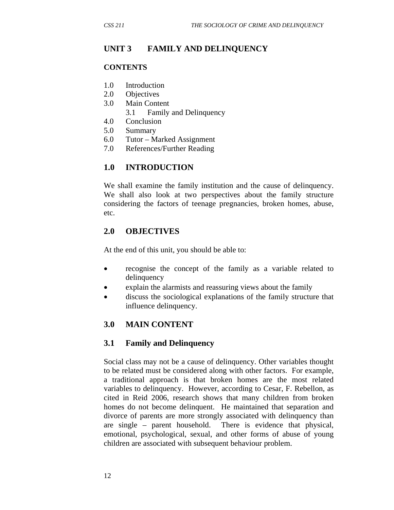### **UNIT 3 FAMILY AND DELINQUENCY**

#### **CONTENTS**

- 1.0 Introduction
- 2.0 Objectives
- 3.0 Main Content
	- 3.1 Family and Delinquency
- 4.0 Conclusion
- 5.0 Summary
- 6.0 Tutor Marked Assignment
- 7.0 References/Further Reading

### **1.0 INTRODUCTION**

We shall examine the family institution and the cause of delinquency. We shall also look at two perspectives about the family structure considering the factors of teenage pregnancies, broken homes, abuse, etc.

### **2.0 OBJECTIVES**

At the end of this unit, you should be able to:

- recognise the concept of the family as a variable related to delinquency
- explain the alarmists and reassuring views about the family
- discuss the sociological explanations of the family structure that influence delinquency.

### **3.0 MAIN CONTENT**

### **3.1 Family and Delinquency**

Social class may not be a cause of delinquency. Other variables thought to be related must be considered along with other factors. For example, a traditional approach is that broken homes are the most related variables to delinquency. However, according to Cesar, F. Rebellon, as cited in Reid 2006, research shows that many children from broken homes do not become delinquent. He maintained that separation and divorce of parents are more strongly associated with delinquency than are single – parent household. There is evidence that physical, emotional, psychological, sexual, and other forms of abuse of young children are associated with subsequent behaviour problem.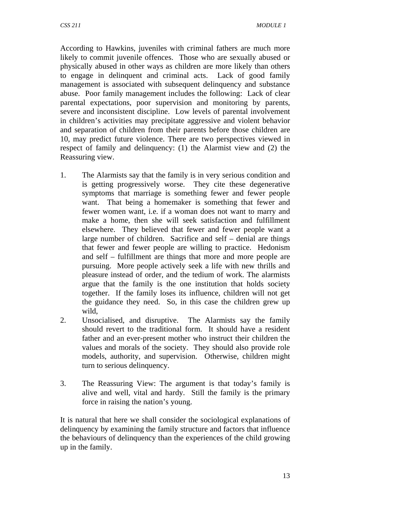According to Hawkins, juveniles with criminal fathers are much more likely to commit juvenile offences. Those who are sexually abused or physically abused in other ways as children are more likely than others to engage in delinquent and criminal acts. Lack of good family management is associated with subsequent delinquency and substance abuse. Poor family management includes the following: Lack of clear parental expectations, poor supervision and monitoring by parents, severe and inconsistent discipline. Low levels of parental involvement in children's activities may precipitate aggressive and violent behavior and separation of children from their parents before those children are 10, may predict future violence. There are two perspectives viewed in respect of family and delinquency: (1) the Alarmist view and (2) the Reassuring view.

- 1. The Alarmists say that the family is in very serious condition and is getting progressively worse. They cite these degenerative symptoms that marriage is something fewer and fewer people want. That being a homemaker is something that fewer and fewer women want, i.e. if a woman does not want to marry and make a home, then she will seek satisfaction and fulfillment elsewhere. They believed that fewer and fewer people want a large number of children. Sacrifice and self – denial are things that fewer and fewer people are willing to practice. Hedonism and self – fulfillment are things that more and more people are pursuing. More people actively seek a life with new thrills and pleasure instead of order, and the tedium of work. The alarmists argue that the family is the one institution that holds society together. If the family loses its influence, children will not get the guidance they need. So, in this case the children grew up wild,
- 2. Unsocialised, and disruptive. The Alarmists say the family should revert to the traditional form. It should have a resident father and an ever-present mother who instruct their children the values and morals of the society. They should also provide role models, authority, and supervision. Otherwise, children might turn to serious delinquency.
- 3. The Reassuring View: The argument is that today's family is alive and well, vital and hardy. Still the family is the primary force in raising the nation's young.

It is natural that here we shall consider the sociological explanations of delinquency by examining the family structure and factors that influence the behaviours of delinquency than the experiences of the child growing up in the family.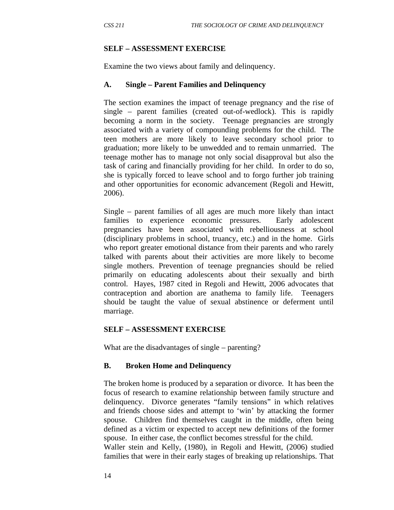#### **SELF – ASSESSMENT EXERCISE**

Examine the two views about family and delinquency.

#### **A. Single – Parent Families and Delinquency**

The section examines the impact of teenage pregnancy and the rise of single – parent families (created out-of-wedlock). This is rapidly becoming a norm in the society. Teenage pregnancies are strongly associated with a variety of compounding problems for the child. The teen mothers are more likely to leave secondary school prior to graduation; more likely to be unwedded and to remain unmarried. The teenage mother has to manage not only social disapproval but also the task of caring and financially providing for her child. In order to do so, she is typically forced to leave school and to forgo further job training and other opportunities for economic advancement (Regoli and Hewitt, 2006).

Single – parent families of all ages are much more likely than intact families to experience economic pressures. Early adolescent pregnancies have been associated with rebelliousness at school (disciplinary problems in school, truancy, etc.) and in the home. Girls who report greater emotional distance from their parents and who rarely talked with parents about their activities are more likely to become single mothers. Prevention of teenage pregnancies should be relied primarily on educating adolescents about their sexually and birth control. Hayes, 1987 cited in Regoli and Hewitt, 2006 advocates that contraception and abortion are anathema to family life. Teenagers should be taught the value of sexual abstinence or deferment until marriage.

#### **SELF – ASSESSMENT EXERCISE**

What are the disadvantages of single – parenting?

#### **B. Broken Home and Delinquency**

The broken home is produced by a separation or divorce. It has been the focus of research to examine relationship between family structure and delinquency. Divorce generates "family tensions" in which relatives and friends choose sides and attempt to 'win' by attacking the former spouse. Children find themselves caught in the middle, often being defined as a victim or expected to accept new definitions of the former spouse. In either case, the conflict becomes stressful for the child. Waller stein and Kelly, (1980), in Regoli and Hewitt, (2006) studied families that were in their early stages of breaking up relationships. That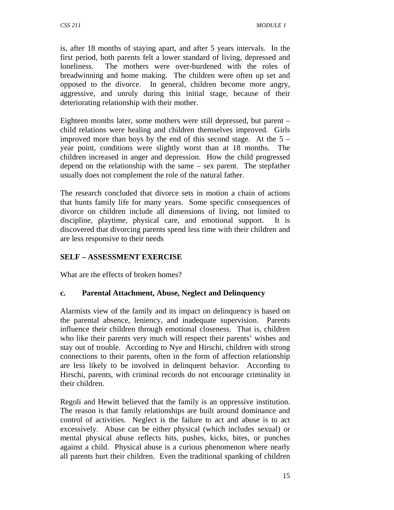is, after 18 months of staying apart, and after 5 years intervals. In the first period, both parents felt a lower standard of living, depressed and loneliness. The mothers were over-burdened with the roles of breadwinning and home making. The children were often up set and opposed to the divorce. In general, children become more angry, aggressive, and unruly during this initial stage, because of their deteriorating relationship with their mother.

Eighteen months later, some mothers were still depressed, but parent – child relations were healing and children themselves improved. Girls improved more than boys by the end of this second stage. At the  $5$ year point, conditions were slightly worst than at 18 months. The children increased in anger and depression. How the child progressed depend on the relationship with the same – sex parent. The stepfather usually does not complement the role of the natural father.

The research concluded that divorce sets in motion a chain of actions that hunts family life for many years. Some specific consequences of divorce on children include all dimensions of living, not limited to discipline, playtime, physical care, and emotional support. It is discovered that divorcing parents spend less time with their children and are less responsive to their needs

### **SELF – ASSESSMENT EXERCISE**

What are the effects of broken homes?

### **c. Parental Attachment, Abuse, Neglect and Delinquency**

Alarmists view of the family and its impact on delinquency is based on the parental absence, leniency, and inadequate supervision. Parents influence their children through emotional closeness. That is, children who like their parents very much will respect their parents' wishes and stay out of trouble. According to Nye and Hirschi, children with strong connections to their parents, often in the form of affection relationship are less likely to be involved in delinquent behavior. According to Hirschi, parents, with criminal records do not encourage criminality in their children.

Regoli and Hewitt believed that the family is an oppressive institution. The reason is that family relationships are built around dominance and control of activities. Neglect is the failure to act and abuse is to act excessively. Abuse can be either physical (which includes sexual) or mental physical abuse reflects hits, pushes, kicks, bites, or punches against a child. Physical abuse is a curious phenomenon where nearly all parents hurt their children. Even the traditional spanking of children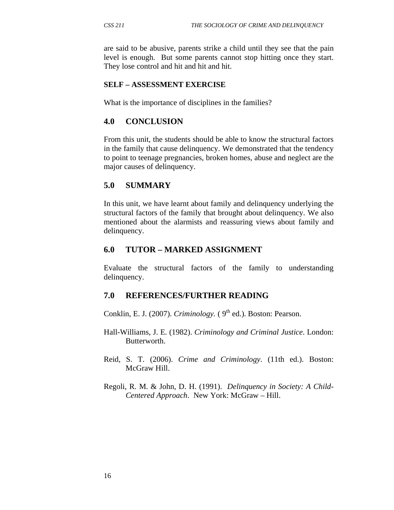are said to be abusive, parents strike a child until they see that the pain level is enough. But some parents cannot stop hitting once they start. They lose control and hit and hit and hit.

### **SELF – ASSESSMENT EXERCISE**

What is the importance of disciplines in the families?

### **4.0 CONCLUSION**

From this unit, the students should be able to know the structural factors in the family that cause delinquency. We demonstrated that the tendency to point to teenage pregnancies, broken homes, abuse and neglect are the major causes of delinquency.

### **5.0 SUMMARY**

In this unit, we have learnt about family and delinquency underlying the structural factors of the family that brought about delinquency. We also mentioned about the alarmists and reassuring views about family and delinquency.

### **6.0 TUTOR – MARKED ASSIGNMENT**

Evaluate the structural factors of the family to understanding delinquency.

#### **7.0 REFERENCES/FURTHER READING**

Conklin, E. J. (2007). *Criminology.*  $(9<sup>th</sup>$  ed.). Boston: Pearson.

- Hall-Williams, J. E. (1982). *Criminology and Criminal Justice*. London: Butterworth.
- Reid, S. T. (2006). *Crime and Criminology*. (11th ed.). Boston: McGraw Hill.
- Regoli, R. M. & John, D. H. (1991). *Delinquency in Society: A Child-Centered Approach*. New York: McGraw – Hill.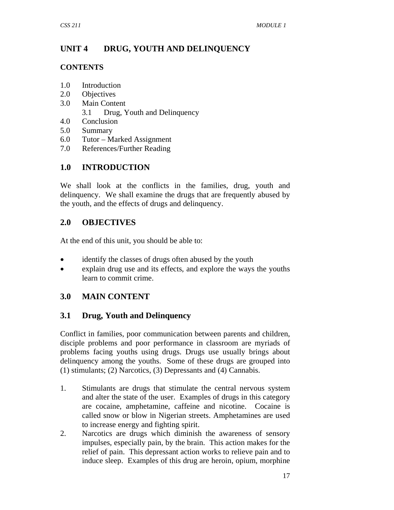# **UNIT 4 DRUG, YOUTH AND DELINQUENCY**

### **CONTENTS**

- 1.0 Introduction
- 2.0 Objectives
- 3.0 Main Content
	- 3.1 Drug, Youth and Delinquency
- 4.0 Conclusion
- 5.0 Summary
- 6.0 Tutor Marked Assignment
- 7.0 References/Further Reading

# **1.0 INTRODUCTION**

We shall look at the conflicts in the families, drug, youth and delinquency. We shall examine the drugs that are frequently abused by the youth, and the effects of drugs and delinquency.

# **2.0 OBJECTIVES**

At the end of this unit, you should be able to:

- identify the classes of drugs often abused by the youth
- explain drug use and its effects, and explore the ways the youths learn to commit crime.

# **3.0 MAIN CONTENT**

# **3.1 Drug, Youth and Delinquency**

Conflict in families, poor communication between parents and children, disciple problems and poor performance in classroom are myriads of problems facing youths using drugs. Drugs use usually brings about delinquency among the youths. Some of these drugs are grouped into (1) stimulants; (2) Narcotics, (3) Depressants and (4) Cannabis.

- 1. Stimulants are drugs that stimulate the central nervous system and alter the state of the user. Examples of drugs in this category are cocaine, amphetamine, caffeine and nicotine. Cocaine is called snow or blow in Nigerian streets. Amphetamines are used to increase energy and fighting spirit.
- 2. Narcotics are drugs which diminish the awareness of sensory impulses, especially pain, by the brain. This action makes for the relief of pain. This depressant action works to relieve pain and to induce sleep. Examples of this drug are heroin, opium, morphine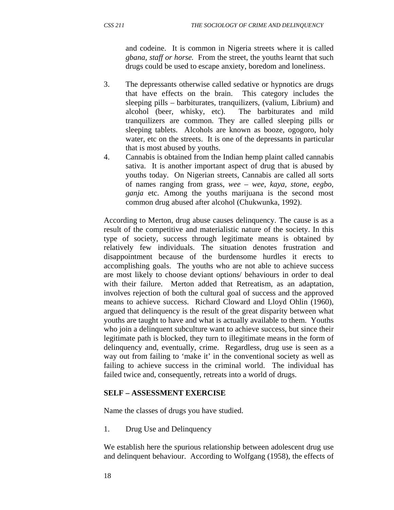and codeine. It is common in Nigeria streets where it is called *gbana, staff or horse.* From the street, the youths learnt that such drugs could be used to escape anxiety, boredom and loneliness.

- 3. The depressants otherwise called sedative or hypnotics are drugs that have effects on the brain. This category includes the sleeping pills – barbiturates, tranquilizers, (valium, Librium) and alcohol (beer, whisky, etc). The barbiturates and mild tranquilizers are common. They are called sleeping pills or sleeping tablets. Alcohols are known as booze, ogogoro, holy water, etc on the streets. It is one of the depressants in particular that is most abused by youths.
- 4. Cannabis is obtained from the Indian hemp plaint called cannabis sativa. It is another important aspect of drug that is abused by youths today. On Nigerian streets, Cannabis are called all sorts of names ranging from grass, *wee – wee, kaya, stone, eegbo, ganja* etc. Among the youths marijuana is the second most common drug abused after alcohol (Chukwunka, 1992).

According to Merton, drug abuse causes delinquency. The cause is as a result of the competitive and materialistic nature of the society. In this type of society, success through legitimate means is obtained by relatively few individuals. The situation denotes frustration and disappointment because of the burdensome hurdles it erects to accomplishing goals. The youths who are not able to achieve success are most likely to choose deviant options/ behaviours in order to deal with their failure. Merton added that Retreatism, as an adaptation, involves rejection of both the cultural goal of success and the approved means to achieve success. Richard Cloward and Lloyd Ohlin (1960), argued that delinquency is the result of the great disparity between what youths are taught to have and what is actually available to them. Youths who join a delinquent subculture want to achieve success, but since their legitimate path is blocked, they turn to illegitimate means in the form of delinquency and, eventually, crime. Regardless, drug use is seen as a way out from failing to 'make it' in the conventional society as well as failing to achieve success in the criminal world. The individual has failed twice and, consequently, retreats into a world of drugs.

#### **SELF – ASSESSMENT EXERCISE**

Name the classes of drugs you have studied.

1. Drug Use and Delinquency

We establish here the spurious relationship between adolescent drug use and delinquent behaviour. According to Wolfgang (1958), the effects of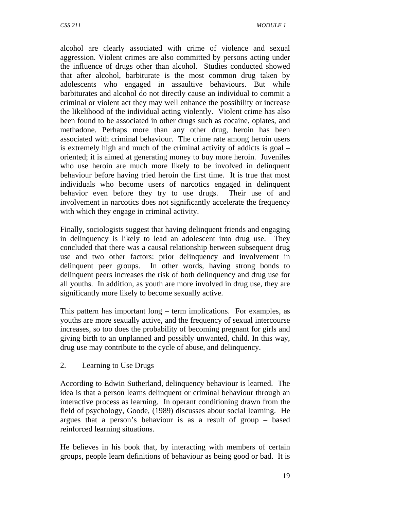alcohol are clearly associated with crime of violence and sexual aggression. Violent crimes are also committed by persons acting under the influence of drugs other than alcohol. Studies conducted showed that after alcohol, barbiturate is the most common drug taken by adolescents who engaged in assaultive behaviours. But while barbiturates and alcohol do not directly cause an individual to commit a criminal or violent act they may well enhance the possibility or increase the likelihood of the individual acting violently. Violent crime has also been found to be associated in other drugs such as cocaine, opiates, and methadone. Perhaps more than any other drug, heroin has been associated with criminal behaviour. The crime rate among heroin users is extremely high and much of the criminal activity of addicts is goal – oriented; it is aimed at generating money to buy more heroin. Juveniles who use heroin are much more likely to be involved in delinquent behaviour before having tried heroin the first time. It is true that most individuals who become users of narcotics engaged in delinquent behavior even before they try to use drugs. Their use of and involvement in narcotics does not significantly accelerate the frequency with which they engage in criminal activity.

Finally, sociologists suggest that having delinquent friends and engaging in delinquency is likely to lead an adolescent into drug use. They concluded that there was a causal relationship between subsequent drug use and two other factors: prior delinquency and involvement in delinquent peer groups. In other words, having strong bonds to delinquent peers increases the risk of both delinquency and drug use for all youths. In addition, as youth are more involved in drug use, they are significantly more likely to become sexually active.

This pattern has important long – term implications. For examples, as youths are more sexually active, and the frequency of sexual intercourse increases, so too does the probability of becoming pregnant for girls and giving birth to an unplanned and possibly unwanted, child. In this way, drug use may contribute to the cycle of abuse, and delinquency.

#### 2. Learning to Use Drugs

According to Edwin Sutherland, delinquency behaviour is learned. The idea is that a person learns delinquent or criminal behaviour through an interactive process as learning. In operant conditioning drawn from the field of psychology, Goode, (1989) discusses about social learning. He argues that a person's behaviour is as a result of group – based reinforced learning situations.

He believes in his book that, by interacting with members of certain groups, people learn definitions of behaviour as being good or bad. It is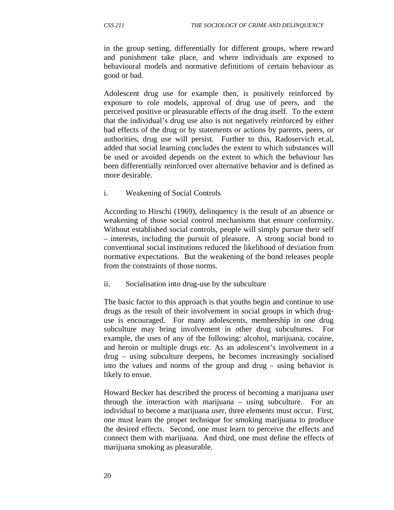in the group setting, differentially for different groups, where reward and punishment take place, and where individuals are exposed to behavioural models and normative definitions of certain behaviour as good or bad.

Adolescent drug use for example then, is positively reinforced by exposure to role models, approval of drug use of peers, and the perceived positive or pleasurable effects of the drug itself. To the extent that the individual's drug use also is not negatively reinforced by either bad effects of the drug or by statements or actions by parents, peers, or authorities, drug use will persist. Further to this, Radoservich et.al, added that social learning concludes the extent to which substances will be used or avoided depends on the extent to which the behaviour has been differentially reinforced over alternative behavior and is defined as more desirable.

#### i. Weakening of Social Controls

According to Hirschi (1969), delinquency is the result of an absence or weakening of those social control mechanisms that ensure conformity. Without established social controls, people will simply pursue their self – interests, including the pursuit of pleasure. A strong social bond to conventional social institutions reduced the likelihood of deviation from normative expectations. But the weakening of the bond releases people from the constraints of those norms.

#### ii. Socialisation into drug-use by the subculture

The basic factor to this approach is that youths begin and continue to use drugs as the result of their involvement in social groups in which druguse is encouraged. For many adolescents, membership in one drug subculture may bring involvement in other drug subcultures. For example, the uses of any of the following: alcohol, marijuana, cocaine, and heroin or multiple drugs etc. As an adolescent's involvement in a drug – using subculture deepens, he becomes increasingly socialised into the values and norms of the group and drug – using behavior is likely to ensue.

Howard Becker has described the process of becoming a marijuana user through the interaction with marijuana – using subculture. For an individual to become a marijuana user, three elements must occur. First, one must learn the proper technique for smoking marijuana to produce the desired effects. Second, one must learn to perceive the effects and connect them with marijuana. And third, one must define the effects of marijuana smoking as pleasurable.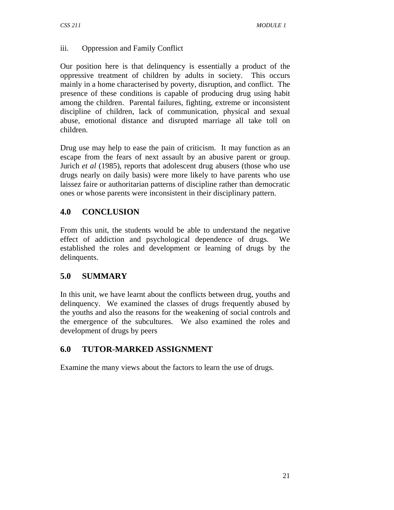### iii. Oppression and Family Conflict

Our position here is that delinquency is essentially a product of the oppressive treatment of children by adults in society. This occurs mainly in a home characterised by poverty, disruption, and conflict. The presence of these conditions is capable of producing drug using habit among the children. Parental failures, fighting, extreme or inconsistent discipline of children, lack of communication, physical and sexual abuse, emotional distance and disrupted marriage all take toll on children.

Drug use may help to ease the pain of criticism. It may function as an escape from the fears of next assault by an abusive parent or group. Jurich *et al* (1985), reports that adolescent drug abusers (those who use drugs nearly on daily basis) were more likely to have parents who use laissez faire or authoritarian patterns of discipline rather than democratic ones or whose parents were inconsistent in their disciplinary pattern.

# **4.0 CONCLUSION**

From this unit, the students would be able to understand the negative effect of addiction and psychological dependence of drugs. We established the roles and development or learning of drugs by the delinquents.

# **5.0 SUMMARY**

In this unit, we have learnt about the conflicts between drug, youths and delinquency. We examined the classes of drugs frequently abused by the youths and also the reasons for the weakening of social controls and the emergence of the subcultures. We also examined the roles and development of drugs by peers

# **6.0 TUTOR-MARKED ASSIGNMENT**

Examine the many views about the factors to learn the use of drugs.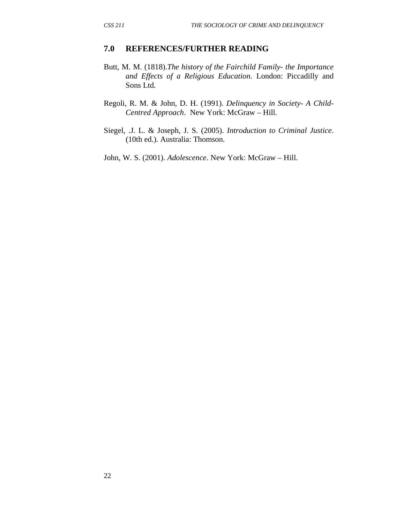#### **7.0 REFERENCES/FURTHER READING**

- Butt, M. M. (1818).*The history of the Fairchild Family the Importance and Effects of a Religious Education*. London: Piccadilly and Sons Ltd.
- Regoli, R. M. & John, D. H. (1991). *Delinquency in Society A Child-Centred Approach*. New York: McGraw – Hill.
- Siegel, .J. L. & Joseph, J. S. (2005). *Introduction to Criminal Justice*. (10th ed.). Australia: Thomson.

John, W. S. (2001). *Adolescence*. New York: McGraw – Hill.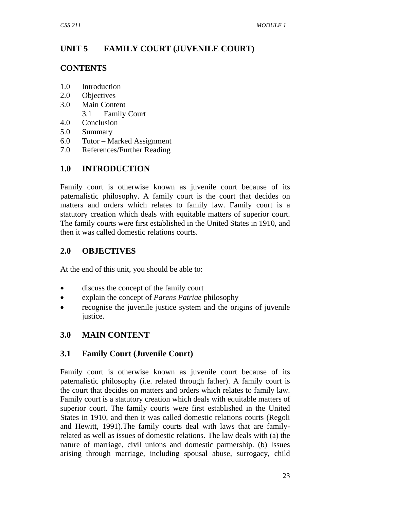# **UNIT 5 FAMILY COURT (JUVENILE COURT)**

### **CONTENTS**

- 1.0 Introduction
- 2.0 Objectives
- 3.0 Main Content
	- 3.1 Family Court
- 4.0 Conclusion
- 5.0 Summary
- 6.0 Tutor Marked Assignment
- 7.0 References/Further Reading

# **1.0 INTRODUCTION**

Family court is otherwise known as juvenile court because of its paternalistic philosophy. A family court is the court that decides on matters and orders which relates to family law. Family court is a statutory creation which deals with equitable matters of superior court. The family courts were first established in the United States in 1910, and then it was called domestic relations courts.

# **2.0 OBJECTIVES**

At the end of this unit, you should be able to:

- discuss the concept of the family court
- explain the concept of *Parens Patriae* philosophy
- recognise the juvenile justice system and the origins of juvenile justice.

# **3.0 MAIN CONTENT**

# **3.1 Family Court (Juvenile Court)**

Family court is otherwise known as juvenile court because of its paternalistic philosophy (i.e. related through father). A family court is the court that decides on matters and orders which relates to family law. Family court is a statutory creation which deals with equitable matters of superior court. The family courts were first established in the United States in 1910, and then it was called domestic relations courts (Regoli and Hewitt, 1991).The family courts deal with laws that are familyrelated as well as issues of domestic relations. The law deals with (a) the nature of marriage, civil unions and domestic partnership. (b) Issues arising through marriage, including spousal abuse, surrogacy, child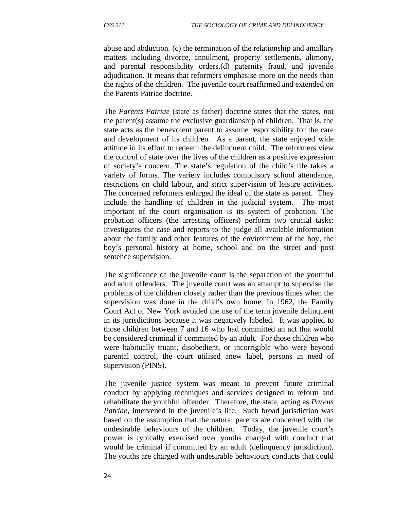abuse and abduction. (c) the termination of the relationship and ancillary matters including divorce, annulment, property settlements, alimony, and parental responsibility orders.(d) paternity fraud, and juvenile adjudication. It means that reformers emphasise more on the needs than the rights of the children. The juvenile court reaffirmed and extended on the Parents Patriae doctrine.

The *Parents Patriae* (state as father) doctrine states that the states, not the parent(s) assume the exclusive guardianship of children. That is, the state acts as the benevolent parent to assume responsibility for the care and development of its children. As a parent, the state enjoyed wide attitude in its effort to redeem the delinquent child. The reformers view the control of state over the lives of the children as a positive expression of society's concern. The state's regulation of the child's life takes a variety of forms. The variety includes compulsory school attendance, restrictions on child labour, and strict supervision of leisure activities. The concerned reformers enlarged the ideal of the state as parent. They include the handling of children in the judicial system. The most important of the court organisation is its system of probation. The probation officers (the arresting officers) perform two crucial tasks: investigates the case and reports to the judge all available information about the family and other features of the environment of the boy, the boy's personal history at home, school and on the street and post sentence supervision.

The significance of the juvenile court is the separation of the youthful and adult offenders. The juvenile court was an attempt to supervise the problems of the children closely rather than the previous times when the supervision was done in the child's own home. In 1962, the Family Court Act of New York avoided the use of the term juvenile delinquent in its jurisdictions because it was negatively labeled. It was applied to those children between 7 and 16 who had committed an act that would be considered criminal if committed by an adult. For those children who were habitually truant, disobedient, or incorrigible who were beyond parental control, the court utilised anew label, persons in need of supervision (PINS).

The juvenile justice system was meant to prevent future criminal conduct by applying techniques and services designed to reform and rehabilitate the youthful offender. Therefore, the state, acting as *Parens Patriae*, intervened in the juvenile's life. Such broad jurisdiction was based on the assumption that the natural parents are concerned with the undesirable behaviours of the children. Today, the juvenile court's power is typically exercised over youths charged with conduct that would be criminal if committed by an adult (delinquency jurisdiction). The youths are charged with undesirable behaviours conducts that could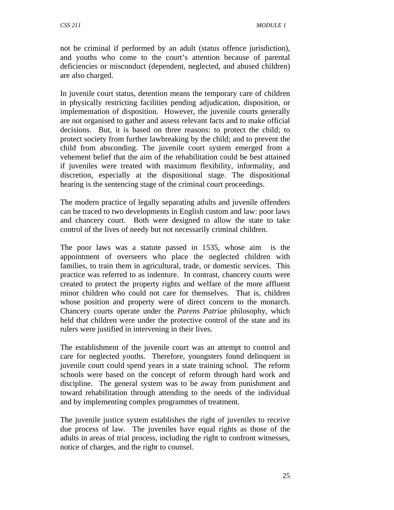not be criminal if performed by an adult (status offence jurisdiction), and youths who come to the court's attention because of parental deficiencies or misconduct (dependent, neglected, and abused children) are also charged.

In juvenile court status, detention means the temporary care of children in physically restricting facilities pending adjudication, disposition, or implementation of disposition. However, the juvenile courts generally are not organised to gather and assess relevant facts and to make official decisions. But, it is based on three reasons: to protect the child; to protect society from further lawbreaking by the child; and to prevent the child from absconding. The juvenile court system emerged from a vehement belief that the aim of the rehabilitation could be best attained if juveniles were treated with maximum flexibility, informality, and discretion, especially at the dispositional stage. The dispositional hearing is the sentencing stage of the criminal court proceedings.

The modern practice of legally separating adults and juvenile offenders can be traced to two developments in English custom and law: poor laws and chancery court. Both were designed to allow the state to take control of the lives of needy but not necessarily criminal children.

The poor laws was a statute passed in 1535, whose aim is the appointment of overseers who place the neglected children with families, to train them in agricultural, trade, or domestic services. This practice was referred to as indenture. In contrast, chancery courts were created to protect the property rights and welfare of the more affluent minor children who could not care for themselves. That is, children whose position and property were of direct concern to the monarch. Chancery courts operate under the *Parens Patriae* philosophy, which held that children were under the protective control of the state and its rulers were justified in intervening in their lives.

The establishment of the juvenile court was an attempt to control and care for neglected youths. Therefore, youngsters found delinquent in juvenile court could spend years in a state training school. The reform schools were based on the concept of reform through hard work and discipline. The general system was to be away from punishment and toward rehabilitation through attending to the needs of the individual and by implementing complex programmes of treatment.

The juvenile justice system establishes the right of juveniles to receive due process of law. The juveniles have equal rights as those of the adults in areas of trial process, including the right to confront witnesses, notice of charges, and the right to counsel.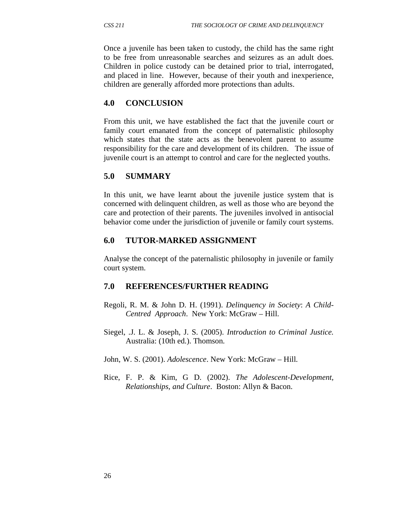Once a juvenile has been taken to custody, the child has the same right to be free from unreasonable searches and seizures as an adult does. Children in police custody can be detained prior to trial, interrogated, and placed in line. However, because of their youth and inexperience, children are generally afforded more protections than adults.

## **4.0 CONCLUSION**

From this unit, we have established the fact that the juvenile court or family court emanated from the concept of paternalistic philosophy which states that the state acts as the benevolent parent to assume responsibility for the care and development of its children. The issue of juvenile court is an attempt to control and care for the neglected youths.

## **5.0 SUMMARY**

In this unit, we have learnt about the juvenile justice system that is concerned with delinquent children, as well as those who are beyond the care and protection of their parents. The juveniles involved in antisocial behavior come under the jurisdiction of juvenile or family court systems.

## **6.0 TUTOR-MARKED ASSIGNMENT**

Analyse the concept of the paternalistic philosophy in juvenile or family court system.

## **7.0 REFERENCES/FURTHER READING**

- Regoli, R. M. & John D. H. (1991). *Delinquency in Society*: *A Child-Centred Approach*. New York: McGraw – Hill.
- Siegel, .J. L. & Joseph, J. S. (2005). *Introduction to Criminal Justice.* Australia: (10th ed.). Thomson.
- John, W. S. (2001). *Adolescence*. New York: McGraw Hill.
- Rice, F. P. & Kim, G D. (2002). *The Adolescent-Development, Relationships, and Culture*. Boston: Allyn & Bacon.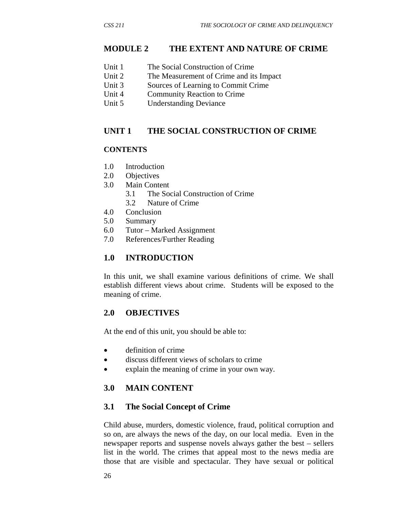## **MODULE 2 THE EXTENT AND NATURE OF CRIME**

|  | Unit 1 | The Social Construction of Crime |
|--|--------|----------------------------------|
|--|--------|----------------------------------|

- Unit 2 The Measurement of Crime and its Impact
- Unit 3 Sources of Learning to Commit Crime
- Unit 4 Community Reaction to Crime
- Unit 5 Understanding Deviance

## **UNIT 1 THE SOCIAL CONSTRUCTION OF CRIME**

### **CONTENTS**

- 1.0 Introduction
- 2.0 Objectives
- 3.0 Main Content
	- 3.1 The Social Construction of Crime
	- 3.2 Nature of Crime
- 4.0 Conclusion
- 5.0 Summary
- 6.0 Tutor Marked Assignment
- 7.0 References/Further Reading

## **1.0 INTRODUCTION**

In this unit, we shall examine various definitions of crime. We shall establish different views about crime. Students will be exposed to the meaning of crime.

## **2.0 OBJECTIVES**

At the end of this unit, you should be able to:

- definition of crime
- discuss different views of scholars to crime
- explain the meaning of crime in your own way.

## **3.0 MAIN CONTENT**

## **3.1 The Social Concept of Crime**

Child abuse, murders, domestic violence, fraud, political corruption and so on, are always the news of the day, on our local media. Even in the newspaper reports and suspense novels always gather the best – sellers list in the world. The crimes that appeal most to the news media are those that are visible and spectacular. They have sexual or political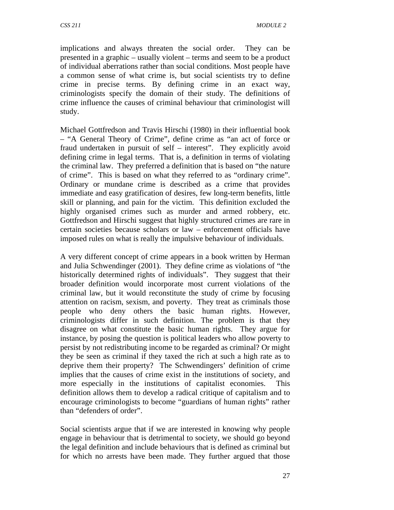implications and always threaten the social order. They can be presented in a graphic – usually violent – terms and seem to be a product of individual aberrations rather than social conditions. Most people have a common sense of what crime is, but social scientists try to define crime in precise terms. By defining crime in an exact way, criminologists specify the domain of their study. The definitions of crime influence the causes of criminal behaviour that criminologist will study.

Michael Gottfredson and Travis Hirschi (1980) in their influential book – "A General Theory of Crime", define crime as "an act of force or fraud undertaken in pursuit of self – interest". They explicitly avoid defining crime in legal terms. That is, a definition in terms of violating the criminal law. They preferred a definition that is based on "the nature of crime". This is based on what they referred to as "ordinary crime". Ordinary or mundane crime is described as a crime that provides immediate and easy gratification of desires, few long-term benefits, little skill or planning, and pain for the victim. This definition excluded the highly organised crimes such as murder and armed robbery, etc. Gottfredson and Hirschi suggest that highly structured crimes are rare in certain societies because scholars or law – enforcement officials have imposed rules on what is really the impulsive behaviour of individuals.

A very different concept of crime appears in a book written by Herman and Julia Schwendinger (2001). They define crime as violations of "the historically determined rights of individuals". They suggest that their broader definition would incorporate most current violations of the criminal law, but it would reconstitute the study of crime by focusing attention on racism, sexism, and poverty. They treat as criminals those people who deny others the basic human rights. However, criminologists differ in such definition. The problem is that they disagree on what constitute the basic human rights. They argue for instance, by posing the question is political leaders who allow poverty to persist by not redistributing income to be regarded as criminal? Or might they be seen as criminal if they taxed the rich at such a high rate as to deprive them their property? The Schwendingers' definition of crime implies that the causes of crime exist in the institutions of society, and more especially in the institutions of capitalist economies. This definition allows them to develop a radical critique of capitalism and to encourage criminologists to become "guardians of human rights" rather than "defenders of order".

Social scientists argue that if we are interested in knowing why people engage in behaviour that is detrimental to society, we should go beyond the legal definition and include behaviours that is defined as criminal but for which no arrests have been made. They further argued that those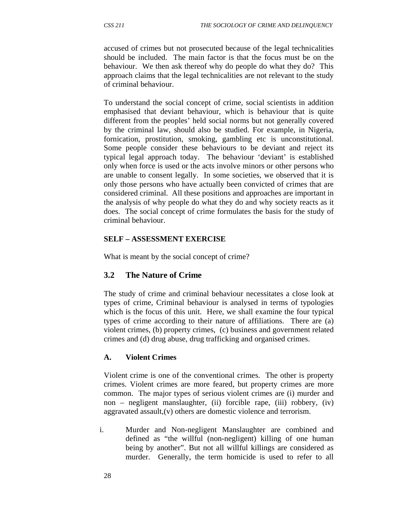accused of crimes but not prosecuted because of the legal technicalities should be included. The main factor is that the focus must be on the behaviour. We then ask thereof why do people do what they do? This approach claims that the legal technicalities are not relevant to the study of criminal behaviour.

To understand the social concept of crime, social scientists in addition emphasised that deviant behaviour, which is behaviour that is quite different from the peoples' held social norms but not generally covered by the criminal law, should also be studied. For example, in Nigeria, fornication, prostitution, smoking, gambling etc is unconstitutional. Some people consider these behaviours to be deviant and reject its typical legal approach today. The behaviour 'deviant' is established only when force is used or the acts involve minors or other persons who are unable to consent legally. In some societies, we observed that it is only those persons who have actually been convicted of crimes that are considered criminal. All these positions and approaches are important in the analysis of why people do what they do and why society reacts as it does. The social concept of crime formulates the basis for the study of criminal behaviour.

## **SELF – ASSESSMENT EXERCISE**

What is meant by the social concept of crime?

## **3.2 The Nature of Crime**

The study of crime and criminal behaviour necessitates a close look at types of crime, Criminal behaviour is analysed in terms of typologies which is the focus of this unit. Here, we shall examine the four typical types of crime according to their nature of affiliations. There are (a) violent crimes, (b) property crimes, (c) business and government related crimes and (d) drug abuse, drug trafficking and organised crimes.

## **A. Violent Crimes**

Violent crime is one of the conventional crimes. The other is property crimes. Violent crimes are more feared, but property crimes are more common. The major types of serious violent crimes are (i) murder and non – negligent manslaughter, (ii) forcible rape, (iii) robbery, (iv) aggravated assault,(v) others are domestic violence and terrorism.

i. Murder and Non-negligent Manslaughter are combined and defined as "the willful (non-negligent) killing of one human being by another". But not all willful killings are considered as murder. Generally, the term homicide is used to refer to all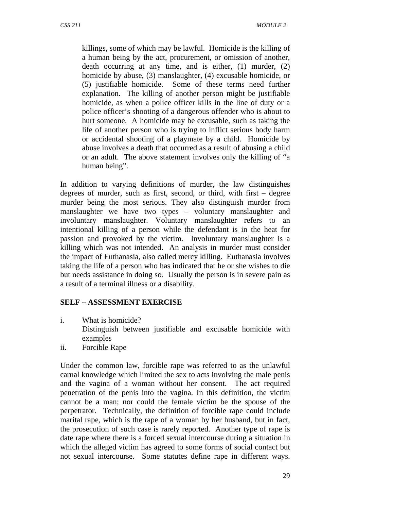killings, some of which may be lawful. Homicide is the killing of a human being by the act, procurement, or omission of another, death occurring at any time, and is either, (1) murder, (2) homicide by abuse, (3) manslaughter, (4) excusable homicide, or (5) justifiable homicide. Some of these terms need further explanation. The killing of another person might be justifiable homicide, as when a police officer kills in the line of duty or a police officer's shooting of a dangerous offender who is about to hurt someone. A homicide may be excusable, such as taking the life of another person who is trying to inflict serious body harm or accidental shooting of a playmate by a child. Homicide by abuse involves a death that occurred as a result of abusing a child or an adult. The above statement involves only the killing of "a human being".

In addition to varying definitions of murder, the law distinguishes degrees of murder, such as first, second, or third, with first – degree murder being the most serious. They also distinguish murder from manslaughter we have two types – voluntary manslaughter and involuntary manslaughter. Voluntary manslaughter refers to an intentional killing of a person while the defendant is in the heat for passion and provoked by the victim. Involuntary manslaughter is a killing which was not intended. An analysis in murder must consider the impact of Euthanasia, also called mercy killing. Euthanasia involves taking the life of a person who has indicated that he or she wishes to die but needs assistance in doing so. Usually the person is in severe pain as a result of a terminal illness or a disability.

## **SELF – ASSESSMENT EXERCISE**

- i. What is homicide? Distinguish between justifiable and excusable homicide with examples
- ii. Forcible Rape

Under the common law, forcible rape was referred to as the unlawful carnal knowledge which limited the sex to acts involving the male penis and the vagina of a woman without her consent. The act required penetration of the penis into the vagina. In this definition, the victim cannot be a man; nor could the female victim be the spouse of the perpetrator. Technically, the definition of forcible rape could include marital rape, which is the rape of a woman by her husband, but in fact, the prosecution of such case is rarely reported. Another type of rape is date rape where there is a forced sexual intercourse during a situation in which the alleged victim has agreed to some forms of social contact but not sexual intercourse. Some statutes define rape in different ways.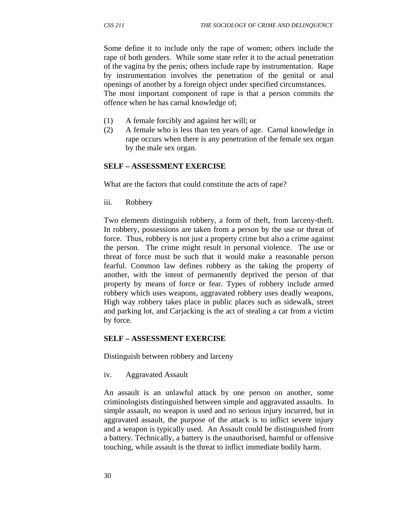Some define it to include only the rape of women; others include the rape of both genders. While some state refer it to the actual penetration of the vagina by the penis; others include rape by instrumentation. Rape by instrumentation involves the penetration of the genital or anal openings of another by a foreign object under specified circumstances. The most important component of rape is that a person commits the offence when he has carnal knowledge of;

- (1) A female forcibly and against her will; or
- (2) A female who is less than ten years of age. Carnal knowledge in rape occurs when there is any penetration of the female sex organ by the male sex organ.

#### **SELF – ASSESSMENT EXERCISE**

What are the factors that could constitute the acts of rape?

iii.Robbery

Two elements distinguish robbery, a form of theft, from larceny-theft. In robbery, possessions are taken from a person by the use or threat of force. Thus, robbery is not just a property crime but also a crime against the person. The crime might result in personal violence. The use or threat of force must be such that it would make a reasonable person fearful. Common law defines robbery as the taking the property of another, with the intent of permanently deprived the person of that property by means of force or fear. Types of robbery include armed robbery which uses weapons, aggravated robbery uses deadly weapons, High way robbery takes place in public places such as sidewalk, street and parking lot, and Carjacking is the act of stealing a car from a victim by force.

#### **SELF – ASSESSMENT EXERCISE**

Distinguish between robbery and larceny

iv. Aggravated Assault

An assault is an unlawful attack by one person on another, some criminologists distinguished between simple and aggravated assaults. In simple assault, no weapon is used and no serious injury incurred, but in aggravated assault, the purpose of the attack is to inflict severe injury and a weapon is typically used. An Assault could be distinguished from a battery. Technically, a battery is the unauthorised, harmful or offensive touching, while assault is the threat to inflict immediate bodily harm.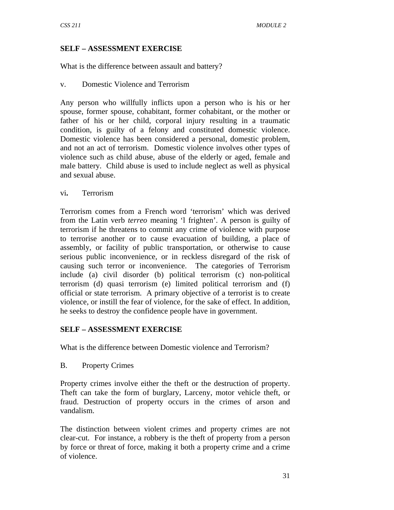## **SELF – ASSESSMENT EXERCISE**

What is the difference between assault and battery?

v.Domestic Violence and Terrorism

Any person who willfully inflicts upon a person who is his or her spouse, former spouse, cohabitant, former cohabitant, or the mother or father of his or her child, corporal injury resulting in a traumatic condition, is guilty of a felony and constituted domestic violence. Domestic violence has been considered a personal, domestic problem, and not an act of terrorism. Domestic violence involves other types of violence such as child abuse, abuse of the elderly or aged, female and male battery. Child abuse is used to include neglect as well as physical and sexual abuse.

vi**.** Terrorism

Terrorism comes from a French word 'terrorism' which was derived from the Latin verb *terreo* meaning 'l frighten'. A person is guilty of terrorism if he threatens to commit any crime of violence with purpose to terrorise another or to cause evacuation of building, a place of assembly, or facility of public transportation, or otherwise to cause serious public inconvenience, or in reckless disregard of the risk of causing such terror or inconvenience. The categories of Terrorism include (a) civil disorder (b) political terrorism (c) non-political terrorism (d) quasi terrorism (e) limited political terrorism and (f) official or state terrorism. A primary objective of a terrorist is to create violence, or instill the fear of violence, for the sake of effect. In addition, he seeks to destroy the confidence people have in government.

## **SELF – ASSESSMENT EXERCISE**

What is the difference between Domestic violence and Terrorism?

B. Property Crimes

Property crimes involve either the theft or the destruction of property. Theft can take the form of burglary, Larceny, motor vehicle theft, or fraud. Destruction of property occurs in the crimes of arson and vandalism.

The distinction between violent crimes and property crimes are not clear-cut. For instance, a robbery is the theft of property from a person by force or threat of force, making it both a property crime and a crime of violence.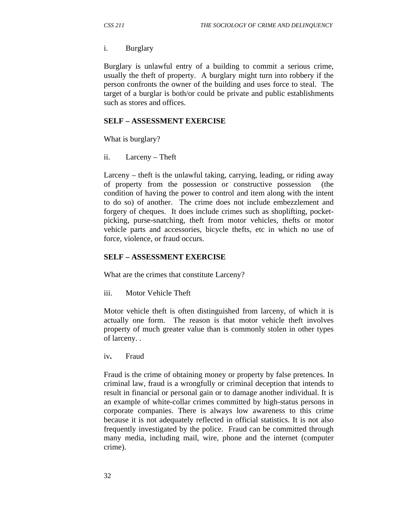#### i.Burglary

Burglary is unlawful entry of a building to commit a serious crime, usually the theft of property. A burglary might turn into robbery if the person confronts the owner of the building and uses force to steal. The target of a burglar is both/or could be private and public establishments such as stores and offices.

#### **SELF – ASSESSMENT EXERCISE**

What is burglary?

ii. Larceny – Theft

Larceny – theft is the unlawful taking, carrying, leading, or riding away of property from the possession or constructive possession (the condition of having the power to control and item along with the intent to do so) of another. The crime does not include embezzlement and forgery of cheques. It does include crimes such as shoplifting, pocketpicking, purse-snatching, theft from motor vehicles, thefts or motor vehicle parts and accessories, bicycle thefts, etc in which no use of force, violence, or fraud occurs.

#### **SELF – ASSESSMENT EXERCISE**

What are the crimes that constitute Larceny?

iii. Motor Vehicle Theft

Motor vehicle theft is often distinguished from larceny, of which it is actually one form. The reason is that motor vehicle theft involves property of much greater value than is commonly stolen in other types of larceny. .

iv**.** Fraud

Fraud is the crime of obtaining money or property by false pretences. In criminal law, fraud is a wrongfully or criminal deception that intends to result in financial or personal gain or to damage another individual. It is an example of white-collar crimes committed by high-status persons in corporate companies. There is always low awareness to this crime because it is not adequately reflected in official statistics. It is not also frequently investigated by the police. Fraud can be committed through many media, including mail, wire, phone and the internet (computer crime).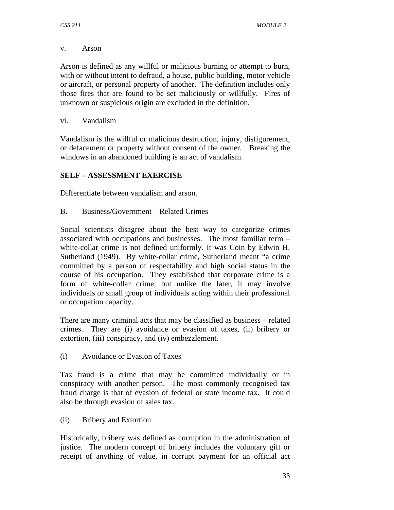#### v. Arson

Arson is defined as any willful or malicious burning or attempt to burn, with or without intent to defraud, a house, public building, motor vehicle or aircraft, or personal property of another. The definition includes only those fires that are found to be set maliciously or willfully. Fires of unknown or suspicious origin are excluded in the definition.

vi. Vandalism

Vandalism is the willful or malicious destruction, injury, disfigurement, or defacement or property without consent of the owner. Breaking the windows in an abandoned building is an act of vandalism.

## **SELF – ASSESSMENT EXERCISE**

Differentiate between vandalism and arson.

B. Business/Government – Related Crimes

Social scientists disagree about the best way to categorize crimes associated with occupations and businesses. The most familiar term – white-collar crime is not defined uniformly. It was Coin by Edwin H. Sutherland (1949). By white-collar crime, Sutherland meant "a crime committed by a person of respectability and high social status in the course of his occupation. They established that corporate crime is a form of white-collar crime, but unlike the later, it may involve individuals or small group of individuals acting within their professional or occupation capacity.

There are many criminal acts that may be classified as business – related crimes. They are (i) avoidance or evasion of taxes, (ii) bribery or extortion, (iii) conspiracy, and (iv) embezzlement.

(i) Avoidance or Evasion of Taxes

Tax fraud is a crime that may be committed individually or in conspiracy with another person. The most commonly recognised tax fraud charge is that of evasion of federal or state income tax. It could also be through evasion of sales tax.

(ii) Bribery and Extortion

Historically, bribery was defined as corruption in the administration of justice. The modern concept of bribery includes the voluntary gift or receipt of anything of value, in corrupt payment for an official act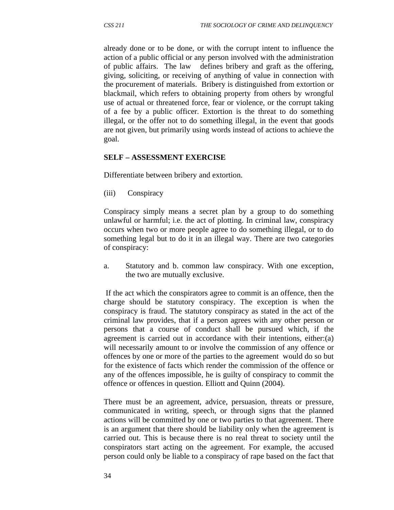already done or to be done, or with the corrupt intent to influence the action of a public official or any person involved with the administration of public affairs. The law defines bribery and graft as the offering, giving, soliciting, or receiving of anything of value in connection with the procurement of materials. Bribery is distinguished from extortion or blackmail, which refers to obtaining property from others by wrongful use of actual or threatened force, fear or violence, or the corrupt taking of a fee by a public officer. Extortion is the threat to do something illegal, or the offer not to do something illegal, in the event that goods are not given, but primarily using words instead of actions to achieve the goal.

### **SELF – ASSESSMENT EXERCISE**

Differentiate between bribery and extortion.

(iii) Conspiracy

Conspiracy simply means a secret plan by a group to do something unlawful or harmful; i.e. the act of plotting. In criminal law, conspiracy occurs when two or more people agree to do something illegal, or to do something legal but to do it in an illegal way. There are two categories of conspiracy:

a. Statutory and b. common law conspiracy. With one exception, the two are mutually exclusive.

 If the act which the conspirators agree to commit is an offence, then the charge should be statutory conspiracy. The exception is when the conspiracy is fraud. The statutory conspiracy as stated in the act of the criminal law provides, that if a person agrees with any other person or persons that a course of conduct shall be pursued which, if the agreement is carried out in accordance with their intentions, either:(a) will necessarily amount to or involve the commission of any offence or offences by one or more of the parties to the agreement would do so but for the existence of facts which render the commission of the offence or any of the offences impossible, he is guilty of conspiracy to commit the offence or offences in question. Elliott and Quinn (2004).

There must be an agreement, advice, persuasion, threats or pressure, communicated in writing, speech, or through signs that the planned actions will be committed by one or two parties to that agreement. There is an argument that there should be liability only when the agreement is carried out. This is because there is no real threat to society until the conspirators start acting on the agreement. For example, the accused person could only be liable to a conspiracy of rape based on the fact that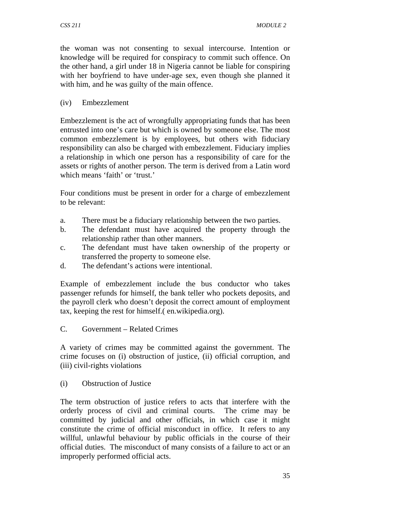the woman was not consenting to sexual intercourse. Intention or knowledge will be required for conspiracy to commit such offence. On the other hand, a girl under 18 in Nigeria cannot be liable for conspiring with her boyfriend to have under-age sex, even though she planned it with him, and he was guilty of the main offence.

## (iv) Embezzlement

Embezzlement is the act of wrongfully appropriating funds that has been entrusted into one's care but which is owned by someone else. The most common embezzlement is by employees, but others with fiduciary responsibility can also be charged with embezzlement. Fiduciary implies a relationship in which one person has a responsibility of care for the assets or rights of another person. The term is derived from a Latin word which means 'faith' or 'trust.'

Four conditions must be present in order for a charge of embezzlement to be relevant:

- a. There must be a fiduciary relationship between the two parties.
- b. The defendant must have acquired the property through the relationship rather than other manners.
- c. The defendant must have taken ownership of the property or transferred the property to someone else.
- d. The defendant's actions were intentional.

Example of embezzlement include the bus conductor who takes passenger refunds for himself, the bank teller who pockets deposits, and the payroll clerk who doesn't deposit the correct amount of employment tax, keeping the rest for himself.( en.wikipedia.org).

C. Government – Related Crimes

A variety of crimes may be committed against the government. The crime focuses on (i) obstruction of justice, (ii) official corruption, and (iii) civil-rights violations

(i) Obstruction of Justice

The term obstruction of justice refers to acts that interfere with the orderly process of civil and criminal courts. The crime may be committed by judicial and other officials, in which case it might constitute the crime of official misconduct in office. It refers to any willful, unlawful behaviour by public officials in the course of their official duties. The misconduct of many consists of a failure to act or an improperly performed official acts.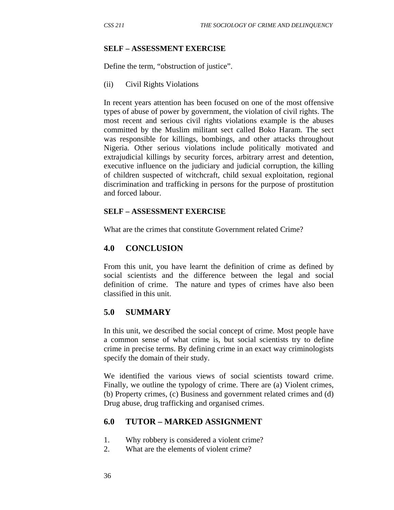#### **SELF – ASSESSMENT EXERCISE**

Define the term, "obstruction of justice".

(ii) Civil Rights Violations

In recent years attention has been focused on one of the most offensive types of abuse of power by government, the violation of civil rights. The most recent and serious civil rights violations example is the abuses committed by the Muslim militant sect called Boko Haram. The sect was responsible for killings, bombings, and other attacks throughout Nigeria. Other serious violations include politically motivated and extrajudicial killings by security forces, arbitrary arrest and detention, executive influence on the judiciary and judicial corruption, the killing of children suspected of witchcraft, child sexual exploitation, regional discrimination and trafficking in persons for the purpose of prostitution and forced labour.

#### **SELF – ASSESSMENT EXERCISE**

What are the crimes that constitute Government related Crime?

### **4.0 CONCLUSION**

From this unit, you have learnt the definition of crime as defined by social scientists and the difference between the legal and social definition of crime. The nature and types of crimes have also been classified in this unit.

#### **5.0 SUMMARY**

In this unit, we described the social concept of crime. Most people have a common sense of what crime is, but social scientists try to define crime in precise terms. By defining crime in an exact way criminologists specify the domain of their study.

We identified the various views of social scientists toward crime. Finally, we outline the typology of crime. There are (a) Violent crimes, (b) Property crimes, (c) Business and government related crimes and (d) Drug abuse, drug trafficking and organised crimes.

## **6.0 TUTOR – MARKED ASSIGNMENT**

- 1. Why robbery is considered a violent crime?
- 2. What are the elements of violent crime?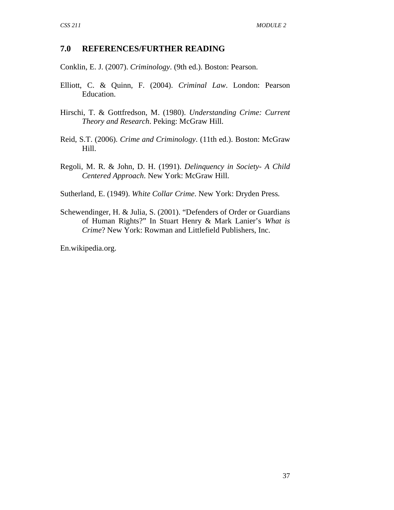## **7.0 REFERENCES/FURTHER READING**

Conklin, E. J. (2007). *Criminology*. (9th ed.). Boston: Pearson.

- Elliott, C. & Quinn, F. (2004). *Criminal Law*. London: Pearson Education.
- Hirschi, T. & Gottfredson, M. (1980). *Understanding Crime: Current Theory and Research*. Peking: McGraw Hill.
- Reid, S.T. (2006). *Crime and Criminology*. (11th ed.). Boston: McGraw Hill.
- Regoli, M. R. & John, D. H. (1991). *Delinquency in Society- A Child Centered Approach*. New York: McGraw Hill.

Sutherland, E. (1949). *White Collar Crime*. New York: Dryden Press.

Schewendinger, H. & Julia, S. (2001). "Defenders of Order or Guardians of Human Rights?" In Stuart Henry & Mark Lanier's *What is Crime*? New York: Rowman and Littlefield Publishers, Inc.

En.wikipedia.org.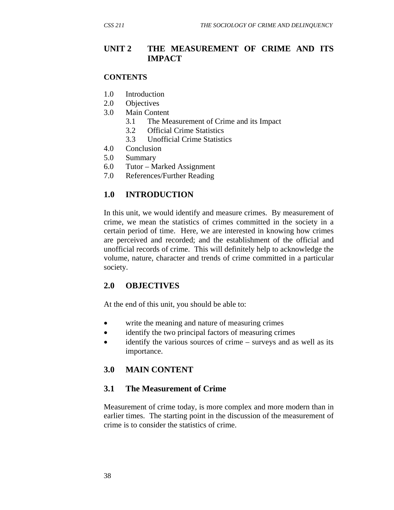## **UNIT 2 THE MEASUREMENT OF CRIME AND ITS IMPACT**

#### **CONTENTS**

- 1.0 Introduction
- 2.0 Objectives
- 3.0 Main Content
	- 3.1 The Measurement of Crime and its Impact
	- 3.2 Official Crime Statistics
	- 3.3 Unofficial Crime Statistics
- 4.0 Conclusion
- 5.0 Summary
- 6.0 Tutor Marked Assignment
- 7.0 References/Further Reading

## **1.0 INTRODUCTION**

In this unit, we would identify and measure crimes. By measurement of crime, we mean the statistics of crimes committed in the society in a certain period of time. Here, we are interested in knowing how crimes are perceived and recorded; and the establishment of the official and unofficial records of crime. This will definitely help to acknowledge the volume, nature, character and trends of crime committed in a particular society.

## **2.0 OBJECTIVES**

At the end of this unit, you should be able to:

- write the meaning and nature of measuring crimes
- identify the two principal factors of measuring crimes
- identify the various sources of crime surveys and as well as its importance.

## **3.0 MAIN CONTENT**

## **3.1 The Measurement of Crime**

Measurement of crime today, is more complex and more modern than in earlier times. The starting point in the discussion of the measurement of crime is to consider the statistics of crime.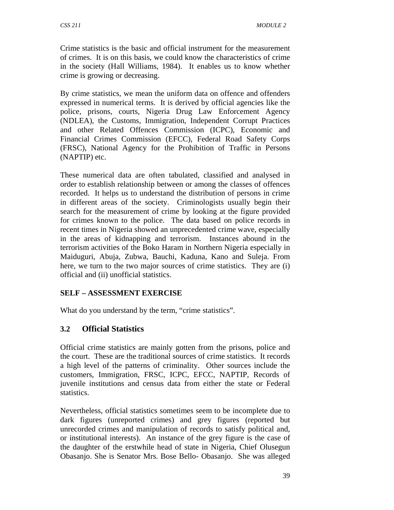Crime statistics is the basic and official instrument for the measurement of crimes. It is on this basis, we could know the characteristics of crime in the society (Hall Williams, 1984). It enables us to know whether crime is growing or decreasing.

By crime statistics, we mean the uniform data on offence and offenders expressed in numerical terms. It is derived by official agencies like the police, prisons, courts, Nigeria Drug Law Enforcement Agency (NDLEA), the Customs, Immigration, Independent Corrupt Practices and other Related Offences Commission (ICPC), Economic and Financial Crimes Commission (EFCC), Federal Road Safety Corps (FRSC), National Agency for the Prohibition of Traffic in Persons (NAPTIP) etc.

These numerical data are often tabulated, classified and analysed in order to establish relationship between or among the classes of offences recorded. It helps us to understand the distribution of persons in crime in different areas of the society. Criminologists usually begin their search for the measurement of crime by looking at the figure provided for crimes known to the police. The data based on police records in recent times in Nigeria showed an unprecedented crime wave, especially in the areas of kidnapping and terrorism. Instances abound in the terrorism activities of the Boko Haram in Northern Nigeria especially in Maiduguri, Abuja, Zubwa, Bauchi, Kaduna, Kano and Suleja. From here, we turn to the two major sources of crime statistics. They are (i) official and (ii) unofficial statistics.

## **SELF – ASSESSMENT EXERCISE**

What do you understand by the term, "crime statistics".

## **3.2 Official Statistics**

Official crime statistics are mainly gotten from the prisons, police and the court. These are the traditional sources of crime statistics. It records a high level of the patterns of criminality. Other sources include the customers, Immigration, FRSC, ICPC, EFCC, NAPTIP, Records of juvenile institutions and census data from either the state or Federal statistics.

Nevertheless, official statistics sometimes seem to be incomplete due to dark figures (unreported crimes) and grey figures (reported but unrecorded crimes and manipulation of records to satisfy political and, or institutional interests). An instance of the grey figure is the case of the daughter of the erstwhile head of state in Nigeria, Chief Olusegun Obasanjo. She is Senator Mrs. Bose Bello- Obasanjo. She was alleged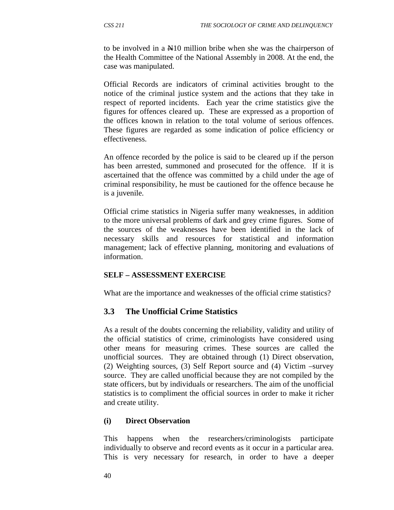to be involved in a N10 million bribe when she was the chairperson of the Health Committee of the National Assembly in 2008. At the end, the case was manipulated.

Official Records are indicators of criminal activities brought to the notice of the criminal justice system and the actions that they take in respect of reported incidents. Each year the crime statistics give the figures for offences cleared up. These are expressed as a proportion of the offices known in relation to the total volume of serious offences. These figures are regarded as some indication of police efficiency or effectiveness.

An offence recorded by the police is said to be cleared up if the person has been arrested, summoned and prosecuted for the offence. If it is ascertained that the offence was committed by a child under the age of criminal responsibility, he must be cautioned for the offence because he is a juvenile.

Official crime statistics in Nigeria suffer many weaknesses, in addition to the more universal problems of dark and grey crime figures. Some of the sources of the weaknesses have been identified in the lack of necessary skills and resources for statistical and information management; lack of effective planning, monitoring and evaluations of information.

## **SELF – ASSESSMENT EXERCISE**

What are the importance and weaknesses of the official crime statistics?

## **3.3 The Unofficial Crime Statistics**

As a result of the doubts concerning the reliability, validity and utility of the official statistics of crime, criminologists have considered using other means for measuring crimes. These sources are called the unofficial sources. They are obtained through (1) Direct observation, (2) Weighting sources, (3) Self Report source and (4) Victim –survey source. They are called unofficial because they are not compiled by the state officers, but by individuals or researchers. The aim of the unofficial statistics is to compliment the official sources in order to make it richer and create utility.

## **(i) Direct Observation**

This happens when the researchers/criminologists participate individually to observe and record events as it occur in a particular area. This is very necessary for research, in order to have a deeper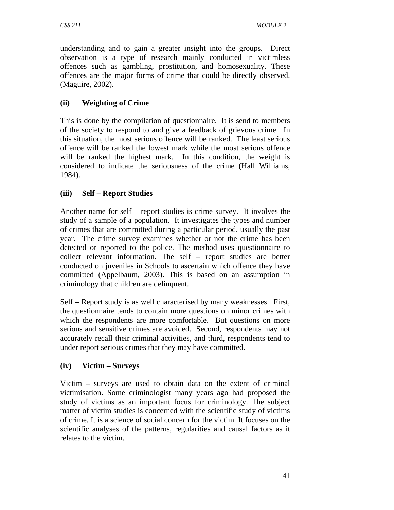understanding and to gain a greater insight into the groups. Direct observation is a type of research mainly conducted in victimless offences such as gambling, prostitution, and homosexuality. These offences are the major forms of crime that could be directly observed. (Maguire, 2002).

## **(ii) Weighting of Crime**

This is done by the compilation of questionnaire. It is send to members of the society to respond to and give a feedback of grievous crime. In this situation, the most serious offence will be ranked. The least serious offence will be ranked the lowest mark while the most serious offence will be ranked the highest mark. In this condition, the weight is considered to indicate the seriousness of the crime (Hall Williams, 1984).

# **(iii) Self – Report Studies**

Another name for self – report studies is crime survey. It involves the study of a sample of a population. It investigates the types and number of crimes that are committed during a particular period, usually the past year. The crime survey examines whether or not the crime has been detected or reported to the police. The method uses questionnaire to collect relevant information. The self – report studies are better conducted on juveniles in Schools to ascertain which offence they have committed (Appelbaum, 2003). This is based on an assumption in criminology that children are delinquent.

Self – Report study is as well characterised by many weaknesses. First, the questionnaire tends to contain more questions on minor crimes with which the respondents are more comfortable. But questions on more serious and sensitive crimes are avoided. Second, respondents may not accurately recall their criminal activities, and third, respondents tend to under report serious crimes that they may have committed.

## **(iv) Victim – Surveys**

Victim – surveys are used to obtain data on the extent of criminal victimisation. Some criminologist many years ago had proposed the study of victims as an important focus for criminology. The subject matter of victim studies is concerned with the scientific study of victims of crime. It is a science of social concern for the victim. It focuses on the scientific analyses of the patterns, regularities and causal factors as it relates to the victim.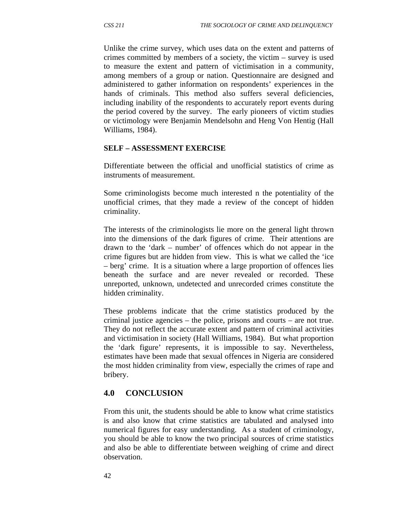Unlike the crime survey, which uses data on the extent and patterns of crimes committed by members of a society, the victim – survey is used to measure the extent and pattern of victimisation in a community, among members of a group or nation. Questionnaire are designed and administered to gather information on respondents' experiences in the hands of criminals. This method also suffers several deficiencies, including inability of the respondents to accurately report events during the period covered by the survey. The early pioneers of victim studies or victimology were Benjamin Mendelsohn and Heng Von Hentig (Hall Williams, 1984).

### **SELF – ASSESSMENT EXERCISE**

Differentiate between the official and unofficial statistics of crime as instruments of measurement.

Some criminologists become much interested n the potentiality of the unofficial crimes, that they made a review of the concept of hidden criminality.

The interests of the criminologists lie more on the general light thrown into the dimensions of the dark figures of crime. Their attentions are drawn to the 'dark – number' of offences which do not appear in the crime figures but are hidden from view. This is what we called the 'ice – berg' crime. It is a situation where a large proportion of offences lies beneath the surface and are never revealed or recorded. These unreported, unknown, undetected and unrecorded crimes constitute the hidden criminality.

These problems indicate that the crime statistics produced by the criminal justice agencies – the police, prisons and courts – are not true. They do not reflect the accurate extent and pattern of criminal activities and victimisation in society (Hall Williams, 1984). But what proportion the 'dark figure' represents, it is impossible to say. Nevertheless, estimates have been made that sexual offences in Nigeria are considered the most hidden criminality from view, especially the crimes of rape and bribery.

## **4.0 CONCLUSION**

From this unit, the students should be able to know what crime statistics is and also know that crime statistics are tabulated and analysed into numerical figures for easy understanding. As a student of criminology, you should be able to know the two principal sources of crime statistics and also be able to differentiate between weighing of crime and direct observation.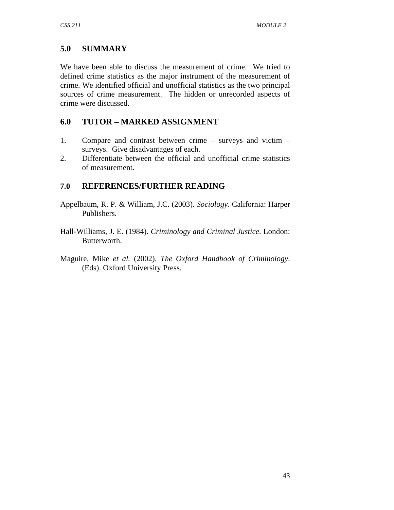# **5.0 SUMMARY**

We have been able to discuss the measurement of crime. We tried to defined crime statistics as the major instrument of the measurement of crime. We identified official and unofficial statistics as the two principal sources of crime measurement. The hidden or unrecorded aspects of crime were discussed.

# **6.0 TUTOR – MARKED ASSIGNMENT**

- 1. Compare and contrast between crime surveys and victim surveys. Give disadvantages of each.
- 2. Differentiate between the official and unofficial crime statistics of measurement.

# **7.0 REFERENCES/FURTHER READING**

- Appelbaum, R. P. & William, J.C. (2003). *Sociology*. California: Harper Publishers.
- Hall-Williams, J. E. (1984). *Criminology and Criminal Justice*. London: Butterworth.
- Maguire, Mike *et al.* (2002). *The Oxford Handbook of Criminology*. (Eds). Oxford University Press.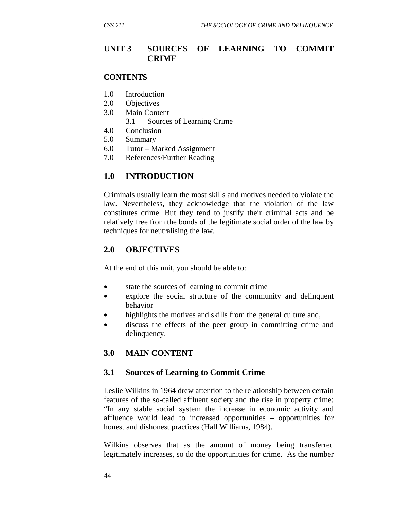## **UNIT 3 SOURCES OF LEARNING TO COMMIT CRIME**

#### **CONTENTS**

- 1.0 Introduction
- 2.0 Objectives
- 3.0 Main Content
	- 3.1 Sources of Learning Crime
- 4.0 Conclusion
- 5.0 Summary
- 6.0 Tutor Marked Assignment
- 7.0 References/Further Reading

### **1.0 INTRODUCTION**

Criminals usually learn the most skills and motives needed to violate the law. Nevertheless, they acknowledge that the violation of the law constitutes crime. But they tend to justify their criminal acts and be relatively free from the bonds of the legitimate social order of the law by techniques for neutralising the law.

#### **2.0 OBJECTIVES**

At the end of this unit, you should be able to:

- state the sources of learning to commit crime
- explore the social structure of the community and delinquent behavior
- highlights the motives and skills from the general culture and,
- discuss the effects of the peer group in committing crime and delinquency.

#### **3.0 MAIN CONTENT**

#### **3.1 Sources of Learning to Commit Crime**

Leslie Wilkins in 1964 drew attention to the relationship between certain features of the so-called affluent society and the rise in property crime: "In any stable social system the increase in economic activity and affluence would lead to increased opportunities – opportunities for honest and dishonest practices (Hall Williams, 1984).

Wilkins observes that as the amount of money being transferred legitimately increases, so do the opportunities for crime. As the number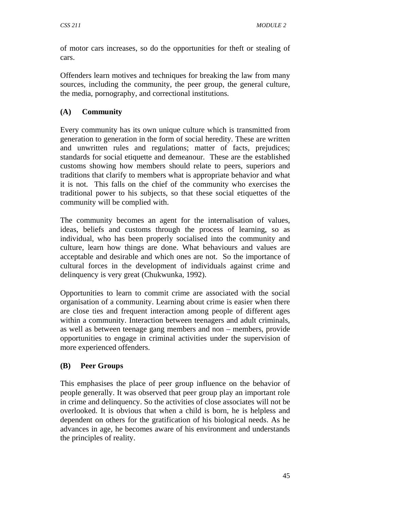of motor cars increases, so do the opportunities for theft or stealing of cars.

Offenders learn motives and techniques for breaking the law from many sources, including the community, the peer group, the general culture, the media, pornography, and correctional institutions.

# **(A) Community**

Every community has its own unique culture which is transmitted from generation to generation in the form of social heredity. These are written and unwritten rules and regulations; matter of facts, prejudices; standards for social etiquette and demeanour. These are the established customs showing how members should relate to peers, superiors and traditions that clarify to members what is appropriate behavior and what it is not. This falls on the chief of the community who exercises the traditional power to his subjects, so that these social etiquettes of the community will be complied with.

The community becomes an agent for the internalisation of values, ideas, beliefs and customs through the process of learning, so as individual, who has been properly socialised into the community and culture, learn how things are done. What behaviours and values are acceptable and desirable and which ones are not. So the importance of cultural forces in the development of individuals against crime and delinquency is very great (Chukwunka, 1992).

Opportunities to learn to commit crime are associated with the social organisation of a community. Learning about crime is easier when there are close ties and frequent interaction among people of different ages within a community. Interaction between teenagers and adult criminals, as well as between teenage gang members and non – members, provide opportunities to engage in criminal activities under the supervision of more experienced offenders.

## **(B) Peer Groups**

This emphasises the place of peer group influence on the behavior of people generally. It was observed that peer group play an important role in crime and delinquency. So the activities of close associates will not be overlooked. It is obvious that when a child is born, he is helpless and dependent on others for the gratification of his biological needs. As he advances in age, he becomes aware of his environment and understands the principles of reality.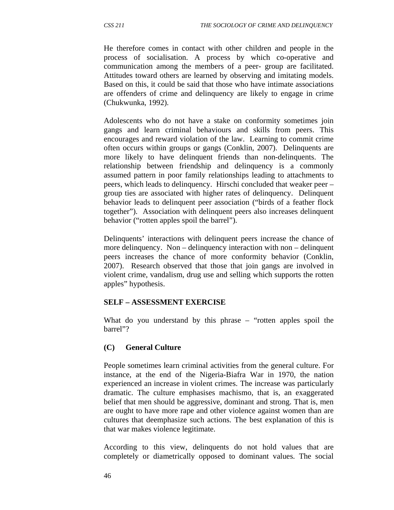He therefore comes in contact with other children and people in the process of socialisation. A process by which co-operative and communication among the members of a peer- group are facilitated. Attitudes toward others are learned by observing and imitating models. Based on this, it could be said that those who have intimate associations are offenders of crime and delinquency are likely to engage in crime (Chukwunka, 1992).

Adolescents who do not have a stake on conformity sometimes join gangs and learn criminal behaviours and skills from peers. This encourages and reward violation of the law. Learning to commit crime often occurs within groups or gangs (Conklin, 2007). Delinquents are more likely to have delinquent friends than non-delinquents. The relationship between friendship and delinquency is a commonly assumed pattern in poor family relationships leading to attachments to peers, which leads to delinquency. Hirschi concluded that weaker peer – group ties are associated with higher rates of delinquency. Delinquent behavior leads to delinquent peer association ("birds of a feather flock together"). Association with delinquent peers also increases delinquent behavior ("rotten apples spoil the barrel").

Delinquents' interactions with delinquent peers increase the chance of more delinquency. Non – delinquency interaction with non – delinquent peers increases the chance of more conformity behavior (Conklin, 2007). Research observed that those that join gangs are involved in violent crime, vandalism, drug use and selling which supports the rotten apples" hypothesis.

#### **SELF – ASSESSMENT EXERCISE**

What do you understand by this phrase – "rotten apples spoil the barrel"?

## **(C) General Culture**

People sometimes learn criminal activities from the general culture. For instance, at the end of the Nigeria-Biafra War in 1970, the nation experienced an increase in violent crimes. The increase was particularly dramatic. The culture emphasises machismo, that is, an exaggerated belief that men should be aggressive, dominant and strong. That is, men are ought to have more rape and other violence against women than are cultures that deemphasize such actions. The best explanation of this is that war makes violence legitimate.

According to this view, delinquents do not hold values that are completely or diametrically opposed to dominant values. The social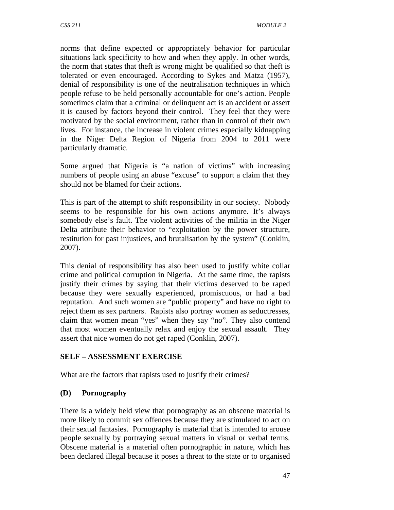norms that define expected or appropriately behavior for particular situations lack specificity to how and when they apply. In other words, the norm that states that theft is wrong might be qualified so that theft is tolerated or even encouraged. According to Sykes and Matza (1957), denial of responsibility is one of the neutralisation techniques in which people refuse to be held personally accountable for one's action. People sometimes claim that a criminal or delinquent act is an accident or assert it is caused by factors beyond their control. They feel that they were motivated by the social environment, rather than in control of their own lives. For instance, the increase in violent crimes especially kidnapping in the Niger Delta Region of Nigeria from 2004 to 2011 were particularly dramatic.

Some argued that Nigeria is "a nation of victims" with increasing numbers of people using an abuse "excuse" to support a claim that they should not be blamed for their actions.

This is part of the attempt to shift responsibility in our society. Nobody seems to be responsible for his own actions anymore. It's always somebody else's fault. The violent activities of the militia in the Niger Delta attribute their behavior to "exploitation by the power structure, restitution for past injustices, and brutalisation by the system" (Conklin, 2007).

This denial of responsibility has also been used to justify white collar crime and political corruption in Nigeria. At the same time, the rapists justify their crimes by saying that their victims deserved to be raped because they were sexually experienced, promiscuous, or had a bad reputation. And such women are "public property" and have no right to reject them as sex partners. Rapists also portray women as seductresses, claim that women mean "yes" when they say "no". They also contend that most women eventually relax and enjoy the sexual assault. They assert that nice women do not get raped (Conklin, 2007).

## **SELF – ASSESSMENT EXERCISE**

What are the factors that rapists used to justify their crimes?

## **(D) Pornography**

There is a widely held view that pornography as an obscene material is more likely to commit sex offences because they are stimulated to act on their sexual fantasies. Pornography is material that is intended to arouse people sexually by portraying sexual matters in visual or verbal terms. Obscene material is a material often pornographic in nature, which has been declared illegal because it poses a threat to the state or to organised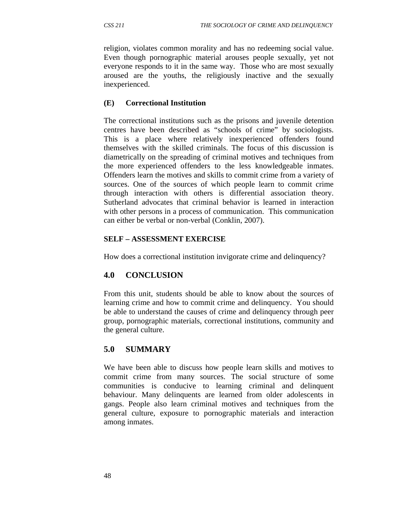religion, violates common morality and has no redeeming social value. Even though pornographic material arouses people sexually, yet not everyone responds to it in the same way. Those who are most sexually aroused are the youths, the religiously inactive and the sexually inexperienced.

## **(E) Correctional Institution**

The correctional institutions such as the prisons and juvenile detention centres have been described as "schools of crime" by sociologists. This is a place where relatively inexperienced offenders found themselves with the skilled criminals. The focus of this discussion is diametrically on the spreading of criminal motives and techniques from the more experienced offenders to the less knowledgeable inmates. Offenders learn the motives and skills to commit crime from a variety of sources. One of the sources of which people learn to commit crime through interaction with others is differential association theory. Sutherland advocates that criminal behavior is learned in interaction with other persons in a process of communication. This communication can either be verbal or non-verbal (Conklin, 2007).

## **SELF – ASSESSMENT EXERCISE**

How does a correctional institution invigorate crime and delinquency?

# **4.0 CONCLUSION**

From this unit, students should be able to know about the sources of learning crime and how to commit crime and delinquency. You should be able to understand the causes of crime and delinquency through peer group, pornographic materials, correctional institutions, community and the general culture.

# **5.0 SUMMARY**

We have been able to discuss how people learn skills and motives to commit crime from many sources. The social structure of some communities is conducive to learning criminal and delinquent behaviour. Many delinquents are learned from older adolescents in gangs. People also learn criminal motives and techniques from the general culture, exposure to pornographic materials and interaction among inmates.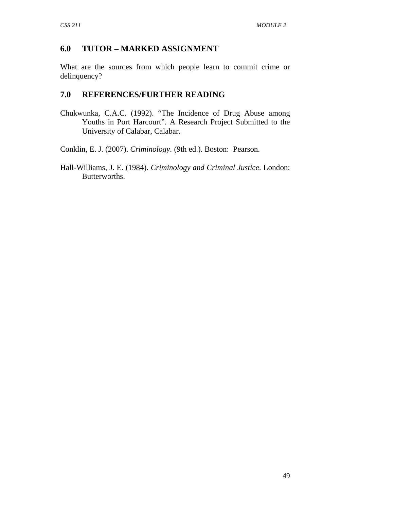# **6.0 TUTOR – MARKED ASSIGNMENT**

What are the sources from which people learn to commit crime or delinquency?

## **7.0 REFERENCES/FURTHER READING**

Chukwunka, C.A.C. (1992). "The Incidence of Drug Abuse among Youths in Port Harcourt". A Research Project Submitted to the University of Calabar, Calabar.

Conklin, E. J. (2007). *Criminology*. (9th ed.). Boston: Pearson.

Hall-Williams, J. E. (1984). *Criminology and Criminal Justice*. London: Butterworths.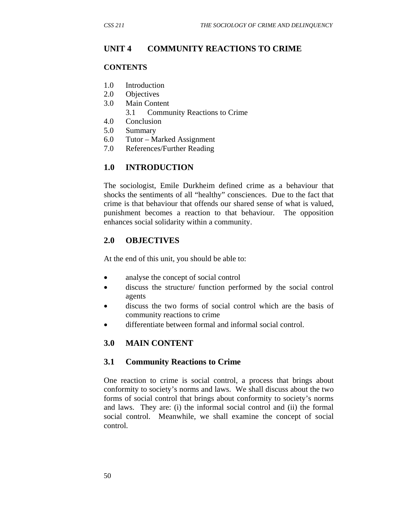# **UNIT 4 COMMUNITY REACTIONS TO CRIME**

### **CONTENTS**

- 1.0 Introduction
- 2.0 Objectives
- 3.0 Main Content
	- 3.1 Community Reactions to Crime
- 4.0 Conclusion
- 5.0 Summary
- 6.0 Tutor Marked Assignment
- 7.0 References/Further Reading

# **1.0 INTRODUCTION**

The sociologist, Emile Durkheim defined crime as a behaviour that shocks the sentiments of all "healthy" consciences. Due to the fact that crime is that behaviour that offends our shared sense of what is valued, punishment becomes a reaction to that behaviour. The opposition enhances social solidarity within a community.

## **2.0 OBJECTIVES**

At the end of this unit, you should be able to:

- analyse the concept of social control
- discuss the structure/ function performed by the social control agents
- discuss the two forms of social control which are the basis of community reactions to crime
- differentiate between formal and informal social control.

## **3.0 MAIN CONTENT**

## **3.1 Community Reactions to Crime**

One reaction to crime is social control, a process that brings about conformity to society's norms and laws. We shall discuss about the two forms of social control that brings about conformity to society's norms and laws. They are: (i) the informal social control and (ii) the formal social control. Meanwhile, we shall examine the concept of social control.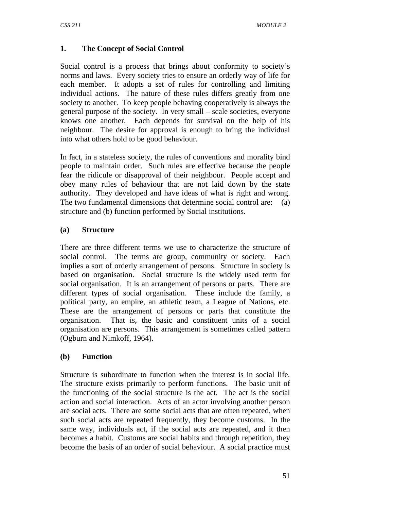## **1. The Concept of Social Control**

Social control is a process that brings about conformity to society's norms and laws. Every society tries to ensure an orderly way of life for each member. It adopts a set of rules for controlling and limiting individual actions. The nature of these rules differs greatly from one society to another. To keep people behaving cooperatively is always the general purpose of the society. In very small – scale societies, everyone knows one another. Each depends for survival on the help of his neighbour. The desire for approval is enough to bring the individual into what others hold to be good behaviour.

In fact, in a stateless society, the rules of conventions and morality bind people to maintain order. Such rules are effective because the people fear the ridicule or disapproval of their neighbour. People accept and obey many rules of behaviour that are not laid down by the state authority. They developed and have ideas of what is right and wrong. The two fundamental dimensions that determine social control are: (a) structure and (b) function performed by Social institutions.

## **(a) Structure**

There are three different terms we use to characterize the structure of social control. The terms are group, community or society. Each implies a sort of orderly arrangement of persons. Structure in society is based on organisation. Social structure is the widely used term for social organisation. It is an arrangement of persons or parts. There are different types of social organisation. These include the family, a political party, an empire, an athletic team, a League of Nations, etc. These are the arrangement of persons or parts that constitute the organisation. That is, the basic and constituent units of a social organisation are persons. This arrangement is sometimes called pattern (Ogburn and Nimkoff, 1964).

## **(b) Function**

Structure is subordinate to function when the interest is in social life. The structure exists primarily to perform functions. The basic unit of the functioning of the social structure is the act. The act is the social action and social interaction. Acts of an actor involving another person are social acts. There are some social acts that are often repeated, when such social acts are repeated frequently, they become customs. In the same way, individuals act, if the social acts are repeated, and it then becomes a habit. Customs are social habits and through repetition, they become the basis of an order of social behaviour. A social practice must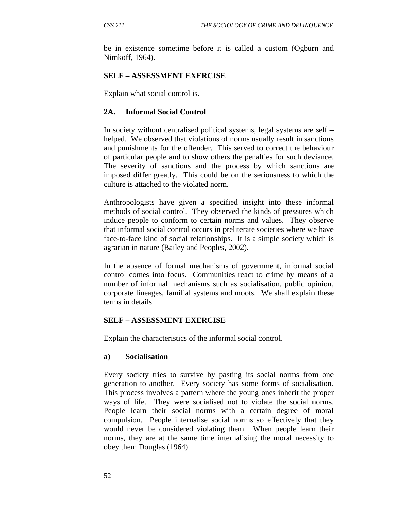be in existence sometime before it is called a custom (Ogburn and Nimkoff, 1964).

### **SELF – ASSESSMENT EXERCISE**

Explain what social control is.

### **2A. Informal Social Control**

In society without centralised political systems, legal systems are self – helped. We observed that violations of norms usually result in sanctions and punishments for the offender. This served to correct the behaviour of particular people and to show others the penalties for such deviance. The severity of sanctions and the process by which sanctions are imposed differ greatly. This could be on the seriousness to which the culture is attached to the violated norm.

Anthropologists have given a specified insight into these informal methods of social control. They observed the kinds of pressures which induce people to conform to certain norms and values. They observe that informal social control occurs in preliterate societies where we have face-to-face kind of social relationships. It is a simple society which is agrarian in nature (Bailey and Peoples, 2002).

In the absence of formal mechanisms of government, informal social control comes into focus. Communities react to crime by means of a number of informal mechanisms such as socialisation, public opinion, corporate lineages, familial systems and moots. We shall explain these terms in details.

## **SELF – ASSESSMENT EXERCISE**

Explain the characteristics of the informal social control.

#### **a) Socialisation**

Every society tries to survive by pasting its social norms from one generation to another. Every society has some forms of socialisation. This process involves a pattern where the young ones inherit the proper ways of life. They were socialised not to violate the social norms. People learn their social norms with a certain degree of moral compulsion. People internalise social norms so effectively that they would never be considered violating them. When people learn their norms, they are at the same time internalising the moral necessity to obey them Douglas (1964).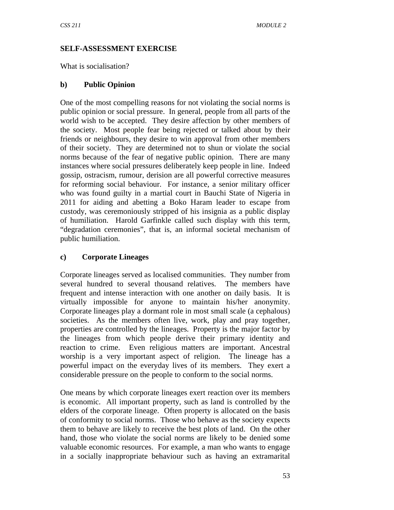### **SELF-ASSESSMENT EXERCISE**

What is socialisation?

## **b) Public Opinion**

One of the most compelling reasons for not violating the social norms is public opinion or social pressure. In general, people from all parts of the world wish to be accepted. They desire affection by other members of the society. Most people fear being rejected or talked about by their friends or neighbours, they desire to win approval from other members of their society. They are determined not to shun or violate the social norms because of the fear of negative public opinion. There are many instances where social pressures deliberately keep people in line. Indeed gossip, ostracism, rumour, derision are all powerful corrective measures for reforming social behaviour. For instance, a senior military officer who was found guilty in a martial court in Bauchi State of Nigeria in 2011 for aiding and abetting a Boko Haram leader to escape from custody, was ceremoniously stripped of his insignia as a public display of humiliation. Harold Garfinkle called such display with this term, "degradation ceremonies", that is, an informal societal mechanism of public humiliation.

## **c) Corporate Lineages**

Corporate lineages served as localised communities. They number from several hundred to several thousand relatives. The members have frequent and intense interaction with one another on daily basis. It is virtually impossible for anyone to maintain his/her anonymity. Corporate lineages play a dormant role in most small scale (a cephalous) societies. As the members often live, work, play and pray together, properties are controlled by the lineages. Property is the major factor by the lineages from which people derive their primary identity and reaction to crime. Even religious matters are important. Ancestral worship is a very important aspect of religion. The lineage has a powerful impact on the everyday lives of its members. They exert a considerable pressure on the people to conform to the social norms.

One means by which corporate lineages exert reaction over its members is economic. All important property, such as land is controlled by the elders of the corporate lineage. Often property is allocated on the basis of conformity to social norms. Those who behave as the society expects them to behave are likely to receive the best plots of land. On the other hand, those who violate the social norms are likely to be denied some valuable economic resources. For example, a man who wants to engage in a socially inappropriate behaviour such as having an extramarital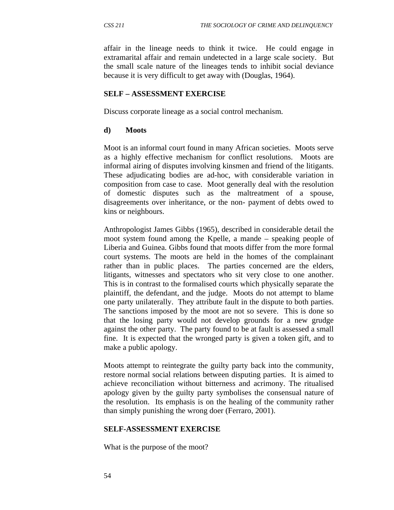affair in the lineage needs to think it twice. He could engage in extramarital affair and remain undetected in a large scale society. But the small scale nature of the lineages tends to inhibit social deviance because it is very difficult to get away with (Douglas, 1964).

#### **SELF – ASSESSMENT EXERCISE**

Discuss corporate lineage as a social control mechanism.

#### **d) Moots**

Moot is an informal court found in many African societies. Moots serve as a highly effective mechanism for conflict resolutions. Moots are informal airing of disputes involving kinsmen and friend of the litigants. These adjudicating bodies are ad-hoc, with considerable variation in composition from case to case. Moot generally deal with the resolution of domestic disputes such as the maltreatment of a spouse, disagreements over inheritance, or the non- payment of debts owed to kins or neighbours.

Anthropologist James Gibbs (1965), described in considerable detail the moot system found among the Kpelle, a mande – speaking people of Liberia and Guinea. Gibbs found that moots differ from the more formal court systems. The moots are held in the homes of the complainant rather than in public places. The parties concerned are the elders, litigants, witnesses and spectators who sit very close to one another. This is in contrast to the formalised courts which physically separate the plaintiff, the defendant, and the judge. Moots do not attempt to blame one party unilaterally. They attribute fault in the dispute to both parties. The sanctions imposed by the moot are not so severe. This is done so that the losing party would not develop grounds for a new grudge against the other party. The party found to be at fault is assessed a small fine. It is expected that the wronged party is given a token gift, and to make a public apology.

Moots attempt to reintegrate the guilty party back into the community, restore normal social relations between disputing parties. It is aimed to achieve reconciliation without bitterness and acrimony. The ritualised apology given by the guilty party symbolises the consensual nature of the resolution. Its emphasis is on the healing of the community rather than simply punishing the wrong doer (Ferraro, 2001).

#### **SELF-ASSESSMENT EXERCISE**

What is the purpose of the moot?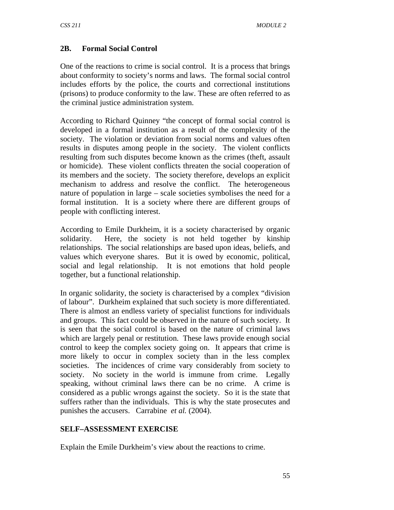## **2B. Formal Social Control**

One of the reactions to crime is social control. It is a process that brings about conformity to society's norms and laws. The formal social control includes efforts by the police, the courts and correctional institutions (prisons) to produce conformity to the law. These are often referred to as the criminal justice administration system.

According to Richard Quinney "the concept of formal social control is developed in a formal institution as a result of the complexity of the society. The violation or deviation from social norms and values often results in disputes among people in the society. The violent conflicts resulting from such disputes become known as the crimes (theft, assault or homicide). These violent conflicts threaten the social cooperation of its members and the society. The society therefore, develops an explicit mechanism to address and resolve the conflict. The heterogeneous nature of population in large – scale societies symbolises the need for a formal institution. It is a society where there are different groups of people with conflicting interest.

According to Emile Durkheim, it is a society characterised by organic solidarity. Here, the society is not held together by kinship relationships. The social relationships are based upon ideas, beliefs, and values which everyone shares. But it is owed by economic, political, social and legal relationship. It is not emotions that hold people together, but a functional relationship.

In organic solidarity, the society is characterised by a complex "division of labour". Durkheim explained that such society is more differentiated. There is almost an endless variety of specialist functions for individuals and groups. This fact could be observed in the nature of such society. It is seen that the social control is based on the nature of criminal laws which are largely penal or restitution. These laws provide enough social control to keep the complex society going on. It appears that crime is more likely to occur in complex society than in the less complex societies. The incidences of crime vary considerably from society to society. No society in the world is immune from crime. Legally speaking, without criminal laws there can be no crime. A crime is considered as a public wrongs against the society. So it is the state that suffers rather than the individuals. This is why the state prosecutes and punishes the accusers. Carrabine *et al.* (2004).

## **SELF–ASSESSMENT EXERCISE**

Explain the Emile Durkheim's view about the reactions to crime.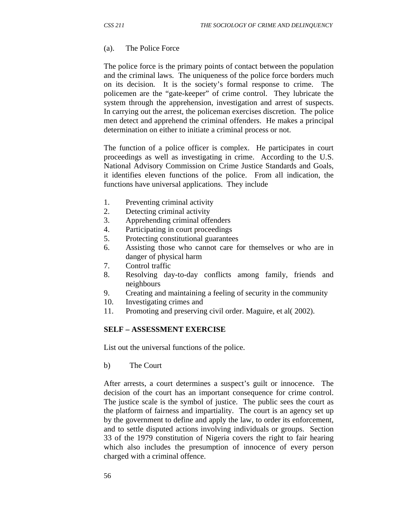#### (a). The Police Force

The police force is the primary points of contact between the population and the criminal laws. The uniqueness of the police force borders much on its decision. It is the society's formal response to crime. The policemen are the "gate-keeper" of crime control. They lubricate the system through the apprehension, investigation and arrest of suspects. In carrying out the arrest, the policeman exercises discretion. The police men detect and apprehend the criminal offenders. He makes a principal determination on either to initiate a criminal process or not.

The function of a police officer is complex. He participates in court proceedings as well as investigating in crime. According to the U.S. National Advisory Commission on Crime Justice Standards and Goals, it identifies eleven functions of the police. From all indication, the functions have universal applications. They include

- 1. Preventing criminal activity
- 2. Detecting criminal activity
- 3. Apprehending criminal offenders
- 4. Participating in court proceedings
- 5. Protecting constitutional guarantees
- 6. Assisting those who cannot care for themselves or who are in danger of physical harm
- 7. Control traffic
- 8. Resolving day-to-day conflicts among family, friends and neighbours
- 9. Creating and maintaining a feeling of security in the community
- 10. Investigating crimes and
- 11. Promoting and preserving civil order. Maguire, et al( 2002).

#### **SELF – ASSESSMENT EXERCISE**

List out the universal functions of the police.

b)The Court

After arrests, a court determines a suspect's guilt or innocence. The decision of the court has an important consequence for crime control. The justice scale is the symbol of justice. The public sees the court as the platform of fairness and impartiality. The court is an agency set up by the government to define and apply the law, to order its enforcement, and to settle disputed actions involving individuals or groups. Section 33 of the 1979 constitution of Nigeria covers the right to fair hearing which also includes the presumption of innocence of every person charged with a criminal offence.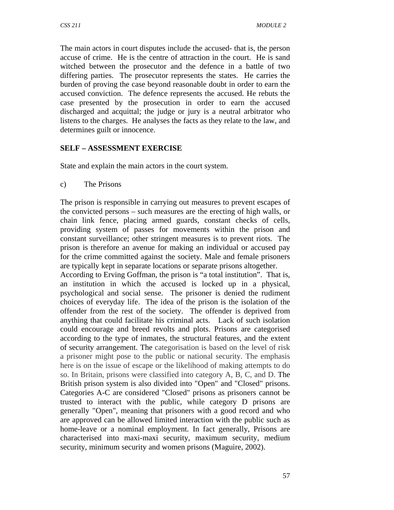The main actors in court disputes include the accused- that is, the person accuse of crime. He is the centre of attraction in the court. He is sand witched between the prosecutor and the defence in a battle of two differing parties. The prosecutor represents the states. He carries the burden of proving the case beyond reasonable doubt in order to earn the accused conviction. The defence represents the accused. He rebuts the case presented by the prosecution in order to earn the accused discharged and acquittal; the judge or jury is a neutral arbitrator who listens to the charges. He analyses the facts as they relate to the law, and determines guilt or innocence.

## **SELF – ASSESSMENT EXERCISE**

State and explain the main actors in the court system.

c) The Prisons

The prison is responsible in carrying out measures to prevent escapes of the convicted persons – such measures are the erecting of high walls, or chain link fence, placing armed guards, constant checks of cells, providing system of passes for movements within the prison and constant surveillance; other stringent measures is to prevent riots. The prison is therefore an avenue for making an individual or accused pay for the crime committed against the society. Male and female prisoners are typically kept in separate locations or separate prisons altogether.

According to Erving Goffman, the prison is "a total institution". That is, an institution in which the accused is locked up in a physical, psychological and social sense. The prisoner is denied the rudiment choices of everyday life. The idea of the prison is the isolation of the offender from the rest of the society. The offender is deprived from anything that could facilitate his criminal acts. Lack of such isolation could encourage and breed revolts and plots. Prisons are categorised according to the type of inmates, the structural features, and the extent of security arrangement. The categorisation is based on the level of risk a prisoner might pose to the public or national security. The emphasis here is on the issue of escape or the likelihood of making attempts to do so. In Britain, prisons were classified into category A, B, C, and D. The British prison system is also divided into "Open" and "Closed" prisons. Categories A-C are considered "Closed" prisons as prisoners cannot be trusted to interact with the public, while category D prisons are generally "Open", meaning that prisoners with a good record and who are approved can be allowed limited interaction with the public such as home-leave or a nominal employment. In fact generally, Prisons are characterised into maxi-maxi security, maximum security, medium security, minimum security and women prisons (Maguire, 2002).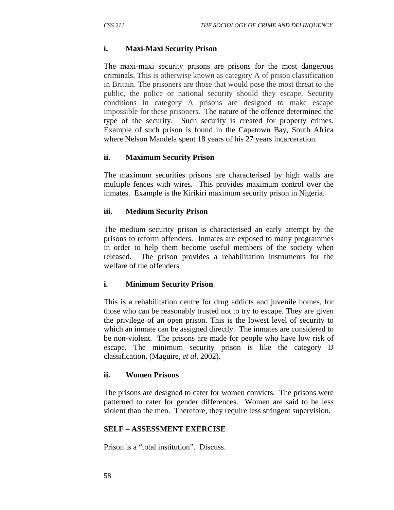### **i. Maxi-Maxi Security Prison**

The maxi-maxi security prisons are prisons for the most dangerous criminals. This is otherwise known as category A of prison classification in Britain. The prisoners are those that would pose the most threat to the public, the police or national security should they escape. Security conditions in category A prisons are designed to make escape impossible for these prisoners. The nature of the offence determined the type of the security. Such security is created for property crimes. Example of such prison is found in the Capetown Bay, South Africa where Nelson Mandela spent 18 years of his 27 years incarceration.

### **ii. Maximum Security Prison**

The maximum securities prisons are characterised by high walls are multiple fences with wires. This provides maximum control over the inmates. Example is the Kirikiri maximum security prison in Nigeria.

### **iii. Medium Security Prison**

The medium security prison is characterised an early attempt by the prisons to reform offenders. Inmates are exposed to many programmes in order to help them become useful members of the society when released. The prison provides a rehabilitation instruments for the welfare of the offenders.

## **i. Minimum Security Prison**

This is a rehabilitation centre for drug addicts and juvenile homes, for those who can be reasonably trusted not to try to escape. They are given the privilege of an open prison. This is the lowest level of security to which an inmate can be assigned directly. The inmates are considered to be non-violent. The prisons are made for people who have low risk of escape. The minimum security prison is like the category D classification, (Maguire, *et al*, 2002).

#### **ii. Women Prisons**

The prisons are designed to cater for women convicts. The prisons were patterned to cater for gender differences. Women are said to be less violent than the men. Therefore, they require less stringent supervision.

#### **SELF – ASSESSMENT EXERCISE**

Prison is a "total institution". Discuss.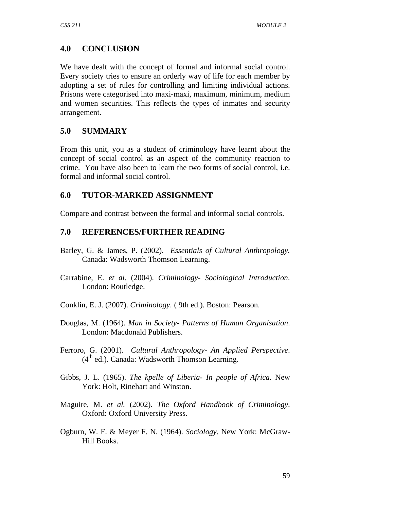# **4.0 CONCLUSION**

We have dealt with the concept of formal and informal social control. Every society tries to ensure an orderly way of life for each member by adopting a set of rules for controlling and limiting individual actions. Prisons were categorised into maxi-maxi, maximum, minimum, medium and women securities. This reflects the types of inmates and security arrangement.

# **5.0 SUMMARY**

From this unit, you as a student of criminology have learnt about the concept of social control as an aspect of the community reaction to crime. You have also been to learn the two forms of social control, i.e. formal and informal social control.

# **6.0 TUTOR-MARKED ASSIGNMENT**

Compare and contrast between the formal and informal social controls.

## **7.0 REFERENCES/FURTHER READING**

- Barley, G. & James, P. (2002). *Essentials of Cultural Anthropology.* Canada: Wadsworth Thomson Learning.
- Carrabine, E. *et al*. (2004). *Criminology- Sociological Introduction*. London: Routledge.
- Conklin, E. J. (2007). *Criminology*. ( 9th ed.). Boston: Pearson.
- Douglas, M. (1964). *Man in Society- Patterns of Human Organisation*. London: Macdonald Publishers.
- Ferroro, G. (2001). *Cultural Anthropology- An Applied Perspective*.  $(4<sup>th</sup>$  ed.). Canada: Wadsworth Thomson Learning.
- Gibbs, J. L. (1965). *The kpelle of Liberia- In people of Africa.* New York: Holt, Rinehart and Winston.
- Maguire, M. *et al.* (2002). *The Oxford Handbook of Criminology*. Oxford: Oxford University Press.
- Ogburn, W. F. & Meyer F. N. (1964). *Sociology*. New York: McGraw-Hill Books.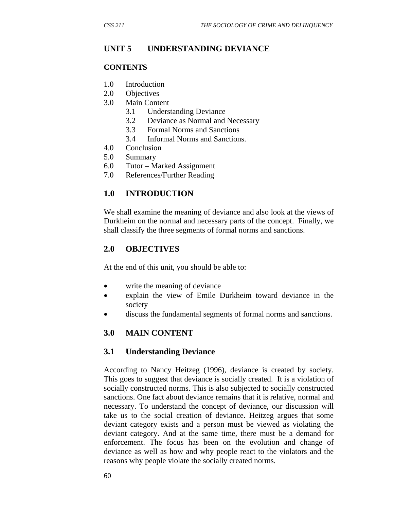#### **UNIT 5 UNDERSTANDING DEVIANCE**

#### **CONTENTS**

- 1.0 Introduction
- 2.0 Objectives
- 3.0 Main Content
	- 3.1 Understanding Deviance
	- 3.2 Deviance as Normal and Necessary
	- 3.3 Formal Norms and Sanctions
	- 3.4 Informal Norms and Sanctions.
- 4.0 Conclusion
- 5.0 Summary
- 6.0 Tutor Marked Assignment
- 7.0 References/Further Reading

#### **1.0 INTRODUCTION**

We shall examine the meaning of deviance and also look at the views of Durkheim on the normal and necessary parts of the concept. Finally, we shall classify the three segments of formal norms and sanctions.

#### **2.0 OBJECTIVES**

At the end of this unit, you should be able to:

- write the meaning of deviance
- explain the view of Emile Durkheim toward deviance in the society
- discuss the fundamental segments of formal norms and sanctions.

#### **3.0 MAIN CONTENT**

#### **3.1 Understanding Deviance**

According to Nancy Heitzeg (1996), deviance is created by society. This goes to suggest that deviance is socially created. It is a violation of socially constructed norms. This is also subjected to socially constructed sanctions. One fact about deviance remains that it is relative, normal and necessary. To understand the concept of deviance, our discussion will take us to the social creation of deviance. Heitzeg argues that some deviant category exists and a person must be viewed as violating the deviant category. And at the same time, there must be a demand for enforcement. The focus has been on the evolution and change of deviance as well as how and why people react to the violators and the reasons why people violate the socially created norms.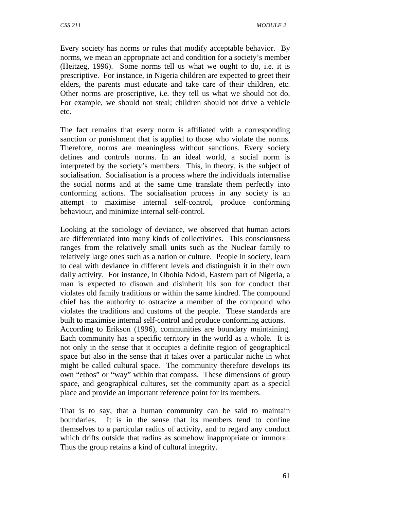Every society has norms or rules that modify acceptable behavior. By norms, we mean an appropriate act and condition for a society's member (Heitzeg, 1996). Some norms tell us what we ought to do, i.e. it is prescriptive. For instance, in Nigeria children are expected to greet their elders, the parents must educate and take care of their children, etc. Other norms are proscriptive, i.e. they tell us what we should not do. For example, we should not steal; children should not drive a vehicle etc.

The fact remains that every norm is affiliated with a corresponding sanction or punishment that is applied to those who violate the norms. Therefore, norms are meaningless without sanctions. Every society defines and controls norms. In an ideal world, a social norm is interpreted by the society's members. This, in theory, is the subject of socialisation. Socialisation is a process where the individuals internalise the social norms and at the same time translate them perfectly into conforming actions. The socialisation process in any society is an attempt to maximise internal self-control, produce conforming behaviour, and minimize internal self-control.

Looking at the sociology of deviance, we observed that human actors are differentiated into many kinds of collectivities. This consciousness ranges from the relatively small units such as the Nuclear family to relatively large ones such as a nation or culture. People in society, learn to deal with deviance in different levels and distinguish it in their own daily activity. For instance, in Obohia Ndoki, Eastern part of Nigeria, a man is expected to disown and disinherit his son for conduct that violates old family traditions or within the same kindred. The compound chief has the authority to ostracize a member of the compound who violates the traditions and customs of the people. These standards are built to maximise internal self-control and produce conforming actions.

According to Erikson (1996), communities are boundary maintaining. Each community has a specific territory in the world as a whole. It is not only in the sense that it occupies a definite region of geographical space but also in the sense that it takes over a particular niche in what might be called cultural space. The community therefore develops its own "ethos" or "way" within that compass. These dimensions of group space, and geographical cultures, set the community apart as a special place and provide an important reference point for its members.

That is to say, that a human community can be said to maintain boundaries. It is in the sense that its members tend to confine themselves to a particular radius of activity, and to regard any conduct which drifts outside that radius as somehow inappropriate or immoral. Thus the group retains a kind of cultural integrity.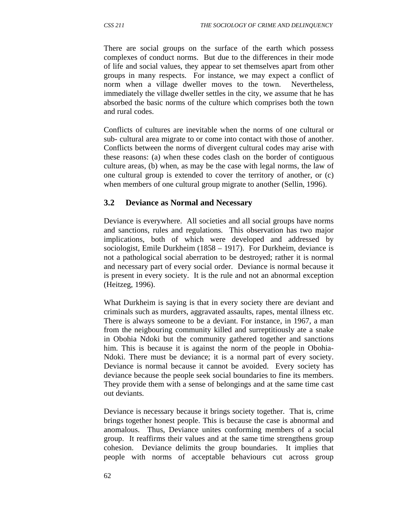There are social groups on the surface of the earth which possess complexes of conduct norms. But due to the differences in their mode of life and social values, they appear to set themselves apart from other groups in many respects. For instance, we may expect a conflict of norm when a village dweller moves to the town. Nevertheless, immediately the village dweller settles in the city, we assume that he has absorbed the basic norms of the culture which comprises both the town and rural codes.

Conflicts of cultures are inevitable when the norms of one cultural or sub- cultural area migrate to or come into contact with those of another. Conflicts between the norms of divergent cultural codes may arise with these reasons: (a) when these codes clash on the border of contiguous culture areas, (b) when, as may be the case with legal norms, the law of one cultural group is extended to cover the territory of another, or (c) when members of one cultural group migrate to another (Sellin, 1996).

### **3.2 Deviance as Normal and Necessary**

Deviance is everywhere. All societies and all social groups have norms and sanctions, rules and regulations. This observation has two major implications, both of which were developed and addressed by sociologist, Emile Durkheim (1858 – 1917). For Durkheim, deviance is not a pathological social aberration to be destroyed; rather it is normal and necessary part of every social order. Deviance is normal because it is present in every society. It is the rule and not an abnormal exception (Heitzeg, 1996).

What Durkheim is saying is that in every society there are deviant and criminals such as murders, aggravated assaults, rapes, mental illness etc. There is always someone to be a deviant. For instance, in 1967, a man from the neigbouring community killed and surreptitiously ate a snake in Obohia Ndoki but the community gathered together and sanctions him. This is because it is against the norm of the people in Obohia-Ndoki. There must be deviance; it is a normal part of every society. Deviance is normal because it cannot be avoided. Every society has deviance because the people seek social boundaries to fine its members. They provide them with a sense of belongings and at the same time cast out deviants.

Deviance is necessary because it brings society together. That is, crime brings together honest people. This is because the case is abnormal and anomalous. Thus, Deviance unites conforming members of a social group. It reaffirms their values and at the same time strengthens group cohesion. Deviance delimits the group boundaries. It implies that people with norms of acceptable behaviours cut across group

62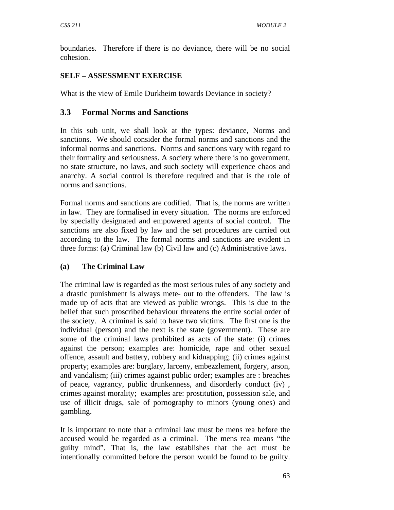boundaries. Therefore if there is no deviance, there will be no social cohesion.

## **SELF – ASSESSMENT EXERCISE**

What is the view of Emile Durkheim towards Deviance in society?

# **3.3 Formal Norms and Sanctions**

In this sub unit, we shall look at the types: deviance, Norms and sanctions. We should consider the formal norms and sanctions and the informal norms and sanctions. Norms and sanctions vary with regard to their formality and seriousness. A society where there is no government, no state structure, no laws, and such society will experience chaos and anarchy. A social control is therefore required and that is the role of norms and sanctions.

Formal norms and sanctions are codified. That is, the norms are written in law. They are formalised in every situation. The norms are enforced by specially designated and empowered agents of social control. The sanctions are also fixed by law and the set procedures are carried out according to the law. The formal norms and sanctions are evident in three forms: (a) Criminal law (b) Civil law and (c) Administrative laws.

## **(a) The Criminal Law**

The criminal law is regarded as the most serious rules of any society and a drastic punishment is always mete- out to the offenders. The law is made up of acts that are viewed as public wrongs. This is due to the belief that such proscribed behaviour threatens the entire social order of the society. A criminal is said to have two victims. The first one is the individual (person) and the next is the state (government). These are some of the criminal laws prohibited as acts of the state: (i) crimes against the person; examples are: homicide, rape and other sexual offence, assault and battery, robbery and kidnapping; (ii) crimes against property; examples are: burglary, larceny, embezzlement, forgery, arson, and vandalism; (iii) crimes against public order; examples are : breaches of peace, vagrancy, public drunkenness, and disorderly conduct (iv) , crimes against morality; examples are: prostitution, possession sale, and use of illicit drugs, sale of pornography to minors (young ones) and gambling.

It is important to note that a criminal law must be mens rea before the accused would be regarded as a criminal. The mens rea means "the guilty mind". That is, the law establishes that the act must be intentionally committed before the person would be found to be guilty.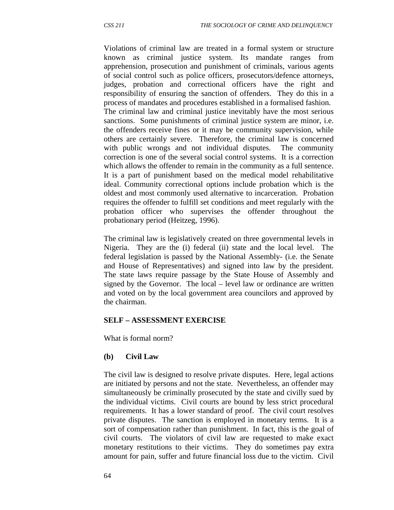Violations of criminal law are treated in a formal system or structure known as criminal justice system. Its mandate ranges from apprehension, prosecution and punishment of criminals, various agents of social control such as police officers, prosecutors/defence attorneys, judges, probation and correctional officers have the right and responsibility of ensuring the sanction of offenders. They do this in a process of mandates and procedures established in a formalised fashion. The criminal law and criminal justice inevitably have the most serious sanctions. Some punishments of criminal justice system are minor, i.e. the offenders receive fines or it may be community supervision, while others are certainly severe. Therefore, the criminal law is concerned with public wrongs and not individual disputes. The community correction is one of the several social control systems. It is a correction which allows the offender to remain in the community as a full sentence. It is a part of punishment based on the medical model rehabilitative ideal. Community correctional options include probation which is the oldest and most commonly used alternative to incarceration. Probation requires the offender to fulfill set conditions and meet regularly with the probation officer who supervises the offender throughout the probationary period (Heitzeg, 1996).

The criminal law is legislatively created on three governmental levels in Nigeria. They are the (i) federal (ii) state and the local level. The federal legislation is passed by the National Assembly- (i.e. the Senate and House of Representatives) and signed into law by the president. The state laws require passage by the State House of Assembly and signed by the Governor. The local – level law or ordinance are written and voted on by the local government area councilors and approved by the chairman.

#### **SELF – ASSESSMENT EXERCISE**

What is formal norm?

#### **(b) Civil Law**

The civil law is designed to resolve private disputes. Here, legal actions are initiated by persons and not the state. Nevertheless, an offender may simultaneously be criminally prosecuted by the state and civilly sued by the individual victims. Civil courts are bound by less strict procedural requirements. It has a lower standard of proof. The civil court resolves private disputes. The sanction is employed in monetary terms. It is a sort of compensation rather than punishment. In fact, this is the goal of civil courts. The violators of civil law are requested to make exact monetary restitutions to their victims. They do sometimes pay extra amount for pain, suffer and future financial loss due to the victim. Civil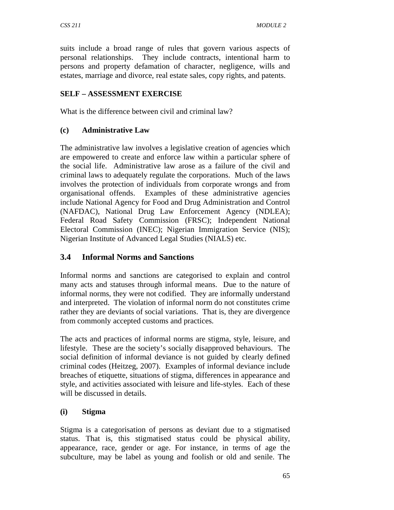suits include a broad range of rules that govern various aspects of personal relationships. They include contracts, intentional harm to persons and property defamation of character, negligence, wills and estates, marriage and divorce, real estate sales, copy rights, and patents.

## **SELF – ASSESSMENT EXERCISE**

What is the difference between civil and criminal law?

## **(c) Administrative Law**

The administrative law involves a legislative creation of agencies which are empowered to create and enforce law within a particular sphere of the social life. Administrative law arose as a failure of the civil and criminal laws to adequately regulate the corporations. Much of the laws involves the protection of individuals from corporate wrongs and from organisational offends. Examples of these administrative agencies include National Agency for Food and Drug Administration and Control (NAFDAC), National Drug Law Enforcement Agency (NDLEA); Federal Road Safety Commission (FRSC); Independent National Electoral Commission (INEC); Nigerian Immigration Service (NIS); Nigerian Institute of Advanced Legal Studies (NIALS) etc.

## **3.4 Informal Norms and Sanctions**

Informal norms and sanctions are categorised to explain and control many acts and statuses through informal means. Due to the nature of informal norms, they were not codified. They are informally understand and interpreted. The violation of informal norm do not constitutes crime rather they are deviants of social variations. That is, they are divergence from commonly accepted customs and practices.

The acts and practices of informal norms are stigma, style, leisure, and lifestyle. These are the society's socially disapproved behaviours. The social definition of informal deviance is not guided by clearly defined criminal codes (Heitzeg, 2007). Examples of informal deviance include breaches of etiquette, situations of stigma, differences in appearance and style, and activities associated with leisure and life-styles. Each of these will be discussed in details.

## **(i) Stigma**

Stigma is a categorisation of persons as deviant due to a stigmatised status. That is, this stigmatised status could be physical ability, appearance, race, gender or age. For instance, in terms of age the subculture, may be label as young and foolish or old and senile. The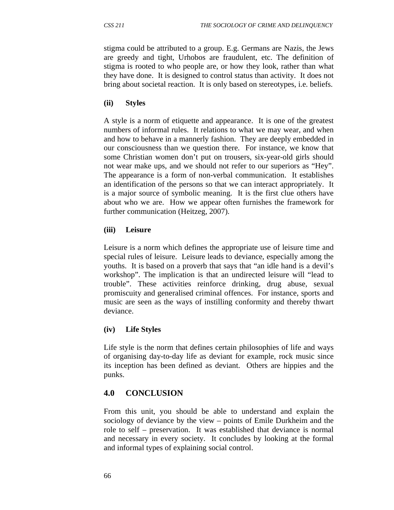stigma could be attributed to a group. E.g. Germans are Nazis, the Jews are greedy and tight, Urhobos are fraudulent, etc. The definition of stigma is rooted to who people are, or how they look, rather than what they have done. It is designed to control status than activity. It does not bring about societal reaction. It is only based on stereotypes, i.e. beliefs.

#### **(ii) Styles**

A style is a norm of etiquette and appearance. It is one of the greatest numbers of informal rules. It relations to what we may wear, and when and how to behave in a mannerly fashion. They are deeply embedded in our consciousness than we question there. For instance, we know that some Christian women don't put on trousers, six-year-old girls should not wear make ups, and we should not refer to our superiors as "Hey". The appearance is a form of non-verbal communication. It establishes an identification of the persons so that we can interact appropriately. It is a major source of symbolic meaning. It is the first clue others have about who we are. How we appear often furnishes the framework for further communication (Heitzeg, 2007).

#### **(iii) Leisure**

Leisure is a norm which defines the appropriate use of leisure time and special rules of leisure. Leisure leads to deviance, especially among the youths. It is based on a proverb that says that "an idle hand is a devil's workshop". The implication is that an undirected leisure will "lead to trouble". These activities reinforce drinking, drug abuse, sexual promiscuity and generalised criminal offences. For instance, sports and music are seen as the ways of instilling conformity and thereby thwart deviance.

#### **(iv) Life Styles**

Life style is the norm that defines certain philosophies of life and ways of organising day-to-day life as deviant for example, rock music since its inception has been defined as deviant. Others are hippies and the punks.

## **4.0 CONCLUSION**

From this unit, you should be able to understand and explain the sociology of deviance by the view – points of Emile Durkheim and the role to self – preservation. It was established that deviance is normal and necessary in every society. It concludes by looking at the formal and informal types of explaining social control.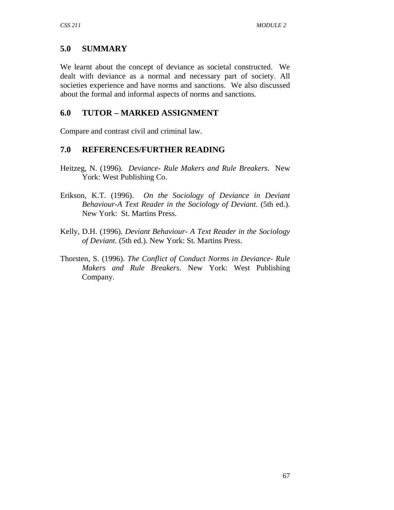# **5.0 SUMMARY**

We learnt about the concept of deviance as societal constructed. We dealt with deviance as a normal and necessary part of society. All societies experience and have norms and sanctions. We also discussed about the formal and informal aspects of norms and sanctions.

# **6.0 TUTOR – MARKED ASSIGNMENT**

Compare and contrast civil and criminal law.

### **7.0 REFERENCES/FURTHER READING**

- Heitzeg, N. (1996). *Deviance- Rule Makers and Rule Breakers*. New York: West Publishing Co.
- Erikson, K.T. (1996). *On the Sociology of Deviance in Deviant Behaviour*-*A Text Reader in the Sociology of Deviant*. (5th ed.). New York: St. Martins Press.
- Kelly, D.H. (1996). *Deviant Behaviour- A Text Reader in the Sociology of Deviant*. (5th ed.). New York: St. Martins Press.
- Thorsten, S. (1996). *The Conflict of Conduct Norms in Deviance- Rule Makers and Rule Breakers*. New York: West Publishing Company.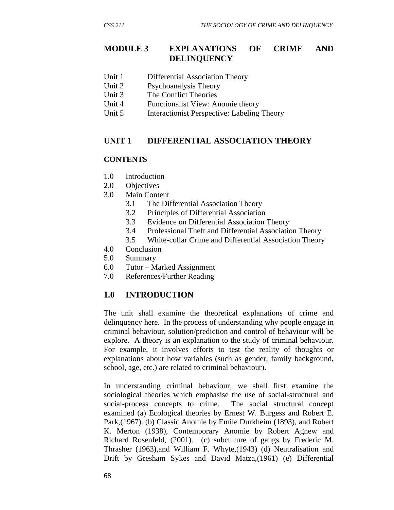### **MODULE 3 EXPLANATIONS OF CRIME AND DELINQUENCY**

- Unit 1 Differential Association Theory
- Unit 2 Psychoanalysis Theory
- Unit 3 The Conflict Theories
- Unit 4 Functionalist View: Anomie theory
- Unit 5 Interactionist Perspective: Labeling Theory

### **UNIT 1 DIFFERENTIAL ASSOCIATION THEORY**

#### **CONTENTS**

- 1.0 Introduction
- 2.0 Objectives
- 3.0 Main Content
	- 3.1 The Differential Association Theory
	- 3.2 Principles of Differential Association
	- 3.3 Evidence on Differential Association Theory
	- 3.4 Professional Theft and Differential Association Theory
	- 3.5 White-collar Crime and Differential Association Theory
- 4.0 Conclusion
- 5.0 Summary
- 6.0 Tutor Marked Assignment
- 7.0 References/Further Reading

## **1.0 INTRODUCTION**

The unit shall examine the theoretical explanations of crime and delinquency here. In the process of understanding why people engage in criminal behaviour, solution/prediction and control of behaviour will be explore. A theory is an explanation to the study of criminal behaviour. For example, it involves efforts to test the reality of thoughts or explanations about how variables (such as gender, family background, school, age, etc.) are related to criminal behaviour).

In understanding criminal behaviour, we shall first examine the sociological theories which emphasise the use of social-structural and social-process concepts to crime. The social structural concept examined (a) Ecological theories by Ernest W. Burgess and Robert E. Park,(1967). (b) Classic Anomie by Emile Durkheim (1893), and Robert K. Merton (1938), Contemporary Anomie by Robert Agnew and Richard Rosenfeld, (2001). (c) subculture of gangs by Frederic M. Thrasher (1963),and William F. Whyte,(1943) (d) Neutralisation and Drift by Gresham Sykes and David Matza,(1961) (e) Differential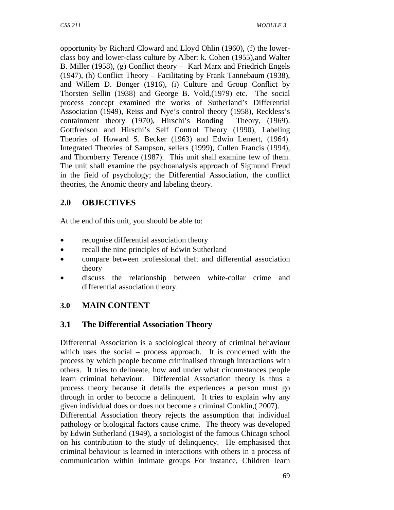opportunity by Richard Cloward and Lloyd Ohlin (1960), (f) the lowerclass boy and lower-class culture by Albert k. Cohen (1955),and Walter B. Miller (1958), (g) Conflict theory – Karl Marx and Friedrich Engels (1947), (h) Conflict Theory – Facilitating by Frank Tannebaum (1938), and Willem D. Bonger (1916), (i) Culture and Group Conflict by Thorsten Sellin (1938) and George B. Vold,(1979) etc. The social process concept examined the works of Sutherland's Differential Association (1949), Reiss and Nye's control theory (1958), Reckless's containment theory (1970), Hirschi's Bonding Theory, (1969). Gottfredson and Hirschi's Self Control Theory (1990), Labeling Theories of Howard S. Becker (1963) and Edwin Lemert, (1964). Integrated Theories of Sampson, sellers (1999), Cullen Francis (1994), and Thornberry Terence (1987). This unit shall examine few of them. The unit shall examine the psychoanalysis approach of Sigmund Freud in the field of psychology; the Differential Association, the conflict theories, the Anomic theory and labeling theory.

# **2.0 OBJECTIVES**

At the end of this unit, you should be able to:

- recognise differential association theory
- recall the nine principles of Edwin Sutherland
- compare between professional theft and differential association theory
- discuss the relationship between white-collar crime and differential association theory.

# **3.0 MAIN CONTENT**

# **3.1 The Differential Association Theory**

Differential Association is a sociological theory of criminal behaviour which uses the social – process approach. It is concerned with the process by which people become criminalised through interactions with others. It tries to delineate, how and under what circumstances people learn criminal behaviour. Differential Association theory is thus a process theory because it details the experiences a person must go through in order to become a delinquent. It tries to explain why any given individual does or does not become a criminal Conklin,( 2007).

Differential Association theory rejects the assumption that individual pathology or biological factors cause crime. The theory was developed by Edwin Sutherland (1949), a sociologist of the famous Chicago school on his contribution to the study of delinquency. He emphasised that criminal behaviour is learned in interactions with others in a process of communication within intimate groups For instance, Children learn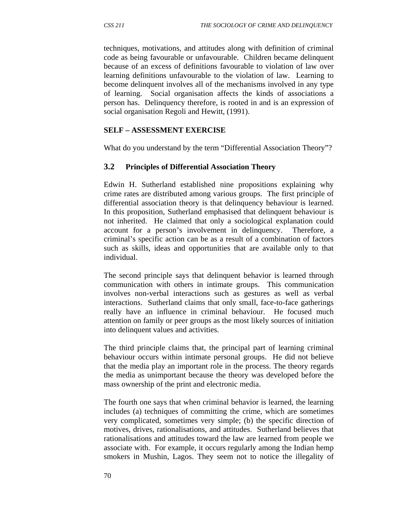techniques, motivations, and attitudes along with definition of criminal code as being favourable or unfavourable. Children became delinquent because of an excess of definitions favourable to violation of law over learning definitions unfavourable to the violation of law. Learning to become delinquent involves all of the mechanisms involved in any type of learning. Social organisation affects the kinds of associations a person has. Delinquency therefore, is rooted in and is an expression of social organisation Regoli and Hewitt, (1991).

#### **SELF – ASSESSMENT EXERCISE**

What do you understand by the term "Differential Association Theory"?

#### **3.2 Principles of Differential Association Theory**

Edwin H. Sutherland established nine propositions explaining why crime rates are distributed among various groups. The first principle of differential association theory is that delinquency behaviour is learned. In this proposition, Sutherland emphasised that delinquent behaviour is not inherited. He claimed that only a sociological explanation could account for a person's involvement in delinquency. Therefore, a criminal's specific action can be as a result of a combination of factors such as skills, ideas and opportunities that are available only to that individual.

The second principle says that delinquent behavior is learned through communication with others in intimate groups. This communication involves non-verbal interactions such as gestures as well as verbal interactions. Sutherland claims that only small, face-to-face gatherings really have an influence in criminal behaviour. He focused much attention on family or peer groups as the most likely sources of initiation into delinquent values and activities.

The third principle claims that, the principal part of learning criminal behaviour occurs within intimate personal groups. He did not believe that the media play an important role in the process. The theory regards the media as unimportant because the theory was developed before the mass ownership of the print and electronic media.

The fourth one says that when criminal behavior is learned, the learning includes (a) techniques of committing the crime, which are sometimes very complicated, sometimes very simple; (b) the specific direction of motives, drives, rationalisations, and attitudes. Sutherland believes that rationalisations and attitudes toward the law are learned from people we associate with. For example, it occurs regularly among the Indian hemp smokers in Mushin, Lagos. They seem not to notice the illegality of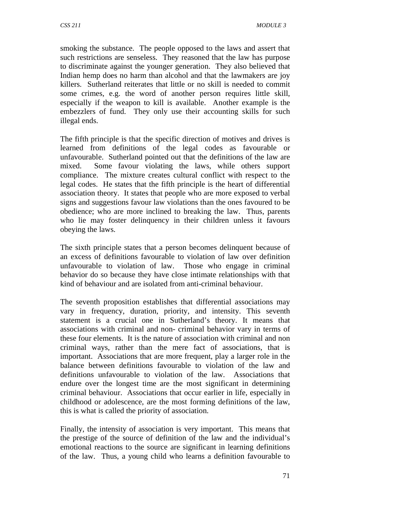smoking the substance. The people opposed to the laws and assert that such restrictions are senseless. They reasoned that the law has purpose to discriminate against the younger generation. They also believed that Indian hemp does no harm than alcohol and that the lawmakers are joy killers. Sutherland reiterates that little or no skill is needed to commit some crimes, e.g. the word of another person requires little skill, especially if the weapon to kill is available. Another example is the embezzlers of fund. They only use their accounting skills for such illegal ends.

The fifth principle is that the specific direction of motives and drives is learned from definitions of the legal codes as favourable or unfavourable. Sutherland pointed out that the definitions of the law are mixed. Some favour violating the laws, while others support compliance. The mixture creates cultural conflict with respect to the legal codes. He states that the fifth principle is the heart of differential association theory. It states that people who are more exposed to verbal signs and suggestions favour law violations than the ones favoured to be obedience; who are more inclined to breaking the law. Thus, parents who lie may foster delinquency in their children unless it favours obeying the laws.

The sixth principle states that a person becomes delinquent because of an excess of definitions favourable to violation of law over definition unfavourable to violation of law. Those who engage in criminal behavior do so because they have close intimate relationships with that kind of behaviour and are isolated from anti-criminal behaviour.

The seventh proposition establishes that differential associations may vary in frequency, duration, priority, and intensity. This seventh statement is a crucial one in Sutherland's theory. It means that associations with criminal and non- criminal behavior vary in terms of these four elements. It is the nature of association with criminal and non criminal ways, rather than the mere fact of associations, that is important. Associations that are more frequent, play a larger role in the balance between definitions favourable to violation of the law and definitions unfavourable to violation of the law. Associations that endure over the longest time are the most significant in determining criminal behaviour. Associations that occur earlier in life, especially in childhood or adolescence, are the most forming definitions of the law, this is what is called the priority of association.

Finally, the intensity of association is very important. This means that the prestige of the source of definition of the law and the individual's emotional reactions to the source are significant in learning definitions of the law. Thus, a young child who learns a definition favourable to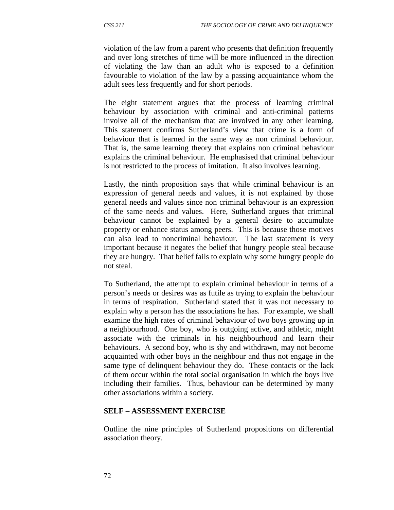violation of the law from a parent who presents that definition frequently and over long stretches of time will be more influenced in the direction of violating the law than an adult who is exposed to a definition favourable to violation of the law by a passing acquaintance whom the adult sees less frequently and for short periods.

The eight statement argues that the process of learning criminal behaviour by association with criminal and anti-criminal patterns involve all of the mechanism that are involved in any other learning. This statement confirms Sutherland's view that crime is a form of behaviour that is learned in the same way as non criminal behaviour. That is, the same learning theory that explains non criminal behaviour explains the criminal behaviour. He emphasised that criminal behaviour is not restricted to the process of imitation. It also involves learning.

Lastly, the ninth proposition says that while criminal behaviour is an expression of general needs and values, it is not explained by those general needs and values since non criminal behaviour is an expression of the same needs and values. Here, Sutherland argues that criminal behaviour cannot be explained by a general desire to accumulate property or enhance status among peers. This is because those motives can also lead to noncriminal behaviour. The last statement is very important because it negates the belief that hungry people steal because they are hungry. That belief fails to explain why some hungry people do not steal.

To Sutherland, the attempt to explain criminal behaviour in terms of a person's needs or desires was as futile as trying to explain the behaviour in terms of respiration. Sutherland stated that it was not necessary to explain why a person has the associations he has. For example, we shall examine the high rates of criminal behaviour of two boys growing up in a neighbourhood. One boy, who is outgoing active, and athletic, might associate with the criminals in his neighbourhood and learn their behaviours. A second boy, who is shy and withdrawn, may not become acquainted with other boys in the neighbour and thus not engage in the same type of delinquent behaviour they do. These contacts or the lack of them occur within the total social organisation in which the boys live including their families. Thus, behaviour can be determined by many other associations within a society.

#### **SELF – ASSESSMENT EXERCISE**

Outline the nine principles of Sutherland propositions on differential association theory.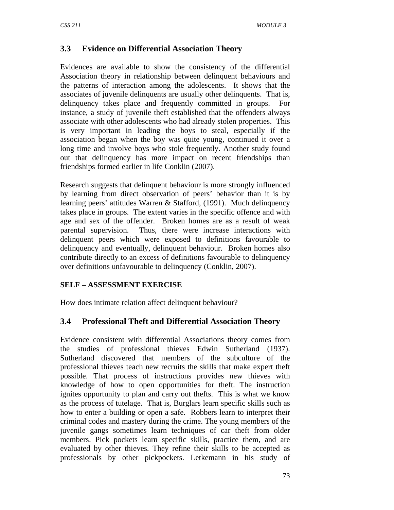## **3.3 Evidence on Differential Association Theory**

Evidences are available to show the consistency of the differential Association theory in relationship between delinquent behaviours and the patterns of interaction among the adolescents. It shows that the associates of juvenile delinquents are usually other delinquents. That is, delinquency takes place and frequently committed in groups. For instance, a study of juvenile theft established that the offenders always associate with other adolescents who had already stolen properties. This is very important in leading the boys to steal, especially if the association began when the boy was quite young, continued it over a long time and involve boys who stole frequently. Another study found out that delinquency has more impact on recent friendships than friendships formed earlier in life Conklin (2007).

Research suggests that delinquent behaviour is more strongly influenced by learning from direct observation of peers' behavior than it is by learning peers' attitudes Warren & Stafford, (1991). Much delinquency takes place in groups. The extent varies in the specific offence and with age and sex of the offender. Broken homes are as a result of weak parental supervision. Thus, there were increase interactions with delinquent peers which were exposed to definitions favourable to delinquency and eventually, delinquent behaviour. Broken homes also contribute directly to an excess of definitions favourable to delinquency over definitions unfavourable to delinquency (Conklin, 2007).

#### **SELF – ASSESSMENT EXERCISE**

How does intimate relation affect delinquent behaviour?

## **3.4 Professional Theft and Differential Association Theory**

Evidence consistent with differential Associations theory comes from the studies of professional thieves Edwin Sutherland (1937). Sutherland discovered that members of the subculture of the professional thieves teach new recruits the skills that make expert theft possible. That process of instructions provides new thieves with knowledge of how to open opportunities for theft. The instruction ignites opportunity to plan and carry out thefts. This is what we know as the process of tutelage. That is, Burglars learn specific skills such as how to enter a building or open a safe. Robbers learn to interpret their criminal codes and mastery during the crime. The young members of the juvenile gangs sometimes learn techniques of car theft from older members. Pick pockets learn specific skills, practice them, and are evaluated by other thieves. They refine their skills to be accepted as professionals by other pickpockets. Letkemann in his study of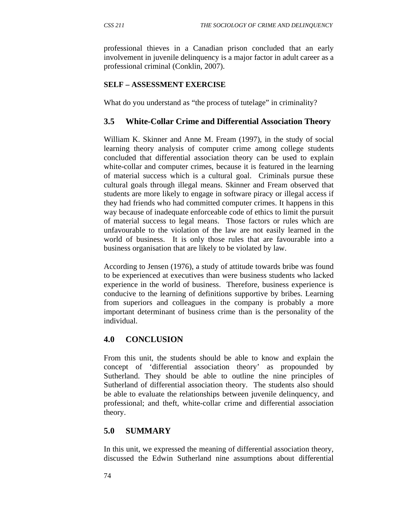professional thieves in a Canadian prison concluded that an early involvement in juvenile delinquency is a major factor in adult career as a professional criminal (Conklin, 2007).

## **SELF – ASSESSMENT EXERCISE**

What do you understand as "the process of tutelage" in criminality?

#### **3.5 White-Collar Crime and Differential Association Theory**

William K. Skinner and Anne M. Fream (1997), in the study of social learning theory analysis of computer crime among college students concluded that differential association theory can be used to explain white-collar and computer crimes, because it is featured in the learning of material success which is a cultural goal. Criminals pursue these cultural goals through illegal means. Skinner and Fream observed that students are more likely to engage in software piracy or illegal access if they had friends who had committed computer crimes. It happens in this way because of inadequate enforceable code of ethics to limit the pursuit of material success to legal means. Those factors or rules which are unfavourable to the violation of the law are not easily learned in the world of business. It is only those rules that are favourable into a business organisation that are likely to be violated by law.

According to Jensen (1976), a study of attitude towards bribe was found to be experienced at executives than were business students who lacked experience in the world of business. Therefore, business experience is conducive to the learning of definitions supportive by bribes. Learning from superiors and colleagues in the company is probably a more important determinant of business crime than is the personality of the individual.

## **4.0 CONCLUSION**

From this unit, the students should be able to know and explain the concept of 'differential association theory' as propounded by Sutherland. They should be able to outline the nine principles of Sutherland of differential association theory. The students also should be able to evaluate the relationships between juvenile delinquency, and professional; and theft, white-collar crime and differential association theory.

## **5.0 SUMMARY**

In this unit, we expressed the meaning of differential association theory, discussed the Edwin Sutherland nine assumptions about differential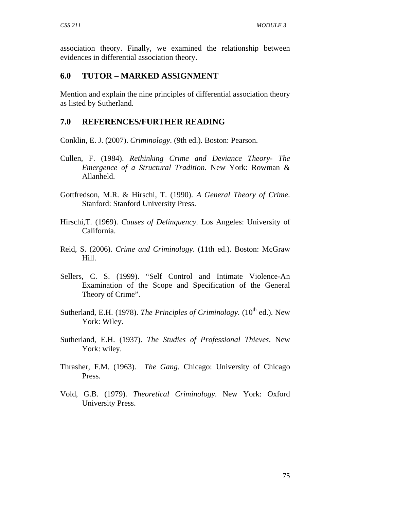association theory. Finally, we examined the relationship between evidences in differential association theory.

### **6.0 TUTOR – MARKED ASSIGNMENT**

Mention and explain the nine principles of differential association theory as listed by Sutherland.

### **7.0 REFERENCES/FURTHER READING**

Conklin, E. J. (2007). *Criminology*. (9th ed.). Boston: Pearson.

- Cullen, F. (1984). *Rethinking Crime and Deviance Theory- The Emergence of a Structural Tradition*. New York: Rowman & Allanheld.
- Gottfredson, M.R. & Hirschi, T. (1990). *A General Theory of Crime*. Stanford: Stanford University Press.
- Hirschi,T. (1969). *Causes of Delinquency*. Los Angeles: University of California.
- Reid, S. (2006). *Crime and Criminology*. (11th ed.). Boston: McGraw Hill.
- Sellers, C. S. (1999). "Self Control and Intimate Violence-An Examination of the Scope and Specification of the General Theory of Crime".
- Sutherland, E.H. (1978). *The Principles of Criminology*. (10<sup>th</sup> ed.). New York: Wiley.
- Sutherland, E.H. (1937). *The Studies of Professional Thieves*. New York: wiley.
- Thrasher, F.M. (1963). *The Gang*. Chicago: University of Chicago Press.
- Vold, G.B. (1979). *Theoretical Criminology*. New York: Oxford University Press.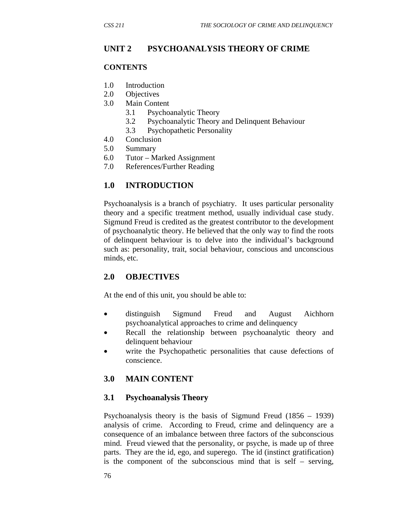# **UNIT 2 PSYCHOANALYSIS THEORY OF CRIME**

#### **CONTENTS**

- 1.0 Introduction
- 2.0 Objectives
- 3.0 Main Content
	- 3.1 Psychoanalytic Theory
	- 3.2 Psychoanalytic Theory and Delinquent Behaviour
	- 3.3 Psychopathetic Personality
- 4.0 Conclusion
- 5.0 Summary
- 6.0 Tutor Marked Assignment
- 7.0 References/Further Reading

## **1.0 INTRODUCTION**

Psychoanalysis is a branch of psychiatry. It uses particular personality theory and a specific treatment method, usually individual case study. Sigmund Freud is credited as the greatest contributor to the development of psychoanalytic theory. He believed that the only way to find the roots of delinquent behaviour is to delve into the individual's background such as: personality, trait, social behaviour, conscious and unconscious minds, etc.

## **2.0 OBJECTIVES**

At the end of this unit, you should be able to:

- distinguish Sigmund Freud and August Aichhorn psychoanalytical approaches to crime and delinquency
- Recall the relationship between psychoanalytic theory and delinquent behaviour
- write the Psychopathetic personalities that cause defections of conscience.

## **3.0 MAIN CONTENT**

#### **3.1 Psychoanalysis Theory**

Psychoanalysis theory is the basis of Sigmund Freud (1856 – 1939) analysis of crime. According to Freud, crime and delinquency are a consequence of an imbalance between three factors of the subconscious mind. Freud viewed that the personality, or psyche, is made up of three parts. They are the id, ego, and superego. The id (instinct gratification) is the component of the subconscious mind that is self – serving,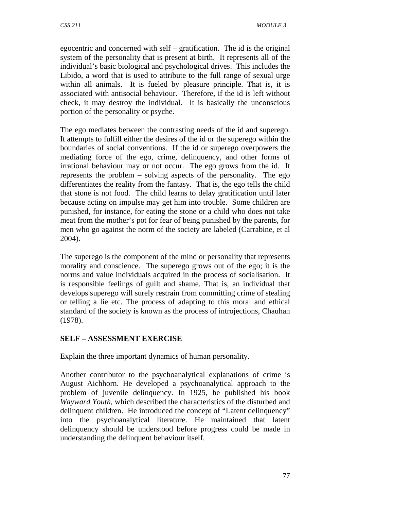egocentric and concerned with self – gratification. The id is the original system of the personality that is present at birth. It represents all of the individual's basic biological and psychological drives. This includes the Libido, a word that is used to attribute to the full range of sexual urge within all animals. It is fueled by pleasure principle. That is, it is associated with antisocial behaviour. Therefore, if the id is left without check, it may destroy the individual. It is basically the unconscious portion of the personality or psyche.

The ego mediates between the contrasting needs of the id and superego. It attempts to fulfill either the desires of the id or the superego within the boundaries of social conventions. If the id or superego overpowers the mediating force of the ego, crime, delinquency, and other forms of irrational behaviour may or not occur. The ego grows from the id. It represents the problem – solving aspects of the personality. The ego differentiates the reality from the fantasy. That is, the ego tells the child that stone is not food. The child learns to delay gratification until later because acting on impulse may get him into trouble. Some children are punished, for instance, for eating the stone or a child who does not take meat from the mother's pot for fear of being punished by the parents, for men who go against the norm of the society are labeled (Carrabine, et al 2004).

The superego is the component of the mind or personality that represents morality and conscience. The superego grows out of the ego; it is the norms and value individuals acquired in the process of socialisation. It is responsible feelings of guilt and shame. That is, an individual that develops superego will surely restrain from committing crime of stealing or telling a lie etc. The process of adapting to this moral and ethical standard of the society is known as the process of introjections, Chauhan (1978).

# **SELF – ASSESSMENT EXERCISE**

Explain the three important dynamics of human personality.

Another contributor to the psychoanalytical explanations of crime is August Aichhorn. He developed a psychoanalytical approach to the problem of juvenile delinquency. In 1925, he published his book *Wayward Youth*, which described the characteristics of the disturbed and delinquent children. He introduced the concept of "Latent delinquency" into the psychoanalytical literature. He maintained that latent delinquency should be understood before progress could be made in understanding the delinquent behaviour itself.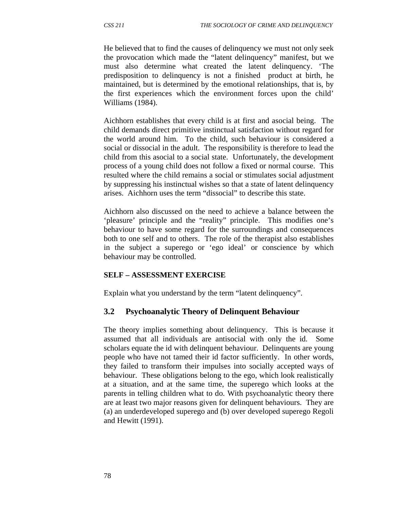He believed that to find the causes of delinquency we must not only seek the provocation which made the "latent delinquency" manifest, but we must also determine what created the latent delinquency. 'The predisposition to delinquency is not a finished product at birth, he maintained, but is determined by the emotional relationships, that is, by the first experiences which the environment forces upon the child' Williams (1984).

Aichhorn establishes that every child is at first and asocial being. The child demands direct primitive instinctual satisfaction without regard for the world around him. To the child, such behaviour is considered a social or dissocial in the adult. The responsibility is therefore to lead the child from this asocial to a social state. Unfortunately, the development process of a young child does not follow a fixed or normal course. This resulted where the child remains a social or stimulates social adjustment by suppressing his instinctual wishes so that a state of latent delinquency arises. Aichhorn uses the term "dissocial" to describe this state.

Aichhorn also discussed on the need to achieve a balance between the 'pleasure' principle and the "reality" principle. This modifies one's behaviour to have some regard for the surroundings and consequences both to one self and to others. The role of the therapist also establishes in the subject a superego or 'ego ideal' or conscience by which behaviour may be controlled.

#### **SELF – ASSESSMENT EXERCISE**

Explain what you understand by the term "latent delinquency".

#### **3.2 Psychoanalytic Theory of Delinquent Behaviour**

The theory implies something about delinquency. This is because it assumed that all individuals are antisocial with only the id. Some scholars equate the id with delinquent behaviour. Delinquents are young people who have not tamed their id factor sufficiently. In other words, they failed to transform their impulses into socially accepted ways of behaviour. These obligations belong to the ego, which look realistically at a situation, and at the same time, the superego which looks at the parents in telling children what to do. With psychoanalytic theory there are at least two major reasons given for delinquent behaviours. They are (a) an underdeveloped superego and (b) over developed superego Regoli and Hewitt (1991).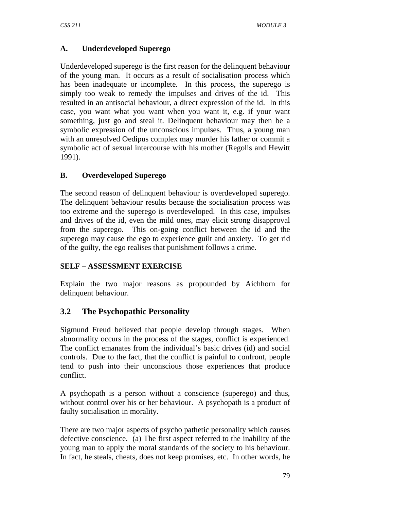## **A. Underdeveloped Superego**

Underdeveloped superego is the first reason for the delinquent behaviour of the young man. It occurs as a result of socialisation process which has been inadequate or incomplete. In this process, the superego is simply too weak to remedy the impulses and drives of the id. This resulted in an antisocial behaviour, a direct expression of the id. In this case, you want what you want when you want it, e.g. if your want something, just go and steal it. Delinquent behaviour may then be a symbolic expression of the unconscious impulses. Thus, a young man with an unresolved Oedipus complex may murder his father or commit a symbolic act of sexual intercourse with his mother (Regolis and Hewitt 1991).

## **B. Overdeveloped Superego**

The second reason of delinquent behaviour is overdeveloped superego. The delinquent behaviour results because the socialisation process was too extreme and the superego is overdeveloped. In this case, impulses and drives of the id, even the mild ones, may elicit strong disapproval from the superego. This on-going conflict between the id and the superego may cause the ego to experience guilt and anxiety. To get rid of the guilty, the ego realises that punishment follows a crime.

## **SELF – ASSESSMENT EXERCISE**

Explain the two major reasons as propounded by Aichhorn for delinquent behaviour.

# **3.2 The Psychopathic Personality**

Sigmund Freud believed that people develop through stages. When abnormality occurs in the process of the stages, conflict is experienced. The conflict emanates from the individual's basic drives (id) and social controls. Due to the fact, that the conflict is painful to confront, people tend to push into their unconscious those experiences that produce conflict.

A psychopath is a person without a conscience (superego) and thus, without control over his or her behaviour. A psychopath is a product of faulty socialisation in morality.

There are two major aspects of psycho pathetic personality which causes defective conscience. (a) The first aspect referred to the inability of the young man to apply the moral standards of the society to his behaviour. In fact, he steals, cheats, does not keep promises, etc. In other words, he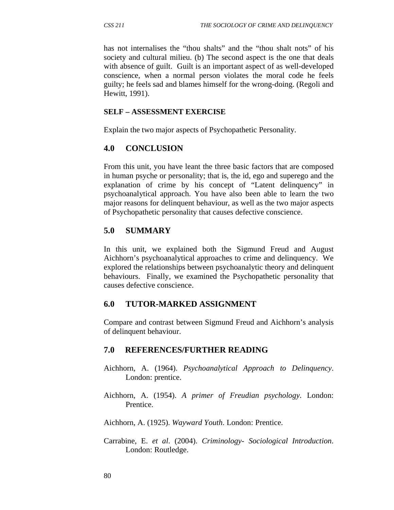has not internalises the "thou shalts" and the "thou shalt nots" of his society and cultural milieu. (b) The second aspect is the one that deals with absence of guilt. Guilt is an important aspect of as well-developed conscience, when a normal person violates the moral code he feels guilty; he feels sad and blames himself for the wrong-doing. (Regoli and Hewitt, 1991).

#### **SELF – ASSESSMENT EXERCISE**

Explain the two major aspects of Psychopathetic Personality.

### **4.0 CONCLUSION**

From this unit, you have leant the three basic factors that are composed in human psyche or personality; that is, the id, ego and superego and the explanation of crime by his concept of "Latent delinquency" in psychoanalytical approach. You have also been able to learn the two major reasons for delinquent behaviour, as well as the two major aspects of Psychopathetic personality that causes defective conscience.

## **5.0 SUMMARY**

In this unit, we explained both the Sigmund Freud and August Aichhorn's psychoanalytical approaches to crime and delinquency. We explored the relationships between psychoanalytic theory and delinquent behaviours. Finally, we examined the Psychopathetic personality that causes defective conscience.

#### **6.0 TUTOR-MARKED ASSIGNMENT**

Compare and contrast between Sigmund Freud and Aichhorn's analysis of delinquent behaviour.

#### **7.0 REFERENCES/FURTHER READING**

- Aichhorn, A. (1964). *Psychoanalytical Approach to Delinquency*. London: prentice.
- Aichhorn, A. (1954). *A primer of Freudian psychology*. London: Prentice.

Aichhorn, A. (1925). *Wayward Youth*. London: Prentice.

Carrabine, E. *et al*. (2004). *Criminology- Sociological Introduction*. London: Routledge.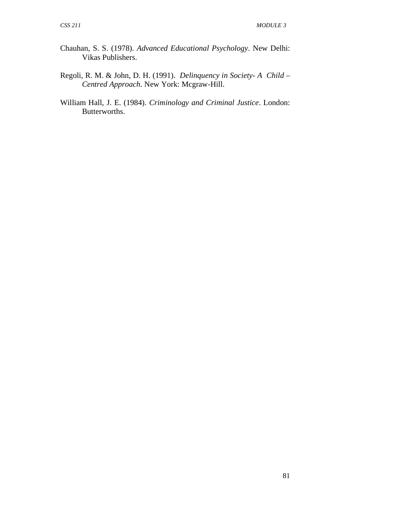- Chauhan, S. S. (1978). *Advanced Educational Psychology*. New Delhi: Vikas Publishers.
- Regoli, R. M. & John, D. H. (1991). *Delinquency in Society- A Child Centred Approach*. New York: Mcgraw-Hill.
- William Hall, J. E. (1984). *Criminology and Criminal Justice*. London: Butterworths.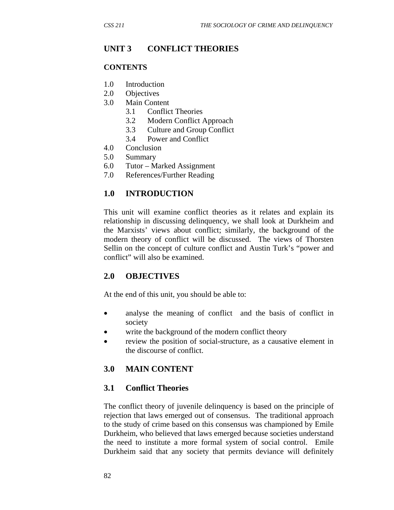# **UNIT 3 CONFLICT THEORIES**

#### **CONTENTS**

- 1.0 Introduction
- 2.0 Objectives
- 3.0 Main Content
	- 3.1 Conflict Theories
	- 3.2 Modern Conflict Approach
	- 3.3 Culture and Group Conflict
	- 3.4 Power and Conflict
- 4.0 Conclusion
- 5.0 Summary
- 6.0 Tutor Marked Assignment
- 7.0 References/Further Reading

### **1.0 INTRODUCTION**

This unit will examine conflict theories as it relates and explain its relationship in discussing delinquency, we shall look at Durkheim and the Marxists' views about conflict; similarly, the background of the modern theory of conflict will be discussed. The views of Thorsten Sellin on the concept of culture conflict and Austin Turk's "power and conflict" will also be examined.

#### **2.0 OBJECTIVES**

At the end of this unit, you should be able to:

- analyse the meaning of conflict and the basis of conflict in society
- write the background of the modern conflict theory
- review the position of social-structure, as a causative element in the discourse of conflict.

#### **3.0 MAIN CONTENT**

#### **3.1 Conflict Theories**

The conflict theory of juvenile delinquency is based on the principle of rejection that laws emerged out of consensus. The traditional approach to the study of crime based on this consensus was championed by Emile Durkheim, who believed that laws emerged because societies understand the need to institute a more formal system of social control. Emile Durkheim said that any society that permits deviance will definitely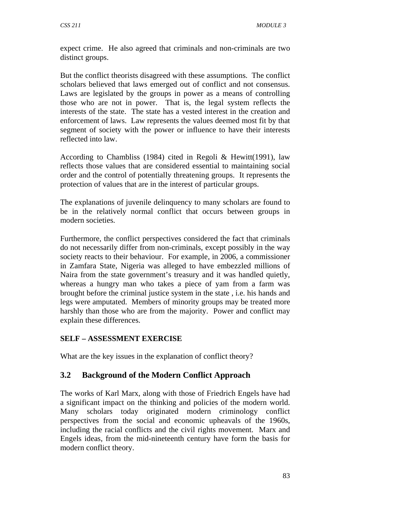expect crime. He also agreed that criminals and non-criminals are two distinct groups.

But the conflict theorists disagreed with these assumptions. The conflict scholars believed that laws emerged out of conflict and not consensus. Laws are legislated by the groups in power as a means of controlling those who are not in power. That is, the legal system reflects the interests of the state. The state has a vested interest in the creation and enforcement of laws. Law represents the values deemed most fit by that segment of society with the power or influence to have their interests reflected into law.

According to Chambliss (1984) cited in Regoli & Hewitt(1991), law reflects those values that are considered essential to maintaining social order and the control of potentially threatening groups. It represents the protection of values that are in the interest of particular groups.

The explanations of juvenile delinquency to many scholars are found to be in the relatively normal conflict that occurs between groups in modern societies.

Furthermore, the conflict perspectives considered the fact that criminals do not necessarily differ from non-criminals, except possibly in the way society reacts to their behaviour. For example, in 2006, a commissioner in Zamfara State, Nigeria was alleged to have embezzled millions of Naira from the state government's treasury and it was handled quietly, whereas a hungry man who takes a piece of yam from a farm was brought before the criminal justice system in the state , i.e. his hands and legs were amputated. Members of minority groups may be treated more harshly than those who are from the majority. Power and conflict may explain these differences.

## **SELF – ASSESSMENT EXERCISE**

What are the key issues in the explanation of conflict theory?

## **3.2 Background of the Modern Conflict Approach**

The works of Karl Marx, along with those of Friedrich Engels have had a significant impact on the thinking and policies of the modern world. Many scholars today originated modern criminology conflict perspectives from the social and economic upheavals of the 1960s, including the racial conflicts and the civil rights movement. Marx and Engels ideas, from the mid-nineteenth century have form the basis for modern conflict theory.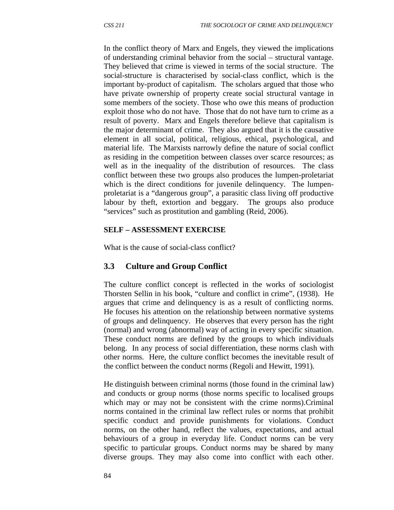In the conflict theory of Marx and Engels, they viewed the implications of understanding criminal behavior from the social – structural vantage. They believed that crime is viewed in terms of the social structure. The social-structure is characterised by social-class conflict, which is the important by-product of capitalism. The scholars argued that those who have private ownership of property create social structural vantage in some members of the society. Those who owe this means of production exploit those who do not have. Those that do not have turn to crime as a result of poverty. Marx and Engels therefore believe that capitalism is the major determinant of crime. They also argued that it is the causative element in all social, political, religious, ethical, psychological, and material life. The Marxists narrowly define the nature of social conflict as residing in the competition between classes over scarce resources; as well as in the inequality of the distribution of resources. The class conflict between these two groups also produces the lumpen-proletariat which is the direct conditions for juvenile delinquency. The lumpenproletariat is a "dangerous group", a parasitic class living off productive labour by theft, extortion and beggary. The groups also produce "services" such as prostitution and gambling (Reid, 2006).

#### **SELF – ASSESSMENT EXERCISE**

What is the cause of social-class conflict?

#### **3.3 Culture and Group Conflict**

The culture conflict concept is reflected in the works of sociologist Thorsten Sellin in his book, "culture and conflict in crime", (1938). He argues that crime and delinquency is as a result of conflicting norms. He focuses his attention on the relationship between normative systems of groups and delinquency. He observes that every person has the right (normal) and wrong (abnormal) way of acting in every specific situation. These conduct norms are defined by the groups to which individuals belong. In any process of social differentiation, these norms clash with other norms. Here, the culture conflict becomes the inevitable result of the conflict between the conduct norms (Regoli and Hewitt, 1991).

He distinguish between criminal norms (those found in the criminal law) and conducts or group norms (those norms specific to localised groups which may or may not be consistent with the crime norms).Criminal norms contained in the criminal law reflect rules or norms that prohibit specific conduct and provide punishments for violations. Conduct norms, on the other hand, reflect the values, expectations, and actual behaviours of a group in everyday life. Conduct norms can be very specific to particular groups. Conduct norms may be shared by many diverse groups. They may also come into conflict with each other.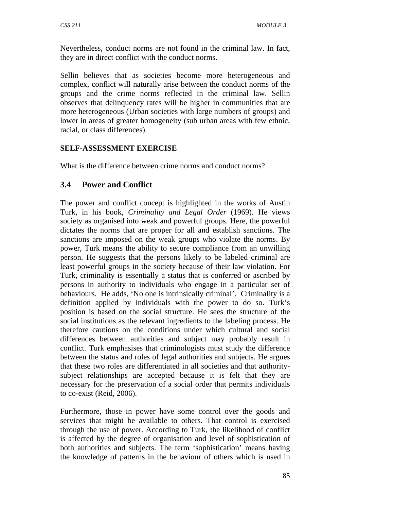Nevertheless, conduct norms are not found in the criminal law. In fact, they are in direct conflict with the conduct norms.

Sellin believes that as societies become more heterogeneous and complex, conflict will naturally arise between the conduct norms of the groups and the crime norms reflected in the criminal law. Sellin observes that delinquency rates will be higher in communities that are more heterogeneous (Urban societies with large numbers of groups) and lower in areas of greater homogeneity (sub urban areas with few ethnic, racial, or class differences).

### **SELF-ASSESSMENT EXERCISE**

What is the difference between crime norms and conduct norms?

## **3.4 Power and Conflict**

The power and conflict concept is highlighted in the works of Austin Turk, in his book, *Criminality and Legal Order* (1969). He views society as organised into weak and powerful groups. Here, the powerful dictates the norms that are proper for all and establish sanctions. The sanctions are imposed on the weak groups who violate the norms. By power, Turk means the ability to secure compliance from an unwilling person. He suggests that the persons likely to be labeled criminal are least powerful groups in the society because of their law violation. For Turk, criminality is essentially a status that is conferred or ascribed by persons in authority to individuals who engage in a particular set of behaviours. He adds, 'No one is intrinsically criminal'. Criminality is a definition applied by individuals with the power to do so. Turk's position is based on the social structure. He sees the structure of the social institutions as the relevant ingredients to the labeling process. He therefore cautions on the conditions under which cultural and social differences between authorities and subject may probably result in conflict. Turk emphasises that criminologists must study the difference between the status and roles of legal authorities and subjects. He argues that these two roles are differentiated in all societies and that authoritysubject relationships are accepted because it is felt that they are necessary for the preservation of a social order that permits individuals to co-exist (Reid, 2006).

Furthermore, those in power have some control over the goods and services that might be available to others. That control is exercised through the use of power. According to Turk, the likelihood of conflict is affected by the degree of organisation and level of sophistication of both authorities and subjects. The term 'sophistication' means having the knowledge of patterns in the behaviour of others which is used in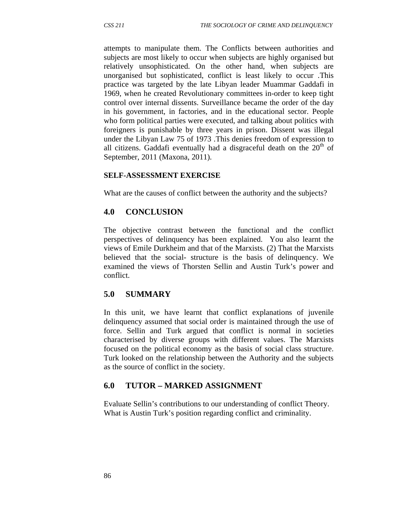attempts to manipulate them. The Conflicts between authorities and subjects are most likely to occur when subjects are highly organised but relatively unsophisticated. On the other hand, when subjects are unorganised but sophisticated, conflict is least likely to occur .This practice was targeted by the late Libyan leader Muammar Gaddafi in 1969, when he created Revolutionary committees in-order to keep tight control over internal dissents. Surveillance became the order of the day in his government, in factories, and in the educational sector. People who form political parties were executed, and talking about politics with foreigners is punishable by three years in prison. Dissent was illegal under the Libyan Law 75 of 1973 .This denies freedom of expression to all citizens. Gaddafi eventually had a disgraceful death on the  $20<sup>th</sup>$  of September, 2011 (Maxona, 2011).

#### **SELF-ASSESSMENT EXERCISE**

What are the causes of conflict between the authority and the subjects?

### **4.0 CONCLUSION**

The objective contrast between the functional and the conflict perspectives of delinquency has been explained. You also learnt the views of Emile Durkheim and that of the Marxists. (2) That the Marxists believed that the social- structure is the basis of delinquency. We examined the views of Thorsten Sellin and Austin Turk's power and conflict.

## **5.0 SUMMARY**

In this unit, we have learnt that conflict explanations of juvenile delinquency assumed that social order is maintained through the use of force. Sellin and Turk argued that conflict is normal in societies characterised by diverse groups with different values. The Marxists focused on the political economy as the basis of social class structure. Turk looked on the relationship between the Authority and the subjects as the source of conflict in the society.

#### **6.0 TUTOR – MARKED ASSIGNMENT**

Evaluate Sellin's contributions to our understanding of conflict Theory. What is Austin Turk's position regarding conflict and criminality.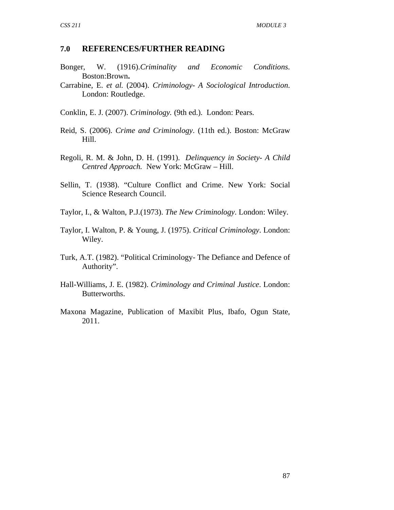#### **7.0 REFERENCES/FURTHER READING**

- Bonger, W. (1916).*Criminality and Economic Conditions*. Boston:Brown**.**
- Carrabine, E. *et al.* (2004). *Criminology- A Sociological Introduction*. London: Routledge.
- Conklin, E. J. (2007). *Criminology.* (9th ed.). London: Pears.
- Reid, S. (2006). *Crime and Criminology*. (11th ed.). Boston: McGraw Hill.
- Regoli, R. M. & John, D. H. (1991). *Delinquency in Society- A Child Centred Approach.* New York: McGraw – Hill.
- Sellin, T. (1938). "Culture Conflict and Crime. New York: Social Science Research Council.
- Taylor, I., & Walton, P.J.(1973). *The New Criminology*. London: Wiley.
- Taylor, I. Walton, P. & Young, J. (1975). *Critical Criminology*. London: Wiley.
- Turk, A.T. (1982). "Political Criminology- The Defiance and Defence of Authority".
- Hall-Williams, J. E. (1982). *Criminology and Criminal Justice*. London: Butterworths.
- Maxona Magazine, Publication of Maxibit Plus, Ibafo, Ogun State, 2011.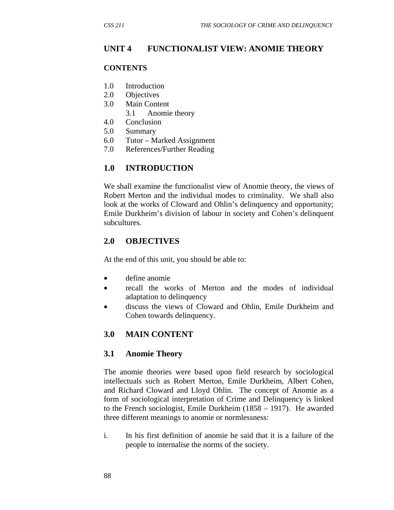## **UNIT 4 FUNCTIONALIST VIEW: ANOMIE THEORY**

#### **CONTENTS**

- 1.0 Introduction
- 2.0 Objectives
- 3.0 Main Content
	- 3.1 Anomie theory
- 4.0 Conclusion
- 5.0 Summary
- 6.0 Tutor Marked Assignment
- 7.0 References/Further Reading

## **1.0 INTRODUCTION**

We shall examine the functionalist view of Anomie theory, the views of Robert Merton and the individual modes to criminality. We shall also look at the works of Cloward and Ohlin's delinquency and opportunity; Emile Durkheim's division of labour in society and Cohen's delinquent subcultures.

## **2.0 OBJECTIVES**

At the end of this unit, you should be able to:

- define anomie
- recall the works of Merton and the modes of individual adaptation to delinquency
- discuss the views of Cloward and Ohlin, Emile Durkheim and Cohen towards delinquency.

## **3.0 MAIN CONTENT**

#### **3.1 Anomie Theory**

The anomie theories were based upon field research by sociological intellectuals such as Robert Merton, Emile Durkheim, Albert Cohen, and Richard Cloward and Lloyd Ohlin. The concept of Anomie as a form of sociological interpretation of Crime and Delinquency is linked to the French sociologist, Emile Durkheim (1858 – 1917). He awarded three different meanings to anomie or normlessness:

i. In his first definition of anomie he said that it is a failure of the people to internalise the norms of the society.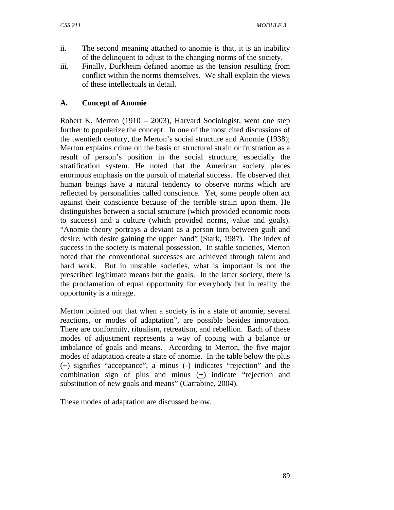- ii. The second meaning attached to anomie is that, it is an inability of the delinquent to adjust to the changing norms of the society.
- iii. Finally, Durkheim defined anomie as the tension resulting from conflict within the norms themselves. We shall explain the views of these intellectuals in detail.

## **A. Concept of Anomie**

Robert K. Merton (1910 – 2003), Harvard Sociologist, went one step further to popularize the concept. In one of the most cited discussions of the twentieth century, the Merton's social structure and Anomie (1938); Merton explains crime on the basis of structural strain or frustration as a result of person's position in the social structure, especially the stratification system. He noted that the American society places enormous emphasis on the pursuit of material success. He observed that human beings have a natural tendency to observe norms which are reflected by personalities called conscience. Yet, some people often act against their conscience because of the terrible strain upon them. He distinguishes between a social structure (which provided economic roots to success) and a culture (which provided norms, value and goals). "Anomie theory portrays a deviant as a person torn between guilt and desire, with desire gaining the upper hand" (Stark, 1987). The index of success in the society is material possession. In stable societies, Merton noted that the conventional successes are achieved through talent and hard work. But in unstable societies, what is important is not the prescribed legitimate means but the goals. In the latter society, there is the proclamation of equal opportunity for everybody but in reality the opportunity is a mirage.

Merton pointed out that when a society is in a state of anomie, several reactions, or modes of adaptation", are possible besides innovation. There are conformity, ritualism, retreatism, and rebellion. Each of these modes of adjustment represents a way of coping with a balance or imbalance of goals and means. According to Merton, the five major modes of adaptation create a state of anomie. In the table below the plus (+) signifies "acceptance", a minus (-) indicates "rejection" and the combination sign of plus and minus  $(+)$  indicate "rejection and substitution of new goals and means" (Carrabine, 2004).

These modes of adaptation are discussed below.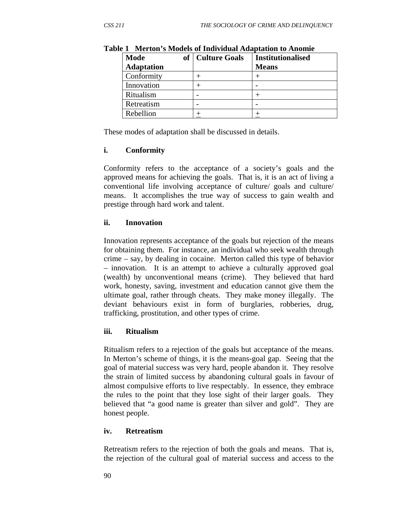| <b>Mode</b><br><b>Adaptation</b> | of   Culture Goals | <b>Institutionalised</b><br><b>Means</b> |
|----------------------------------|--------------------|------------------------------------------|
| Conformity                       |                    |                                          |
| Innovation                       |                    |                                          |
| Ritualism                        |                    |                                          |
| Retreatism                       |                    |                                          |
| Rebellion                        |                    |                                          |

**Table 1 Merton's Models of Individual Adaptation to Anomie** 

These modes of adaptation shall be discussed in details.

#### **i. Conformity**

Conformity refers to the acceptance of a society's goals and the approved means for achieving the goals. That is, it is an act of living a conventional life involving acceptance of culture/ goals and culture/ means. It accomplishes the true way of success to gain wealth and prestige through hard work and talent.

### **ii. Innovation**

Innovation represents acceptance of the goals but rejection of the means for obtaining them. For instance, an individual who seek wealth through crime – say, by dealing in cocaine. Merton called this type of behavior – innovation. It is an attempt to achieve a culturally approved goal (wealth) by unconventional means (crime). They believed that hard work, honesty, saving, investment and education cannot give them the ultimate goal, rather through cheats. They make money illegally. The deviant behaviours exist in form of burglaries, robberies, drug, trafficking, prostitution, and other types of crime.

#### **iii. Ritualism**

Ritualism refers to a rejection of the goals but acceptance of the means. In Merton's scheme of things, it is the means-goal gap. Seeing that the goal of material success was very hard, people abandon it. They resolve the strain of limited success by abandoning cultural goals in favour of almost compulsive efforts to live respectably. In essence, they embrace the rules to the point that they lose sight of their larger goals. They believed that "a good name is greater than silver and gold". They are honest people.

#### **iv. Retreatism**

Retreatism refers to the rejection of both the goals and means. That is, the rejection of the cultural goal of material success and access to the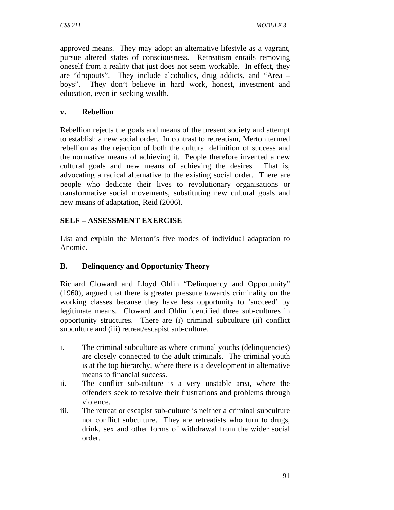approved means. They may adopt an alternative lifestyle as a vagrant, pursue altered states of consciousness. Retreatism entails removing oneself from a reality that just does not seem workable. In effect, they are "dropouts". They include alcoholics, drug addicts, and "Area – boys". They don't believe in hard work, honest, investment and education, even in seeking wealth.

### **v. Rebellion**

Rebellion rejects the goals and means of the present society and attempt to establish a new social order. In contrast to retreatism, Merton termed rebellion as the rejection of both the cultural definition of success and the normative means of achieving it. People therefore invented a new cultural goals and new means of achieving the desires. That is, advocating a radical alternative to the existing social order. There are people who dedicate their lives to revolutionary organisations or transformative social movements, substituting new cultural goals and new means of adaptation, Reid (2006).

## **SELF – ASSESSMENT EXERCISE**

List and explain the Merton's five modes of individual adaptation to Anomie.

## **B. Delinquency and Opportunity Theory**

Richard Cloward and Lloyd Ohlin "Delinquency and Opportunity" (1960), argued that there is greater pressure towards criminality on the working classes because they have less opportunity to 'succeed' by legitimate means. Cloward and Ohlin identified three sub-cultures in opportunity structures. There are (i) criminal subculture (ii) conflict subculture and (iii) retreat/escapist sub-culture.

- i. The criminal subculture as where criminal youths (delinquencies) are closely connected to the adult criminals. The criminal youth is at the top hierarchy, where there is a development in alternative means to financial success.
- ii. The conflict sub-culture is a very unstable area, where the offenders seek to resolve their frustrations and problems through violence.
- iii. The retreat or escapist sub-culture is neither a criminal subculture nor conflict subculture. They are retreatists who turn to drugs, drink, sex and other forms of withdrawal from the wider social order.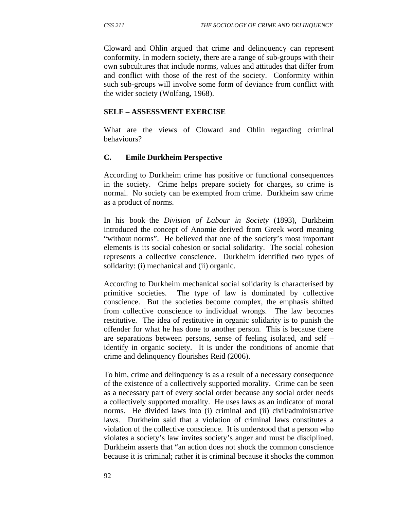Cloward and Ohlin argued that crime and delinquency can represent conformity. In modern society, there are a range of sub-groups with their own subcultures that include norms, values and attitudes that differ from and conflict with those of the rest of the society. Conformity within such sub-groups will involve some form of deviance from conflict with the wider society (Wolfang, 1968).

#### **SELF – ASSESSMENT EXERCISE**

What are the views of Cloward and Ohlin regarding criminal behaviours?

### **C. Emile Durkheim Perspective**

According to Durkheim crime has positive or functional consequences in the society. Crime helps prepare society for charges, so crime is normal. No society can be exempted from crime. Durkheim saw crime as a product of norms.

In his book–the *Division of Labour in Society* (1893), Durkheim introduced the concept of Anomie derived from Greek word meaning "without norms". He believed that one of the society's most important elements is its social cohesion or social solidarity. The social cohesion represents a collective conscience. Durkheim identified two types of solidarity: (i) mechanical and (ii) organic.

According to Durkheim mechanical social solidarity is characterised by primitive societies. The type of law is dominated by collective conscience. But the societies become complex, the emphasis shifted from collective conscience to individual wrongs. The law becomes restitutive. The idea of restitutive in organic solidarity is to punish the offender for what he has done to another person. This is because there are separations between persons, sense of feeling isolated, and self – identify in organic society. It is under the conditions of anomie that crime and delinquency flourishes Reid (2006).

To him, crime and delinquency is as a result of a necessary consequence of the existence of a collectively supported morality. Crime can be seen as a necessary part of every social order because any social order needs a collectively supported morality. He uses laws as an indicator of moral norms. He divided laws into (i) criminal and (ii) civil/administrative laws. Durkheim said that a violation of criminal laws constitutes a violation of the collective conscience. It is understood that a person who violates a society's law invites society's anger and must be disciplined. Durkheim asserts that "an action does not shock the common conscience because it is criminal; rather it is criminal because it shocks the common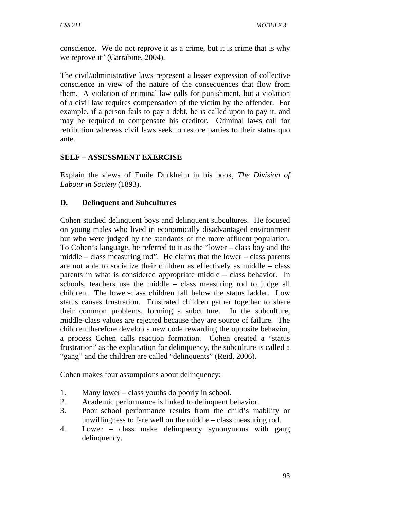conscience. We do not reprove it as a crime, but it is crime that is why we reprove it" (Carrabine, 2004).

The civil/administrative laws represent a lesser expression of collective conscience in view of the nature of the consequences that flow from them. A violation of criminal law calls for punishment, but a violation of a civil law requires compensation of the victim by the offender. For example, if a person fails to pay a debt, he is called upon to pay it, and may be required to compensate his creditor. Criminal laws call for retribution whereas civil laws seek to restore parties to their status quo ante.

## **SELF – ASSESSMENT EXERCISE**

Explain the views of Emile Durkheim in his book, *The Division of Labour in Society* (1893).

## **D. Delinquent and Subcultures**

Cohen studied delinquent boys and delinquent subcultures. He focused on young males who lived in economically disadvantaged environment but who were judged by the standards of the more affluent population. To Cohen's language, he referred to it as the "lower – class boy and the middle – class measuring rod". He claims that the lower – class parents are not able to socialize their children as effectively as middle – class parents in what is considered appropriate middle – class behavior. In schools, teachers use the middle – class measuring rod to judge all children. The lower-class children fall below the status ladder. Low status causes frustration. Frustrated children gather together to share their common problems, forming a subculture. In the subculture, middle-class values are rejected because they are source of failure. The children therefore develop a new code rewarding the opposite behavior, a process Cohen calls reaction formation. Cohen created a "status frustration" as the explanation for delinquency, the subculture is called a "gang" and the children are called "delinquents" (Reid, 2006).

Cohen makes four assumptions about delinquency:

- 1. Many lower class youths do poorly in school.
- 2. Academic performance is linked to delinquent behavior.
- 3. Poor school performance results from the child's inability or unwillingness to fare well on the middle – class measuring rod.
- 4. Lower class make delinquency synonymous with gang delinquency.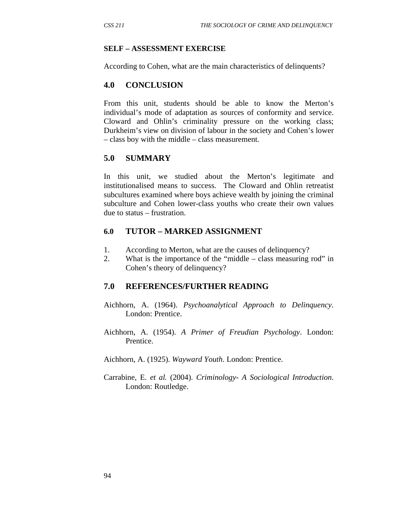#### **SELF – ASSESSMENT EXERCISE**

According to Cohen, what are the main characteristics of delinquents?

#### **4.0 CONCLUSION**

From this unit, students should be able to know the Merton's individual's mode of adaptation as sources of conformity and service. Cloward and Ohlin's criminality pressure on the working class; Durkheim's view on division of labour in the society and Cohen's lower – class boy with the middle – class measurement.

#### **5.0 SUMMARY**

In this unit, we studied about the Merton's legitimate and institutionalised means to success. The Cloward and Ohlin retreatist subcultures examined where boys achieve wealth by joining the criminal subculture and Cohen lower-class youths who create their own values due to status – frustration.

#### **6.0 TUTOR – MARKED ASSIGNMENT**

- 1. According to Merton, what are the causes of delinquency?
- 2. What is the importance of the "middle class measuring rod" in Cohen's theory of delinquency?

#### **7.0 REFERENCES/FURTHER READING**

- Aichhorn, A. (1964). *Psychoanalytical Approach to Delinquency*. London: Prentice.
- Aichhorn, A. (1954). *A Primer of Freudian Psychology*. London: Prentice.
- Aichhorn, A. (1925). *Wayward Youth*. London: Prentice.
- Carrabine, E. *et al.* (2004). *Criminology- A Sociological Introduction*. London: Routledge.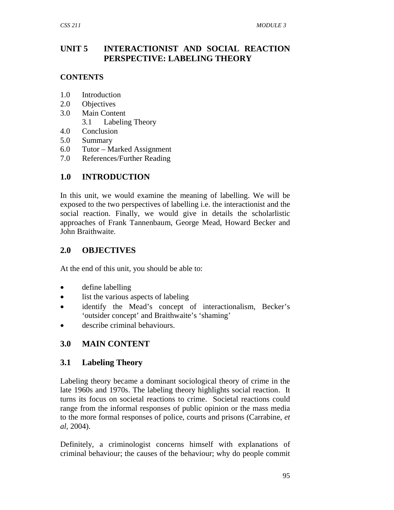## **UNIT 5 INTERACTIONIST AND SOCIAL REACTION PERSPECTIVE: LABELING THEORY**

### **CONTENTS**

- 1.0 Introduction
- 2.0 Objectives
- 3.0 Main Content
	- 3.1 Labeling Theory
- 4.0 Conclusion
- 5.0 Summary
- 6.0 Tutor Marked Assignment
- 7.0 References/Further Reading

# **1.0 INTRODUCTION**

In this unit, we would examine the meaning of labelling. We will be exposed to the two perspectives of labelling i.e. the interactionist and the social reaction. Finally, we would give in details the scholarlistic approaches of Frank Tannenbaum, George Mead, Howard Becker and John Braithwaite.

# **2.0 OBJECTIVES**

At the end of this unit, you should be able to:

- define labelling
- list the various aspects of labeling
- identify the Mead's concept of interactionalism, Becker's 'outsider concept' and Braithwaite's 'shaming'
- describe criminal behaviours.

# **3.0 MAIN CONTENT**

# **3.1 Labeling Theory**

Labeling theory became a dominant sociological theory of crime in the late 1960s and 1970s. The labeling theory highlights social reaction. It turns its focus on societal reactions to crime. Societal reactions could range from the informal responses of public opinion or the mass media to the more formal responses of police, courts and prisons (Carrabine, *et al,* 2004).

Definitely, a criminologist concerns himself with explanations of criminal behaviour; the causes of the behaviour; why do people commit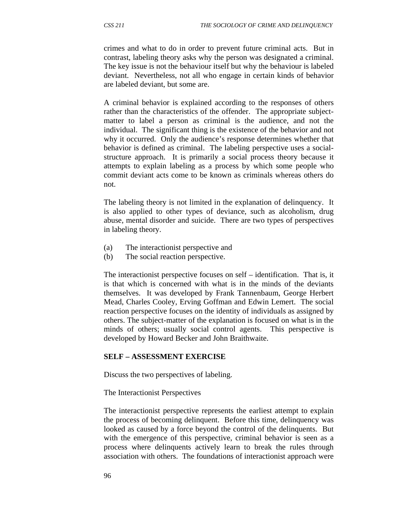crimes and what to do in order to prevent future criminal acts. But in contrast, labeling theory asks why the person was designated a criminal. The key issue is not the behaviour itself but why the behaviour is labeled deviant. Nevertheless, not all who engage in certain kinds of behavior are labeled deviant, but some are.

A criminal behavior is explained according to the responses of others rather than the characteristics of the offender. The appropriate subjectmatter to label a person as criminal is the audience, and not the individual. The significant thing is the existence of the behavior and not why it occurred. Only the audience's response determines whether that behavior is defined as criminal. The labeling perspective uses a socialstructure approach. It is primarily a social process theory because it attempts to explain labeling as a process by which some people who commit deviant acts come to be known as criminals whereas others do not.

The labeling theory is not limited in the explanation of delinquency. It is also applied to other types of deviance, such as alcoholism, drug abuse, mental disorder and suicide. There are two types of perspectives in labeling theory.

- (a) The interactionist perspective and
- (b) The social reaction perspective.

The interactionist perspective focuses on self – identification. That is, it is that which is concerned with what is in the minds of the deviants themselves. It was developed by Frank Tannenbaum, George Herbert Mead, Charles Cooley, Erving Goffman and Edwin Lemert. The social reaction perspective focuses on the identity of individuals as assigned by others. The subject-matter of the explanation is focused on what is in the minds of others; usually social control agents. This perspective is developed by Howard Becker and John Braithwaite.

#### **SELF – ASSESSMENT EXERCISE**

Discuss the two perspectives of labeling.

The Interactionist Perspectives

The interactionist perspective represents the earliest attempt to explain the process of becoming delinquent. Before this time, delinquency was looked as caused by a force beyond the control of the delinquents. But with the emergence of this perspective, criminal behavior is seen as a process where delinquents actively learn to break the rules through association with others. The foundations of interactionist approach were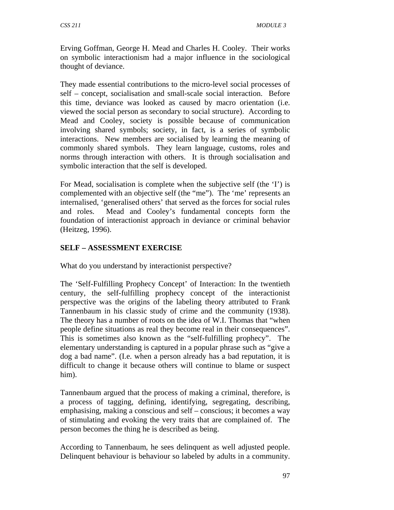Erving Goffman, George H. Mead and Charles H. Cooley. Their works on symbolic interactionism had a major influence in the sociological thought of deviance.

They made essential contributions to the micro-level social processes of self – concept, socialisation and small-scale social interaction. Before this time, deviance was looked as caused by macro orientation (i.e. viewed the social person as secondary to social structure). According to Mead and Cooley, society is possible because of communication involving shared symbols; society, in fact, is a series of symbolic interactions. New members are socialised by learning the meaning of commonly shared symbols. They learn language, customs, roles and norms through interaction with others. It is through socialisation and symbolic interaction that the self is developed.

For Mead, socialisation is complete when the subjective self (the 'I') is complemented with an objective self (the "me"). The 'me' represents an internalised, 'generalised others' that served as the forces for social rules and roles. Mead and Cooley's fundamental concepts form the foundation of interactionist approach in deviance or criminal behavior (Heitzeg, 1996).

## **SELF – ASSESSMENT EXERCISE**

What do you understand by interactionist perspective?

The 'Self-Fulfilling Prophecy Concept' of Interaction: In the twentieth century, the self-fulfilling prophecy concept of the interactionist perspective was the origins of the labeling theory attributed to Frank Tannenbaum in his classic study of crime and the community (1938). The theory has a number of roots on the idea of W.I. Thomas that "when people define situations as real they become real in their consequences". This is sometimes also known as the "self-fulfilling prophecy". The elementary understanding is captured in a popular phrase such as "give a dog a bad name". (I.e. when a person already has a bad reputation, it is difficult to change it because others will continue to blame or suspect him).

Tannenbaum argued that the process of making a criminal, therefore, is a process of tagging, defining, identifying, segregating, describing, emphasising, making a conscious and self – conscious; it becomes a way of stimulating and evoking the very traits that are complained of. The person becomes the thing he is described as being.

According to Tannenbaum, he sees delinquent as well adjusted people. Delinquent behaviour is behaviour so labeled by adults in a community.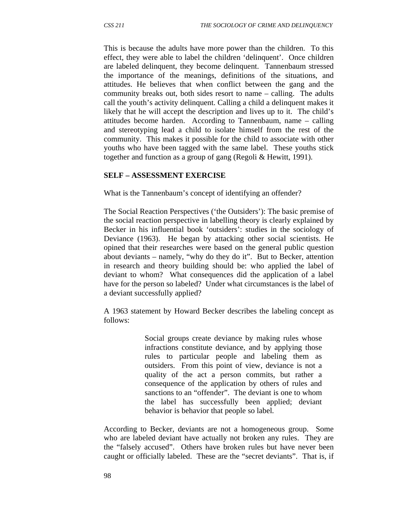This is because the adults have more power than the children. To this effect, they were able to label the children 'delinquent'. Once children are labeled delinquent, they become delinquent. Tannenbaum stressed the importance of the meanings, definitions of the situations, and attitudes. He believes that when conflict between the gang and the community breaks out, both sides resort to name – calling. The adults call the youth's activity delinquent. Calling a child a delinquent makes it likely that he will accept the description and lives up to it. The child's attitudes become harden. According to Tannenbaum, name – calling and stereotyping lead a child to isolate himself from the rest of the community. This makes it possible for the child to associate with other youths who have been tagged with the same label. These youths stick together and function as a group of gang (Regoli & Hewitt, 1991).

#### **SELF – ASSESSMENT EXERCISE**

What is the Tannenbaum's concept of identifying an offender?

The Social Reaction Perspectives ('the Outsiders'): The basic premise of the social reaction perspective in labelling theory is clearly explained by Becker in his influential book 'outsiders': studies in the sociology of Deviance (1963). He began by attacking other social scientists. He opined that their researches were based on the general public question about deviants – namely, "why do they do it". But to Becker, attention in research and theory building should be: who applied the label of deviant to whom? What consequences did the application of a label have for the person so labeled? Under what circumstances is the label of a deviant successfully applied?

A 1963 statement by Howard Becker describes the labeling concept as follows:

> Social groups create deviance by making rules whose infractions constitute deviance, and by applying those rules to particular people and labeling them as outsiders. From this point of view, deviance is not a quality of the act a person commits, but rather a consequence of the application by others of rules and sanctions to an "offender". The deviant is one to whom the label has successfully been applied; deviant behavior is behavior that people so label.

According to Becker, deviants are not a homogeneous group. Some who are labeled deviant have actually not broken any rules. They are the "falsely accused". Others have broken rules but have never been caught or officially labeled. These are the "secret deviants". That is, if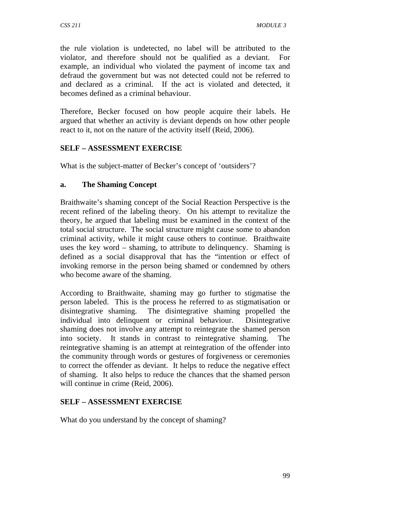the rule violation is undetected, no label will be attributed to the violator, and therefore should not be qualified as a deviant. For example, an individual who violated the payment of income tax and defraud the government but was not detected could not be referred to and declared as a criminal. If the act is violated and detected, it becomes defined as a criminal behaviour.

Therefore, Becker focused on how people acquire their labels. He argued that whether an activity is deviant depends on how other people react to it, not on the nature of the activity itself (Reid, 2006).

## **SELF – ASSESSMENT EXERCISE**

What is the subject-matter of Becker's concept of 'outsiders'?

## **a. The Shaming Concept**

Braithwaite's shaming concept of the Social Reaction Perspective is the recent refined of the labeling theory. On his attempt to revitalize the theory, he argued that labeling must be examined in the context of the total social structure. The social structure might cause some to abandon criminal activity, while it might cause others to continue. Braithwaite uses the key word – shaming, to attribute to delinquency. Shaming is defined as a social disapproval that has the "intention or effect of invoking remorse in the person being shamed or condemned by others who become aware of the shaming.

According to Braithwaite, shaming may go further to stigmatise the person labeled. This is the process he referred to as stigmatisation or disintegrative shaming. The disintegrative shaming propelled the individual into delinquent or criminal behaviour. Disintegrative shaming does not involve any attempt to reintegrate the shamed person into society. It stands in contrast to reintegrative shaming. The reintegrative shaming is an attempt at reintegration of the offender into the community through words or gestures of forgiveness or ceremonies to correct the offender as deviant. It helps to reduce the negative effect of shaming. It also helps to reduce the chances that the shamed person will continue in crime (Reid, 2006).

## **SELF – ASSESSMENT EXERCISE**

What do you understand by the concept of shaming?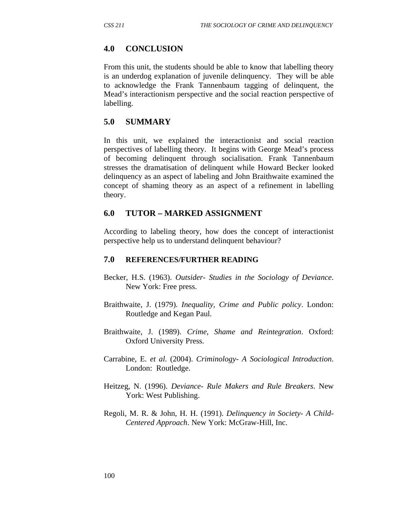## **4.0 CONCLUSION**

From this unit, the students should be able to know that labelling theory is an underdog explanation of juvenile delinquency. They will be able to acknowledge the Frank Tannenbaum tagging of delinquent, the Mead's interactionism perspective and the social reaction perspective of labelling.

## **5.0 SUMMARY**

In this unit, we explained the interactionist and social reaction perspectives of labelling theory. It begins with George Mead's process of becoming delinquent through socialisation. Frank Tannenbaum stresses the dramatisation of delinquent while Howard Becker looked delinquency as an aspect of labeling and John Braithwaite examined the concept of shaming theory as an aspect of a refinement in labelling theory.

## **6.0 TUTOR – MARKED ASSIGNMENT**

According to labeling theory, how does the concept of interactionist perspective help us to understand delinquent behaviour?

### **7.0 REFERENCES/FURTHER READING**

- Becker, H.S. (1963). *Outsider- Studies in the Sociology of Deviance*. New York: Free press.
- Braithwaite, J. (1979). *Inequality, Crime and Public policy*. London: Routledge and Kegan Paul.
- Braithwaite, J. (1989). *Crime, Shame and Reintegration*. Oxford: Oxford University Press.
- Carrabine, E. *et al*. (2004). *Criminology- A Sociological Introduction*. London: Routledge.
- Heitzeg, N. (1996). *Deviance- Rule Makers and Rule Breakers*. New York: West Publishing.
- Regoli, M. R. & John, H. H. (1991). *Delinquency in Society- A Child-Centered Approach*. New York: McGraw-Hill, Inc.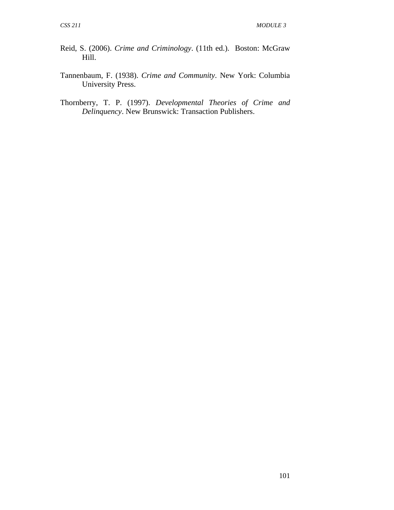- Reid, S. (2006). *Crime and Criminology*. (11th ed.). Boston: McGraw Hill.
- Tannenbaum, F. (1938). *Crime and Community*. New York: Columbia University Press.
- Thornberry, T. P. (1997). *Developmental Theories of Crime and Delinquency*. New Brunswick: Transaction Publishers.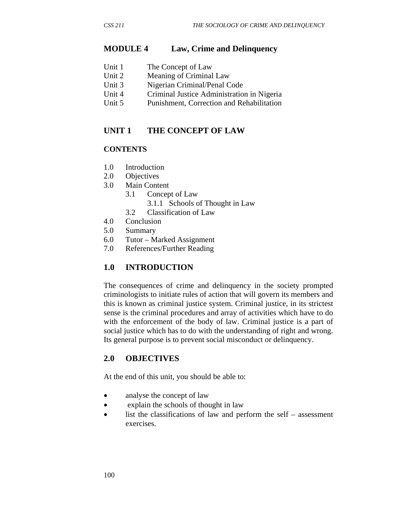#### **MODULE 4 Law, Crime and Delinquency**

| Unit 1 | The Concept of Law |
|--------|--------------------|
|--------|--------------------|

- Unit 2 Meaning of Criminal Law
- Unit 3 Nigerian Criminal/Penal Code
- Unit 4 Criminal Justice Administration in Nigeria
- Unit 5 Punishment, Correction and Rehabilitation

#### **UNIT 1 THE CONCEPT OF LAW**

#### **CONTENTS**

- 1.0 Introduction
- 2.0 Objectives
- 3.0 Main Content
	- 3.1 Concept of Law
		- 3.1.1 Schools of Thought in Law
	- 3.2 Classification of Law
- 4.0 Conclusion
- 5.0 Summary
- 6.0 Tutor Marked Assignment
- 7.0 References/Further Reading

### **1.0 INTRODUCTION**

The consequences of crime and delinquency in the society prompted criminologists to initiate rules of action that will govern its members and this is known as criminal justice system. Criminal justice, in its strictest sense is the criminal procedures and array of activities which have to do with the enforcement of the body of law. Criminal justice is a part of social justice which has to do with the understanding of right and wrong. Its general purpose is to prevent social misconduct or delinquency.

### **2.0 OBJECTIVES**

At the end of this unit, you should be able to:

- analyse the concept of law
- explain the schools of thought in law
- list the classifications of law and perform the self assessment exercises.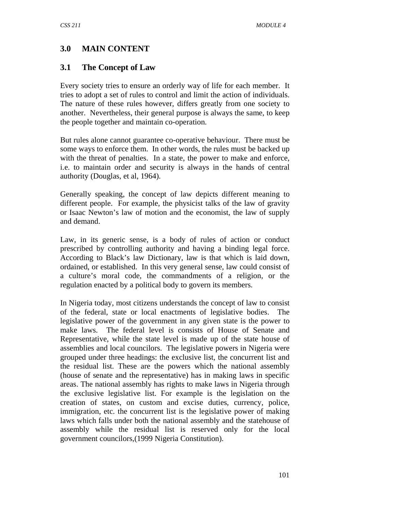# **3.0 MAIN CONTENT**

## **3.1 The Concept of Law**

Every society tries to ensure an orderly way of life for each member. It tries to adopt a set of rules to control and limit the action of individuals. The nature of these rules however, differs greatly from one society to another. Nevertheless, their general purpose is always the same, to keep the people together and maintain co-operation.

But rules alone cannot guarantee co-operative behaviour. There must be some ways to enforce them. In other words, the rules must be backed up with the threat of penalties. In a state, the power to make and enforce, i.e. to maintain order and security is always in the hands of central authority (Douglas, et al, 1964).

Generally speaking, the concept of law depicts different meaning to different people. For example, the physicist talks of the law of gravity or Isaac Newton's law of motion and the economist, the law of supply and demand.

Law, in its generic sense, is a body of rules of action or conduct prescribed by controlling authority and having a binding legal force. According to Black's law Dictionary, law is that which is laid down, ordained, or established. In this very general sense, law could consist of a culture's moral code, the commandments of a religion, or the regulation enacted by a political body to govern its members.

In Nigeria today, most citizens understands the concept of law to consist of the federal, state or local enactments of legislative bodies. The legislative power of the government in any given state is the power to make laws. The federal level is consists of House of Senate and Representative, while the state level is made up of the state house of assemblies and local councilors. The legislative powers in Nigeria were grouped under three headings: the exclusive list, the concurrent list and the residual list. These are the powers which the national assembly (house of senate and the representative) has in making laws in specific areas. The national assembly has rights to make laws in Nigeria through the exclusive legislative list. For example is the legislation on the creation of states, on custom and excise duties, currency, police, immigration, etc. the concurrent list is the legislative power of making laws which falls under both the national assembly and the statehouse of assembly while the residual list is reserved only for the local government councilors,(1999 Nigeria Constitution).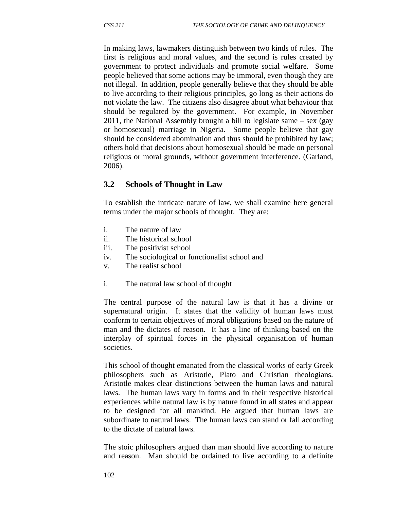In making laws, lawmakers distinguish between two kinds of rules. The first is religious and moral values, and the second is rules created by government to protect individuals and promote social welfare. Some people believed that some actions may be immoral, even though they are not illegal. In addition, people generally believe that they should be able to live according to their religious principles, go long as their actions do not violate the law. The citizens also disagree about what behaviour that should be regulated by the government. For example, in November 2011, the National Assembly brought a bill to legislate same – sex (gay or homosexual) marriage in Nigeria. Some people believe that gay should be considered abomination and thus should be prohibited by law; others hold that decisions about homosexual should be made on personal religious or moral grounds, without government interference. (Garland, 2006).

### **3.2 Schools of Thought in Law**

To establish the intricate nature of law, we shall examine here general terms under the major schools of thought. They are:

- i. The nature of law
- ii. The historical school
- iii. The positivist school
- iv. The sociological or functionalist school and
- v. The realist school
- i. The natural law school of thought

The central purpose of the natural law is that it has a divine or supernatural origin. It states that the validity of human laws must conform to certain objectives of moral obligations based on the nature of man and the dictates of reason. It has a line of thinking based on the interplay of spiritual forces in the physical organisation of human societies.

This school of thought emanated from the classical works of early Greek philosophers such as Aristotle, Plato and Christian theologians. Aristotle makes clear distinctions between the human laws and natural laws. The human laws vary in forms and in their respective historical experiences while natural law is by nature found in all states and appear to be designed for all mankind. He argued that human laws are subordinate to natural laws. The human laws can stand or fall according to the dictate of natural laws.

The stoic philosophers argued than man should live according to nature and reason. Man should be ordained to live according to a definite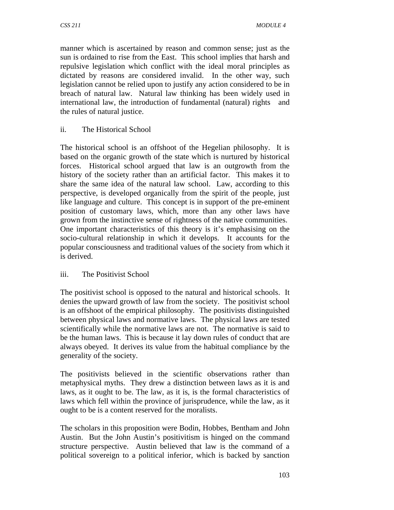manner which is ascertained by reason and common sense; just as the sun is ordained to rise from the East. This school implies that harsh and repulsive legislation which conflict with the ideal moral principles as dictated by reasons are considered invalid. In the other way, such legislation cannot be relied upon to justify any action considered to be in breach of natural law. Natural law thinking has been widely used in international law, the introduction of fundamental (natural) rights and the rules of natural justice.

ii. The Historical School

The historical school is an offshoot of the Hegelian philosophy. It is based on the organic growth of the state which is nurtured by historical forces. Historical school argued that law is an outgrowth from the history of the society rather than an artificial factor. This makes it to share the same idea of the natural law school. Law, according to this perspective, is developed organically from the spirit of the people, just like language and culture. This concept is in support of the pre-eminent position of customary laws, which, more than any other laws have grown from the instinctive sense of rightness of the native communities. One important characteristics of this theory is it's emphasising on the socio-cultural relationship in which it develops. It accounts for the popular consciousness and traditional values of the society from which it is derived.

### iii. The Positivist School

The positivist school is opposed to the natural and historical schools. It denies the upward growth of law from the society. The positivist school is an offshoot of the empirical philosophy. The positivists distinguished between physical laws and normative laws. The physical laws are tested scientifically while the normative laws are not. The normative is said to be the human laws. This is because it lay down rules of conduct that are always obeyed. It derives its value from the habitual compliance by the generality of the society.

The positivists believed in the scientific observations rather than metaphysical myths. They drew a distinction between laws as it is and laws, as it ought to be. The law, as it is, is the formal characteristics of laws which fell within the province of jurisprudence, while the law, as it ought to be is a content reserved for the moralists.

The scholars in this proposition were Bodin, Hobbes, Bentham and John Austin. But the John Austin's positivitism is hinged on the command structure perspective. Austin believed that law is the command of a political sovereign to a political inferior, which is backed by sanction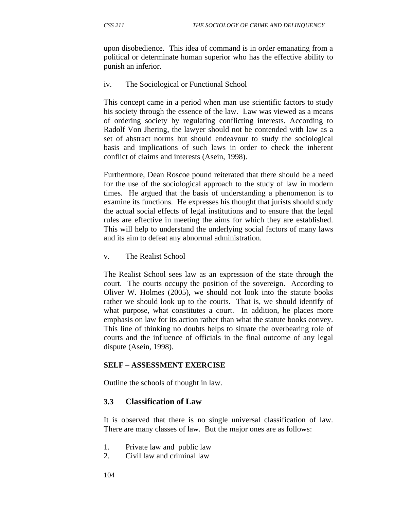upon disobedience. This idea of command is in order emanating from a political or determinate human superior who has the effective ability to punish an inferior.

iv. The Sociological or Functional School

This concept came in a period when man use scientific factors to study his society through the essence of the law. Law was viewed as a means of ordering society by regulating conflicting interests. According to Radolf Von Jhering, the lawyer should not be contended with law as a set of abstract norms but should endeavour to study the sociological basis and implications of such laws in order to check the inherent conflict of claims and interests (Asein, 1998).

Furthermore, Dean Roscoe pound reiterated that there should be a need for the use of the sociological approach to the study of law in modern times. He argued that the basis of understanding a phenomenon is to examine its functions. He expresses his thought that jurists should study the actual social effects of legal institutions and to ensure that the legal rules are effective in meeting the aims for which they are established. This will help to understand the underlying social factors of many laws and its aim to defeat any abnormal administration.

v. The Realist School

The Realist School sees law as an expression of the state through the court. The courts occupy the position of the sovereign. According to Oliver W. Holmes (2005), we should not look into the statute books rather we should look up to the courts. That is, we should identify of what purpose, what constitutes a court. In addition, he places more emphasis on law for its action rather than what the statute books convey. This line of thinking no doubts helps to situate the overbearing role of courts and the influence of officials in the final outcome of any legal dispute (Asein, 1998).

#### **SELF – ASSESSMENT EXERCISE**

Outline the schools of thought in law.

#### **3.3 Classification of Law**

It is observed that there is no single universal classification of law. There are many classes of law. But the major ones are as follows:

- 1. Private law and public law
- 2. Civil law and criminal law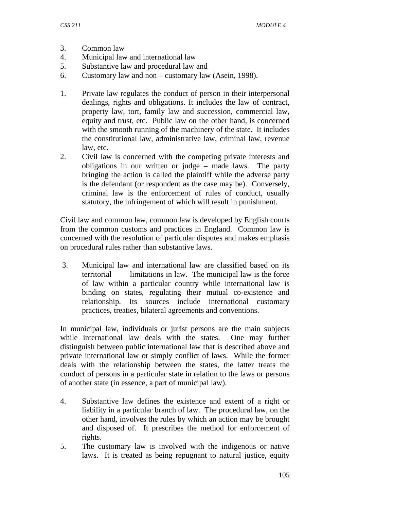- 3. Common law
- 4. Municipal law and international law
- 5. Substantive law and procedural law and
- 6. Customary law and non customary law (Asein, 1998).
- 1. Private law regulates the conduct of person in their interpersonal dealings, rights and obligations. It includes the law of contract, property law, tort, family law and succession, commercial law, equity and trust, etc. Public law on the other hand, is concerned with the smooth running of the machinery of the state. It includes the constitutional law, administrative law, criminal law, revenue law, etc.
- 2. Civil law is concerned with the competing private interests and obligations in our written or judge – made laws. The party bringing the action is called the plaintiff while the adverse party is the defendant (or respondent as the case may be). Conversely, criminal law is the enforcement of rules of conduct, usually statutory, the infringement of which will result in punishment.

Civil law and common law, common law is developed by English courts from the common customs and practices in England. Common law is concerned with the resolution of particular disputes and makes emphasis on procedural rules rather than substantive laws.

 3. Municipal law and international law are classified based on its territorial limitations in law. The municipal law is the force of law within a particular country while international law is binding on states, regulating their mutual co-existence and relationship. Its sources include international customary practices, treaties, bilateral agreements and conventions.

In municipal law, individuals or jurist persons are the main subjects while international law deals with the states. One may further distinguish between public international law that is described above and private international law or simply conflict of laws. While the former deals with the relationship between the states, the latter treats the conduct of persons in a particular state in relation to the laws or persons of another state (in essence, a part of municipal law).

- 4. Substantive law defines the existence and extent of a right or liability in a particular branch of law. The procedural law, on the other hand, involves the rules by which an action may be brought and disposed of. It prescribes the method for enforcement of rights.
- 5. The customary law is involved with the indigenous or native laws. It is treated as being repugnant to natural justice, equity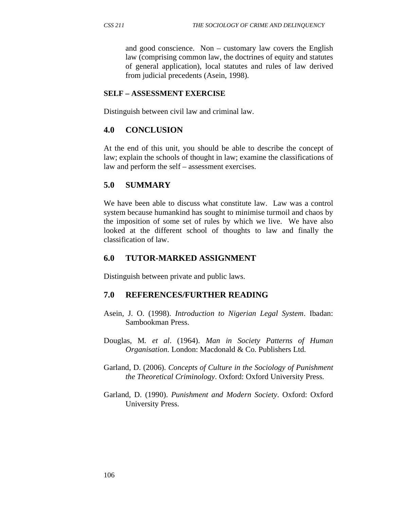and good conscience. Non – customary law covers the English law (comprising common law, the doctrines of equity and statutes of general application), local statutes and rules of law derived from judicial precedents (Asein, 1998).

#### **SELF – ASSESSMENT EXERCISE**

Distinguish between civil law and criminal law.

## **4.0 CONCLUSION**

At the end of this unit, you should be able to describe the concept of law; explain the schools of thought in law; examine the classifications of law and perform the self – assessment exercises.

## **5.0 SUMMARY**

We have been able to discuss what constitute law. Law was a control system because humankind has sought to minimise turmoil and chaos by the imposition of some set of rules by which we live. We have also looked at the different school of thoughts to law and finally the classification of law.

## **6.0 TUTOR-MARKED ASSIGNMENT**

Distinguish between private and public laws.

### **7.0 REFERENCES/FURTHER READING**

- Asein, J. O. (1998). *Introduction to Nigerian Legal System*. Ibadan: Sambookman Press.
- Douglas, M*. et al*. (1964). *Man in Society Patterns of Human Organisation*. London: Macdonald & Co. Publishers Ltd.
- Garland, D. (2006). *Concepts of Culture in the Sociology of Punishment the Theoretical Criminology*. Oxford: Oxford University Press.
- Garland, D. (1990). *Punishment and Modern Society*. Oxford: Oxford University Press.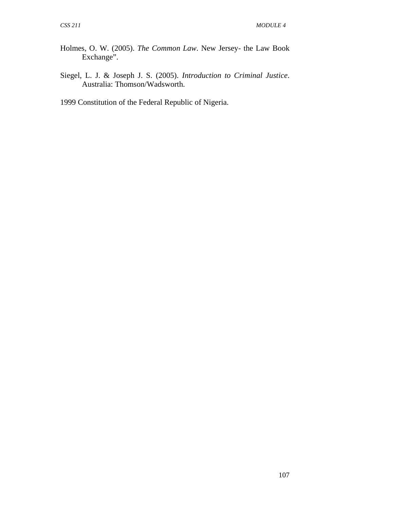- Holmes, O. W. (2005). *The Common Law*. New Jersey- the Law Book Exchange".
- Siegel, L. J. & Joseph J. S. (2005). *Introduction to Criminal Justice*. Australia: Thomson/Wadsworth.
- 1999 Constitution of the Federal Republic of Nigeria.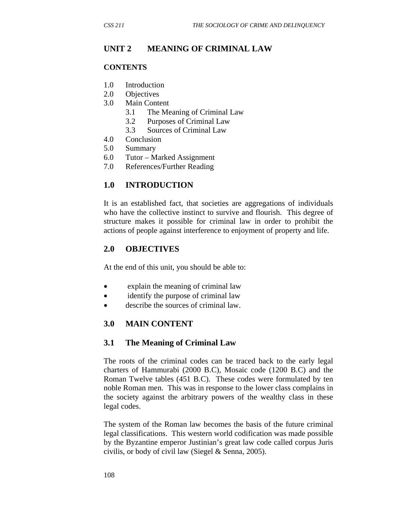## **UNIT 2 MEANING OF CRIMINAL LAW**

#### **CONTENTS**

- 1.0 Introduction
- 2.0 Objectives
- 3.0 Main Content
	- 3.1 The Meaning of Criminal Law
	- 3.2 Purposes of Criminal Law
	- 3.3 Sources of Criminal Law
- 4.0 Conclusion
- 5.0 Summary
- 6.0 Tutor Marked Assignment
- 7.0 References/Further Reading

## **1.0 INTRODUCTION**

It is an established fact, that societies are aggregations of individuals who have the collective instinct to survive and flourish. This degree of structure makes it possible for criminal law in order to prohibit the actions of people against interference to enjoyment of property and life.

### **2.0 OBJECTIVES**

At the end of this unit, you should be able to:

- explain the meaning of criminal law
- identify the purpose of criminal law
- describe the sources of criminal law.

## **3.0 MAIN CONTENT**

### **3.1 The Meaning of Criminal Law**

The roots of the criminal codes can be traced back to the early legal charters of Hammurabi (2000 B.C), Mosaic code (1200 B.C) and the Roman Twelve tables (451 B.C). These codes were formulated by ten noble Roman men. This was in response to the lower class complains in the society against the arbitrary powers of the wealthy class in these legal codes.

The system of the Roman law becomes the basis of the future criminal legal classifications. This western world codification was made possible by the Byzantine emperor Justinian's great law code called corpus Juris civilis, or body of civil law (Siegel & Senna, 2005).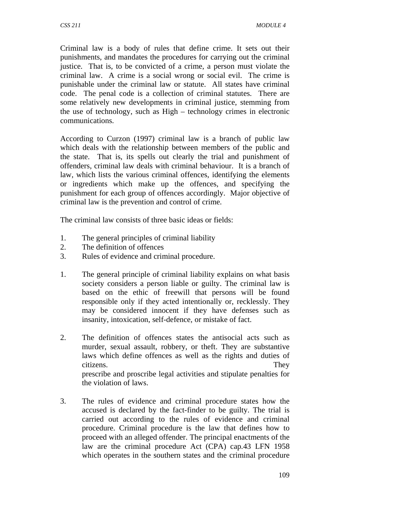Criminal law is a body of rules that define crime. It sets out their punishments, and mandates the procedures for carrying out the criminal justice. That is, to be convicted of a crime, a person must violate the criminal law. A crime is a social wrong or social evil. The crime is punishable under the criminal law or statute. All states have criminal code. The penal code is a collection of criminal statutes. There are some relatively new developments in criminal justice, stemming from the use of technology, such as High – technology crimes in electronic communications.

According to Curzon (1997) criminal law is a branch of public law which deals with the relationship between members of the public and the state. That is, its spells out clearly the trial and punishment of offenders, criminal law deals with criminal behaviour. It is a branch of law, which lists the various criminal offences, identifying the elements or ingredients which make up the offences, and specifying the punishment for each group of offences accordingly. Major objective of criminal law is the prevention and control of crime.

The criminal law consists of three basic ideas or fields:

- 1. The general principles of criminal liability
- 2. The definition of offences
- 3. Rules of evidence and criminal procedure.
- 1. The general principle of criminal liability explains on what basis society considers a person liable or guilty. The criminal law is based on the ethic of freewill that persons will be found responsible only if they acted intentionally or, recklessly. They may be considered innocent if they have defenses such as insanity, intoxication, self-defence, or mistake of fact.
- 2. The definition of offences states the antisocial acts such as murder, sexual assault, robbery, or theft. They are substantive laws which define offences as well as the rights and duties of citizens. They prescribe and proscribe legal activities and stipulate penalties for the violation of laws.
- 3. The rules of evidence and criminal procedure states how the accused is declared by the fact-finder to be guilty. The trial is carried out according to the rules of evidence and criminal procedure. Criminal procedure is the law that defines how to proceed with an alleged offender. The principal enactments of the law are the criminal procedure Act (CPA) cap.43 LFN 1958 which operates in the southern states and the criminal procedure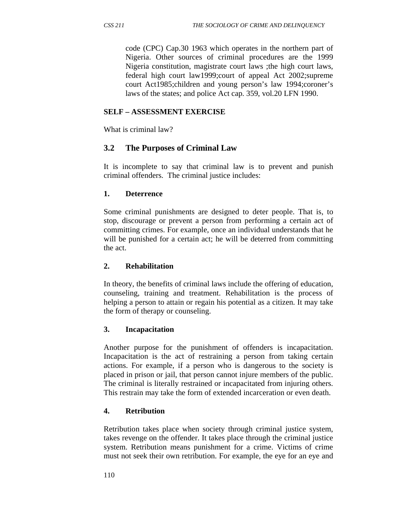code (CPC) Cap.30 1963 which operates in the northern part of Nigeria. Other sources of criminal procedures are the 1999 Nigeria constitution, magistrate court laws ;the high court laws, federal high court law1999;court of appeal Act 2002;supreme court Act1985;children and young person's law 1994;coroner's laws of the states; and police Act cap. 359, vol.20 LFN 1990.

## **SELF – ASSESSMENT EXERCISE**

What is criminal law?

# **3.2 The Purposes of Criminal Law**

It is incomplete to say that criminal law is to prevent and punish criminal offenders. The criminal justice includes:

### **1. Deterrence**

Some criminal punishments are designed to deter people. That is, to stop, discourage or prevent a person from performing a certain act of committing crimes. For example, once an individual understands that he will be punished for a certain act; he will be deterred from committing the act.

### **2. Rehabilitation**

In theory, the benefits of criminal laws include the offering of education, counseling, training and treatment. Rehabilitation is the process of helping a person to attain or regain his potential as a citizen. It may take the form of therapy or counseling.

### **3. Incapacitation**

Another purpose for the punishment of offenders is incapacitation. Incapacitation is the act of restraining a person from taking certain actions. For example, if a person who is dangerous to the society is placed in prison or jail, that person cannot injure members of the public. The criminal is literally restrained or incapacitated from injuring others. This restrain may take the form of extended incarceration or even death.

## **4. Retribution**

Retribution takes place when society through criminal justice system, takes revenge on the offender. It takes place through the criminal justice system. Retribution means punishment for a crime. Victims of crime must not seek their own retribution. For example, the eye for an eye and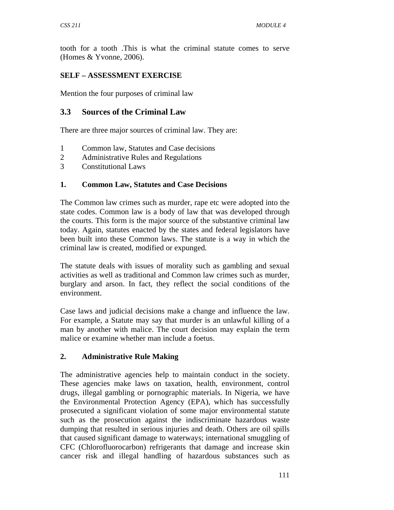tooth for a tooth .This is what the criminal statute comes to serve (Homes & Yvonne, 2006).

## **SELF – ASSESSMENT EXERCISE**

Mention the four purposes of criminal law

## **3.3 Sources of the Criminal Law**

There are three major sources of criminal law. They are:

- 1 Common law, Statutes and Case decisions
- 2 Administrative Rules and Regulations
- 3 Constitutional Laws

## **1. Common Law, Statutes and Case Decisions**

The Common law crimes such as murder, rape etc were adopted into the state codes. Common law is a body of law that was developed through the courts. This form is the major source of the substantive criminal law today. Again, statutes enacted by the states and federal legislators have been built into these Common laws. The statute is a way in which the criminal law is created, modified or expunged.

The statute deals with issues of morality such as gambling and sexual activities as well as traditional and Common law crimes such as murder, burglary and arson. In fact, they reflect the social conditions of the environment.

Case laws and judicial decisions make a change and influence the law. For example, a Statute may say that murder is an unlawful killing of a man by another with malice. The court decision may explain the term malice or examine whether man include a foetus.

### **2. Administrative Rule Making**

The administrative agencies help to maintain conduct in the society. These agencies make laws on taxation, health, environment, control drugs, illegal gambling or pornographic materials. In Nigeria, we have the Environmental Protection Agency (EPA), which has successfully prosecuted a significant violation of some major environmental statute such as the prosecution against the indiscriminate hazardous waste dumping that resulted in serious injuries and death. Others are oil spills that caused significant damage to waterways; international smuggling of CFC (Chlorofluorocarbon) refrigerants that damage and increase skin cancer risk and illegal handling of hazardous substances such as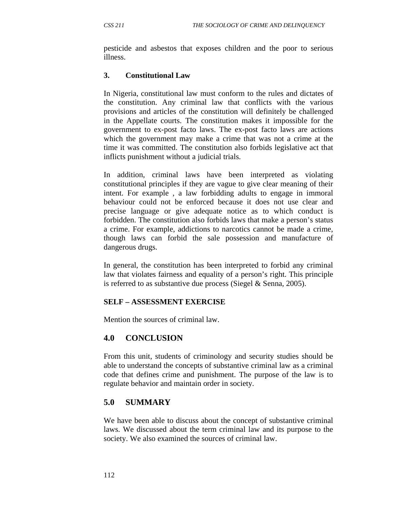pesticide and asbestos that exposes children and the poor to serious illness.

#### **3. Constitutional Law**

In Nigeria, constitutional law must conform to the rules and dictates of the constitution. Any criminal law that conflicts with the various provisions and articles of the constitution will definitely be challenged in the Appellate courts. The constitution makes it impossible for the government to ex-post facto laws. The ex-post facto laws are actions which the government may make a crime that was not a crime at the time it was committed. The constitution also forbids legislative act that inflicts punishment without a judicial trials.

In addition, criminal laws have been interpreted as violating constitutional principles if they are vague to give clear meaning of their intent. For example , a law forbidding adults to engage in immoral behaviour could not be enforced because it does not use clear and precise language or give adequate notice as to which conduct is forbidden. The constitution also forbids laws that make a person's status a crime. For example, addictions to narcotics cannot be made a crime, though laws can forbid the sale possession and manufacture of dangerous drugs.

In general, the constitution has been interpreted to forbid any criminal law that violates fairness and equality of a person's right. This principle is referred to as substantive due process (Siegel & Senna, 2005).

#### **SELF – ASSESSMENT EXERCISE**

Mention the sources of criminal law.

### **4.0 CONCLUSION**

From this unit, students of criminology and security studies should be able to understand the concepts of substantive criminal law as a criminal code that defines crime and punishment. The purpose of the law is to regulate behavior and maintain order in society.

#### **5.0 SUMMARY**

We have been able to discuss about the concept of substantive criminal laws. We discussed about the term criminal law and its purpose to the society. We also examined the sources of criminal law.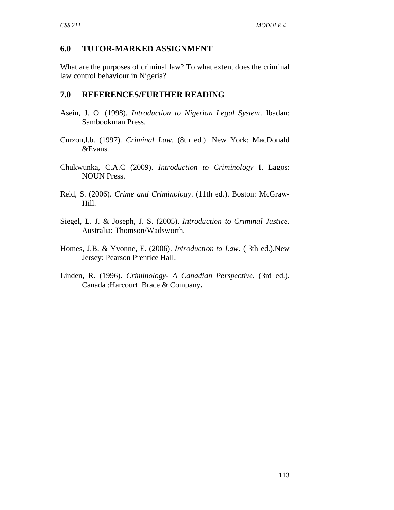## **6.0 TUTOR-MARKED ASSIGNMENT**

What are the purposes of criminal law? To what extent does the criminal law control behaviour in Nigeria?

## **7.0 REFERENCES/FURTHER READING**

- Asein, J. O. (1998). *Introduction to Nigerian Legal System*. Ibadan: Sambookman Press.
- Curzon,l.b. (1997). *Criminal Law*. (8th ed.). New York: MacDonald &Evans.
- Chukwunka, C.A.C (2009). *Introduction to Criminology* I. Lagos: NOUN Press.
- Reid, S. (2006). *Crime and Criminology*. (11th ed.). Boston: McGraw-Hill.
- Siegel, L. J. & Joseph, J. S. (2005). *Introduction to Criminal Justice*. Australia: Thomson/Wadsworth.
- Homes, J.B. & Yvonne, E. (2006). *Introduction to Law*. ( 3th ed.).New Jersey: Pearson Prentice Hall.
- Linden, R. (1996). *Criminology- A Canadian Perspective*. (3rd ed.). Canada :Harcourt Brace & Company**.**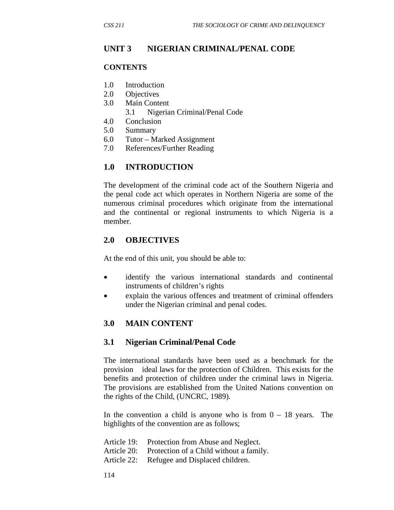### **UNIT 3 NIGERIAN CRIMINAL/PENAL CODE**

#### **CONTENTS**

- 1.0 Introduction
- 2.0 Objectives
- 3.0 Main Content
	- 3.1 Nigerian Criminal/Penal Code
- 4.0 Conclusion
- 5.0 Summary
- 6.0 Tutor Marked Assignment
- 7.0 References/Further Reading

## **1.0 INTRODUCTION**

The development of the criminal code act of the Southern Nigeria and the penal code act which operates in Northern Nigeria are some of the numerous criminal procedures which originate from the international and the continental or regional instruments to which Nigeria is a member.

### **2.0 OBJECTIVES**

At the end of this unit, you should be able to:

- identify the various international standards and continental instruments of children's rights
- explain the various offences and treatment of criminal offenders under the Nigerian criminal and penal codes.

## **3.0 MAIN CONTENT**

#### **3.1 Nigerian Criminal/Penal Code**

The international standards have been used as a benchmark for the provision ideal laws for the protection of Children. This exists for the benefits and protection of children under the criminal laws in Nigeria. The provisions are established from the United Nations convention on the rights of the Child, (UNCRC, 1989).

In the convention a child is anyone who is from  $0 - 18$  years. The highlights of the convention are as follows;

| Article 19: Protection from Abuse and Neglect.      |
|-----------------------------------------------------|
| Article 20: Protection of a Child without a family. |
| Article 22: Refugee and Displaced children.         |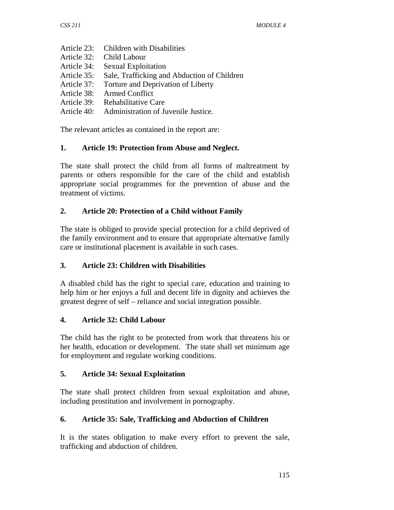- Article 23: Children with Disabilities
- Article 32: Child Labour
- Article 34: Sexual Exploitation
- Article 35: Sale, Trafficking and Abduction of Children
- Article 37: Torture and Deprivation of Liberty
- Article 38: Armed Conflict
- Article 39: Rehabilitative Care
- Article 40: Administration of Juvenile Justice.

The relevant articles as contained in the report are:

### **1. Article 19: Protection from Abuse and Neglect.**

The state shall protect the child from all forms of maltreatment by parents or others responsible for the care of the child and establish appropriate social programmes for the prevention of abuse and the treatment of victims.

## **2. Article 20: Protection of a Child without Family**

The state is obliged to provide special protection for a child deprived of the family environment and to ensure that appropriate alternative family care or institutional placement is available in such cases.

### **3. Article 23: Children with Disabilities**

A disabled child has the right to special care, education and training to help him or her enjoys a full and decent life in dignity and achieves the greatest degree of self – reliance and social integration possible.

### **4. Article 32: Child Labour**

The child has the right to be protected from work that threatens his or her health, education or development. The state shall set minimum age for employment and regulate working conditions.

### **5. Article 34: Sexual Exploitation**

The state shall protect children from sexual exploitation and abuse, including prostitution and involvement in pornography.

## **6. Article 35: Sale, Trafficking and Abduction of Children**

It is the states obligation to make every effort to prevent the sale, trafficking and abduction of children.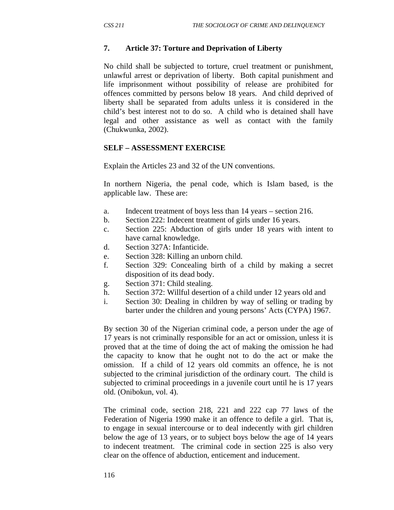#### **7. Article 37: Torture and Deprivation of Liberty**

No child shall be subjected to torture, cruel treatment or punishment, unlawful arrest or deprivation of liberty. Both capital punishment and life imprisonment without possibility of release are prohibited for offences committed by persons below 18 years. And child deprived of liberty shall be separated from adults unless it is considered in the child's best interest not to do so. A child who is detained shall have legal and other assistance as well as contact with the family (Chukwunka, 2002).

#### **SELF – ASSESSMENT EXERCISE**

Explain the Articles 23 and 32 of the UN conventions.

In northern Nigeria, the penal code, which is Islam based, is the applicable law. These are:

- a. Indecent treatment of boys less than 14 years section 216.
- b. Section 222: Indecent treatment of girls under 16 years.
- c. Section 225: Abduction of girls under 18 years with intent to have carnal knowledge.
- d. Section 327A: Infanticide.
- e. Section 328: Killing an unborn child.
- f. Section 329: Concealing birth of a child by making a secret disposition of its dead body.
- g. Section 371: Child stealing.
- h. Section 372: Willful desertion of a child under 12 years old and
- i. Section 30: Dealing in children by way of selling or trading by barter under the children and young persons' Acts (CYPA) 1967.

By section 30 of the Nigerian criminal code, a person under the age of 17 years is not criminally responsible for an act or omission, unless it is proved that at the time of doing the act of making the omission he had the capacity to know that he ought not to do the act or make the omission. If a child of 12 years old commits an offence, he is not subjected to the criminal jurisdiction of the ordinary court. The child is subjected to criminal proceedings in a juvenile court until he is 17 years old. (Onibokun, vol. 4).

The criminal code, section 218, 221 and 222 cap 77 laws of the Federation of Nigeria 1990 make it an offence to defile a girl. That is, to engage in sexual intercourse or to deal indecently with girl children below the age of 13 years, or to subject boys below the age of 14 years to indecent treatment. The criminal code in section 225 is also very clear on the offence of abduction, enticement and inducement.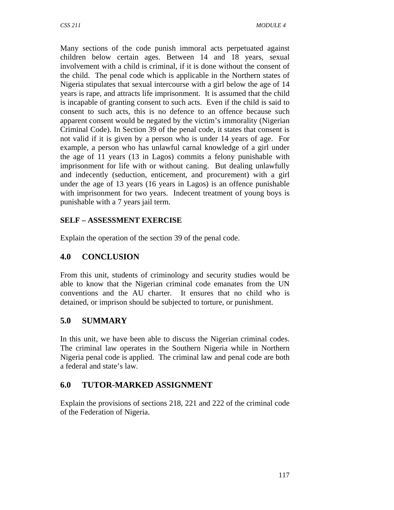Many sections of the code punish immoral acts perpetuated against children below certain ages. Between 14 and 18 years, sexual involvement with a child is criminal, if it is done without the consent of the child. The penal code which is applicable in the Northern states of Nigeria stipulates that sexual intercourse with a girl below the age of 14 years is rape, and attracts life imprisonment. It is assumed that the child is incapable of granting consent to such acts. Even if the child is said to consent to such acts, this is no defence to an offence because such apparent consent would be negated by the victim's immorality (Nigerian Criminal Code). In Section 39 of the penal code, it states that consent is not valid if it is given by a person who is under 14 years of age. For example, a person who has unlawful carnal knowledge of a girl under the age of 11 years (13 in Lagos) commits a felony punishable with imprisonment for life with or without caning. But dealing unlawfully and indecently (seduction, enticement, and procurement) with a girl under the age of 13 years (16 years in Lagos) is an offence punishable with imprisonment for two years. Indecent treatment of young boys is punishable with a 7 years jail term.

# **SELF – ASSESSMENT EXERCISE**

Explain the operation of the section 39 of the penal code.

# **4.0 CONCLUSION**

From this unit, students of criminology and security studies would be able to know that the Nigerian criminal code emanates from the UN conventions and the AU charter. It ensures that no child who is detained, or imprison should be subjected to torture, or punishment.

# **5.0 SUMMARY**

In this unit, we have been able to discuss the Nigerian criminal codes. The criminal law operates in the Southern Nigeria while in Northern Nigeria penal code is applied. The criminal law and penal code are both a federal and state's law.

# **6.0 TUTOR-MARKED ASSIGNMENT**

Explain the provisions of sections 218, 221 and 222 of the criminal code of the Federation of Nigeria.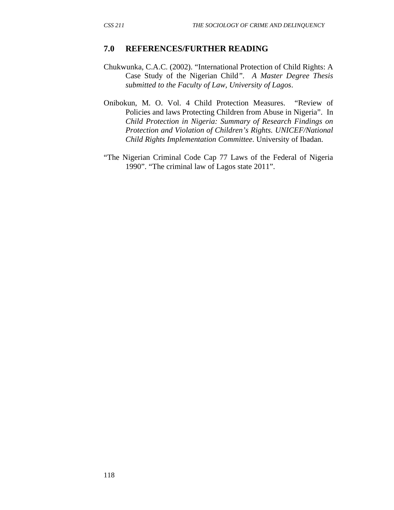#### **7.0 REFERENCES/FURTHER READING**

- Chukwunka, C.A.C. (2002). "International Protection of Child Rights: A Case Study of the Nigerian Child*". A Master Degree Thesis submitted to the Faculty of Law, University of Lagos*.
- Onibokun, M. O. Vol. 4 Child Protection Measures. "Review of Policies and laws Protecting Children from Abuse in Nigeria". In *Child Protection in Nigeria: Summary of Research Findings on Protection and Violation of Children's Rights. UNICEF/National Child Rights Implementation Committee*. University of Ibadan.
- "The Nigerian Criminal Code Cap 77 Laws of the Federal of Nigeria 1990". "The criminal law of Lagos state 2011".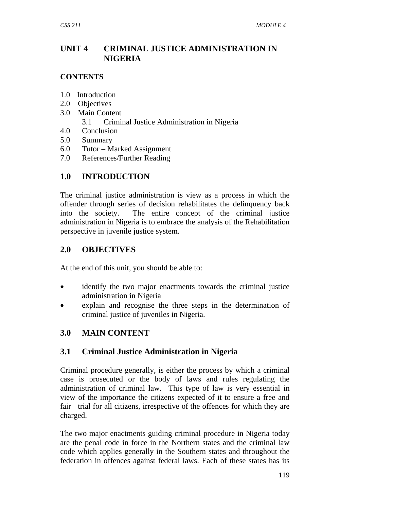# **UNIT 4 CRIMINAL JUSTICE ADMINISTRATION IN NIGERIA**

### **CONTENTS**

- 1.0 Introduction
- 2.0 Objectives
- 3.0 Main Content
	- 3.1 Criminal Justice Administration in Nigeria
- 4.0 Conclusion
- 5.0 Summary
- 6.0 Tutor Marked Assignment
- 7.0 References/Further Reading

# **1.0 INTRODUCTION**

The criminal justice administration is view as a process in which the offender through series of decision rehabilitates the delinquency back into the society. The entire concept of the criminal justice administration in Nigeria is to embrace the analysis of the Rehabilitation perspective in juvenile justice system.

# **2.0 OBJECTIVES**

At the end of this unit, you should be able to:

- identify the two major enactments towards the criminal justice administration in Nigeria
- explain and recognise the three steps in the determination of criminal justice of juveniles in Nigeria.

# **3.0 MAIN CONTENT**

# **3.1 Criminal Justice Administration in Nigeria**

Criminal procedure generally, is either the process by which a criminal case is prosecuted or the body of laws and rules regulating the administration of criminal law. This type of law is very essential in view of the importance the citizens expected of it to ensure a free and fair trial for all citizens, irrespective of the offences for which they are charged.

The two major enactments guiding criminal procedure in Nigeria today are the penal code in force in the Northern states and the criminal law code which applies generally in the Southern states and throughout the federation in offences against federal laws. Each of these states has its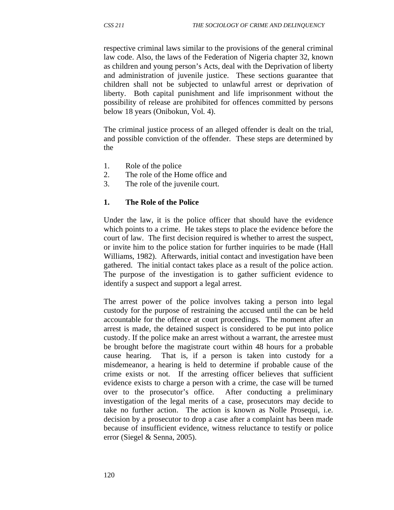respective criminal laws similar to the provisions of the general criminal law code. Also, the laws of the Federation of Nigeria chapter 32, known as children and young person's Acts, deal with the Deprivation of liberty and administration of juvenile justice. These sections guarantee that children shall not be subjected to unlawful arrest or deprivation of liberty. Both capital punishment and life imprisonment without the possibility of release are prohibited for offences committed by persons below 18 years (Onibokun, Vol. 4).

The criminal justice process of an alleged offender is dealt on the trial, and possible conviction of the offender. These steps are determined by the

- 1. Role of the police
- 2. The role of the Home office and
- 3. The role of the juvenile court.

#### **1. The Role of the Police**

Under the law, it is the police officer that should have the evidence which points to a crime. He takes steps to place the evidence before the court of law. The first decision required is whether to arrest the suspect, or invite him to the police station for further inquiries to be made (Hall Williams, 1982). Afterwards, initial contact and investigation have been gathered. The initial contact takes place as a result of the police action. The purpose of the investigation is to gather sufficient evidence to identify a suspect and support a legal arrest.

The arrest power of the police involves taking a person into legal custody for the purpose of restraining the accused until the can be held accountable for the offence at court proceedings. The moment after an arrest is made, the detained suspect is considered to be put into police custody. If the police make an arrest without a warrant, the arrestee must be brought before the magistrate court within 48 hours for a probable cause hearing. That is, if a person is taken into custody for a misdemeanor, a hearing is held to determine if probable cause of the crime exists or not. If the arresting officer believes that sufficient evidence exists to charge a person with a crime, the case will be turned over to the prosecutor's office. After conducting a preliminary investigation of the legal merits of a case, prosecutors may decide to take no further action. The action is known as Nolle Prosequi, i.e. decision by a prosecutor to drop a case after a complaint has been made because of insufficient evidence, witness reluctance to testify or police error (Siegel & Senna, 2005).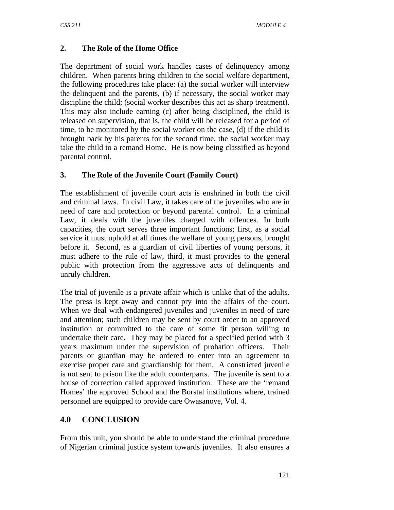## **2. The Role of the Home Office**

The department of social work handles cases of delinquency among children. When parents bring children to the social welfare department, the following procedures take place: (a) the social worker will interview the delinquent and the parents, (b) if necessary, the social worker may discipline the child; (social worker describes this act as sharp treatment). This may also include earning (c) after being disciplined, the child is released on supervision, that is, the child will be released for a period of time, to be monitored by the social worker on the case, (d) if the child is brought back by his parents for the second time, the social worker may take the child to a remand Home. He is now being classified as beyond parental control.

## **3. The Role of the Juvenile Court (Family Court)**

The establishment of juvenile court acts is enshrined in both the civil and criminal laws. In civil Law, it takes care of the juveniles who are in need of care and protection or beyond parental control. In a criminal Law, it deals with the juveniles charged with offences. In both capacities, the court serves three important functions; first, as a social service it must uphold at all times the welfare of young persons, brought before it. Second, as a guardian of civil liberties of young persons, it must adhere to the rule of law, third, it must provides to the general public with protection from the aggressive acts of delinquents and unruly children.

The trial of juvenile is a private affair which is unlike that of the adults. The press is kept away and cannot pry into the affairs of the court. When we deal with endangered juveniles and juveniles in need of care and attention; such children may be sent by court order to an approved institution or committed to the care of some fit person willing to undertake their care. They may be placed for a specified period with 3 years maximum under the supervision of probation officers. Their parents or guardian may be ordered to enter into an agreement to exercise proper care and guardianship for them. A constricted juvenile is not sent to prison like the adult counterparts. The juvenile is sent to a house of correction called approved institution. These are the 'remand Homes' the approved School and the Borstal institutions where, trained personnel are equipped to provide care Owasanoye, Vol. 4.

## **4.0 CONCLUSION**

From this unit, you should be able to understand the criminal procedure of Nigerian criminal justice system towards juveniles. It also ensures a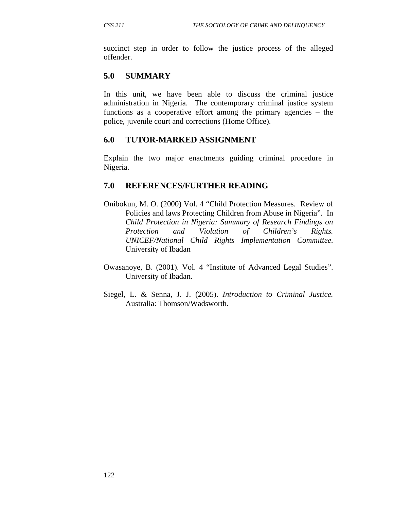succinct step in order to follow the justice process of the alleged offender.

## **5.0 SUMMARY**

In this unit, we have been able to discuss the criminal justice administration in Nigeria. The contemporary criminal justice system functions as a cooperative effort among the primary agencies – the police, juvenile court and corrections (Home Office).

### **6.0 TUTOR-MARKED ASSIGNMENT**

Explain the two major enactments guiding criminal procedure in Nigeria.

### **7.0 REFERENCES/FURTHER READING**

- Onibokun, M. O. (2000) Vol. 4 "Child Protection Measures. Review of Policies and laws Protecting Children from Abuse in Nigeria". In *Child Protection in Nigeria: Summary of Research Findings on Protection and Violation of Children's Rights. UNICEF/National Child Rights Implementation Committee*. University of Ibadan
- Owasanoye, B. (2001). Vol. 4 "Institute of Advanced Legal Studies". University of Ibadan.
- Siegel, L. & Senna, J. J. (2005). *Introduction to Criminal Justice.* Australia: Thomson/Wadsworth.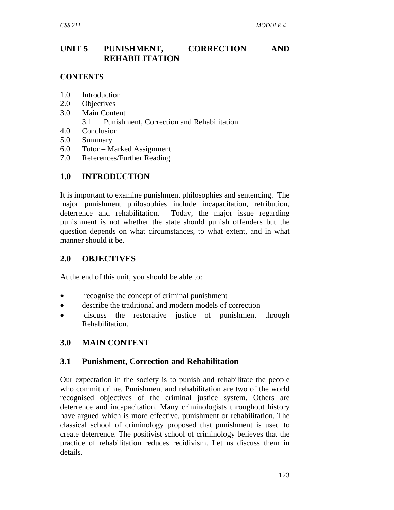# **UNIT 5 PUNISHMENT, CORRECTION AND REHABILITATION**

### **CONTENTS**

- 1.0 Introduction
- 2.0 Objectives
- 3.0 Main Content
	- 3.1 Punishment, Correction and Rehabilitation
- 4.0 Conclusion
- 5.0 Summary
- 6.0 Tutor Marked Assignment
- 7.0 References/Further Reading

# **1.0 INTRODUCTION**

It is important to examine punishment philosophies and sentencing. The major punishment philosophies include incapacitation, retribution, deterrence and rehabilitation. Today, the major issue regarding punishment is not whether the state should punish offenders but the question depends on what circumstances, to what extent, and in what manner should it be.

# **2.0 OBJECTIVES**

At the end of this unit, you should be able to:

- recognise the concept of criminal punishment
- describe the traditional and modern models of correction
- discuss the restorative justice of punishment through Rehabilitation.

# **3.0 MAIN CONTENT**

## **3.1 Punishment, Correction and Rehabilitation**

Our expectation in the society is to punish and rehabilitate the people who commit crime. Punishment and rehabilitation are two of the world recognised objectives of the criminal justice system. Others are deterrence and incapacitation. Many criminologists throughout history have argued which is more effective, punishment or rehabilitation. The classical school of criminology proposed that punishment is used to create deterrence. The positivist school of criminology believes that the practice of rehabilitation reduces recidivism. Let us discuss them in details.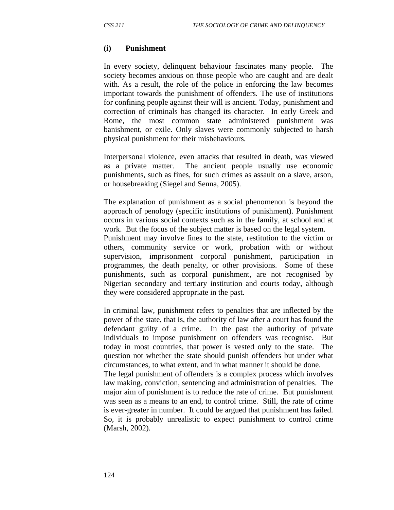#### **(i) Punishment**

In every society, delinquent behaviour fascinates many people. The society becomes anxious on those people who are caught and are dealt with. As a result, the role of the police in enforcing the law becomes important towards the punishment of offenders. The use of institutions for confining people against their will is ancient. Today, punishment and correction of criminals has changed its character. In early Greek and Rome, the most common state administered punishment was banishment, or exile. Only slaves were commonly subjected to harsh physical punishment for their misbehaviours.

Interpersonal violence, even attacks that resulted in death, was viewed as a private matter. The ancient people usually use economic punishments, such as fines, for such crimes as assault on a slave, arson, or housebreaking (Siegel and Senna, 2005).

The explanation of punishment as a social phenomenon is beyond the approach of penology (specific institutions of punishment). Punishment occurs in various social contexts such as in the family, at school and at work. But the focus of the subject matter is based on the legal system.

Punishment may involve fines to the state, restitution to the victim or others, community service or work, probation with or without supervision, imprisonment corporal punishment, participation in programmes, the death penalty, or other provisions. Some of these punishments, such as corporal punishment, are not recognised by Nigerian secondary and tertiary institution and courts today, although they were considered appropriate in the past.

In criminal law, punishment refers to penalties that are inflected by the power of the state, that is, the authority of law after a court has found the defendant guilty of a crime. In the past the authority of private individuals to impose punishment on offenders was recognise. But today in most countries, that power is vested only to the state. The question not whether the state should punish offenders but under what circumstances, to what extent, and in what manner it should be done.

The legal punishment of offenders is a complex process which involves law making, conviction, sentencing and administration of penalties. The major aim of punishment is to reduce the rate of crime. But punishment was seen as a means to an end, to control crime. Still, the rate of crime is ever-greater in number. It could be argued that punishment has failed. So, it is probably unrealistic to expect punishment to control crime (Marsh, 2002).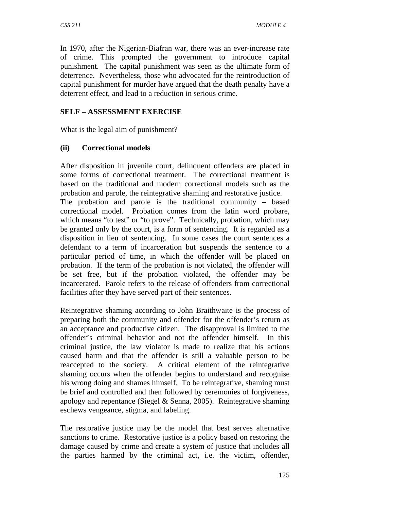In 1970, after the Nigerian-Biafran war, there was an ever-increase rate of crime. This prompted the government to introduce capital punishment. The capital punishment was seen as the ultimate form of deterrence. Nevertheless, those who advocated for the reintroduction of capital punishment for murder have argued that the death penalty have a deterrent effect, and lead to a reduction in serious crime.

## **SELF – ASSESSMENT EXERCISE**

What is the legal aim of punishment?

## **(ii) Correctional models**

After disposition in juvenile court, delinquent offenders are placed in some forms of correctional treatment. The correctional treatment is based on the traditional and modern correctional models such as the probation and parole, the reintegrative shaming and restorative justice. The probation and parole is the traditional community – based correctional model. Probation comes from the latin word probare, which means "to test" or "to prove". Technically, probation, which may be granted only by the court, is a form of sentencing. It is regarded as a disposition in lieu of sentencing. In some cases the court sentences a defendant to a term of incarceration but suspends the sentence to a particular period of time, in which the offender will be placed on probation. If the term of the probation is not violated, the offender will be set free, but if the probation violated, the offender may be incarcerated. Parole refers to the release of offenders from correctional facilities after they have served part of their sentences.

Reintegrative shaming according to John Braithwaite is the process of preparing both the community and offender for the offender's return as an acceptance and productive citizen. The disapproval is limited to the offender's criminal behavior and not the offender himself. In this criminal justice, the law violator is made to realize that his actions caused harm and that the offender is still a valuable person to be reaccepted to the society. A critical element of the reintegrative shaming occurs when the offender begins to understand and recognise his wrong doing and shames himself. To be reintegrative, shaming must be brief and controlled and then followed by ceremonies of forgiveness, apology and repentance (Siegel & Senna, 2005). Reintegrative shaming eschews vengeance, stigma, and labeling.

The restorative justice may be the model that best serves alternative sanctions to crime. Restorative justice is a policy based on restoring the damage caused by crime and create a system of justice that includes all the parties harmed by the criminal act, i.e. the victim, offender,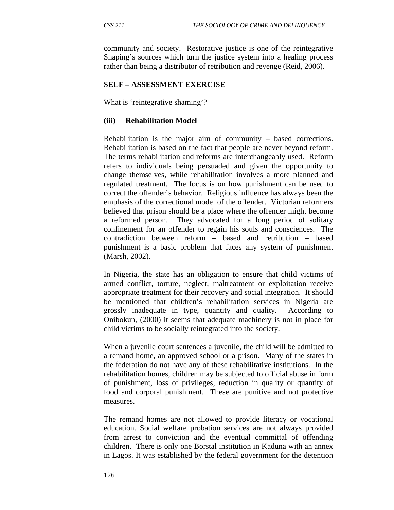community and society. Restorative justice is one of the reintegrative Shaping's sources which turn the justice system into a healing process rather than being a distributor of retribution and revenge (Reid, 2006).

#### **SELF – ASSESSMENT EXERCISE**

What is 'reintegrative shaming'?

#### **(iii) Rehabilitation Model**

Rehabilitation is the major aim of community – based corrections. Rehabilitation is based on the fact that people are never beyond reform. The terms rehabilitation and reforms are interchangeably used. Reform refers to individuals being persuaded and given the opportunity to change themselves, while rehabilitation involves a more planned and regulated treatment. The focus is on how punishment can be used to correct the offender's behavior. Religious influence has always been the emphasis of the correctional model of the offender. Victorian reformers believed that prison should be a place where the offender might become a reformed person. They advocated for a long period of solitary confinement for an offender to regain his souls and consciences. The contradiction between reform – based and retribution – based punishment is a basic problem that faces any system of punishment (Marsh, 2002).

In Nigeria, the state has an obligation to ensure that child victims of armed conflict, torture, neglect, maltreatment or exploitation receive appropriate treatment for their recovery and social integration. It should be mentioned that children's rehabilitation services in Nigeria are grossly inadequate in type, quantity and quality. According to Onibokun, (2000) it seems that adequate machinery is not in place for child victims to be socially reintegrated into the society.

When a juvenile court sentences a juvenile, the child will be admitted to a remand home, an approved school or a prison. Many of the states in the federation do not have any of these rehabilitative institutions. In the rehabilitation homes, children may be subjected to official abuse in form of punishment, loss of privileges, reduction in quality or quantity of food and corporal punishment. These are punitive and not protective measures.

The remand homes are not allowed to provide literacy or vocational education. Social welfare probation services are not always provided from arrest to conviction and the eventual committal of offending children. There is only one Borstal institution in Kaduna with an annex in Lagos. It was established by the federal government for the detention